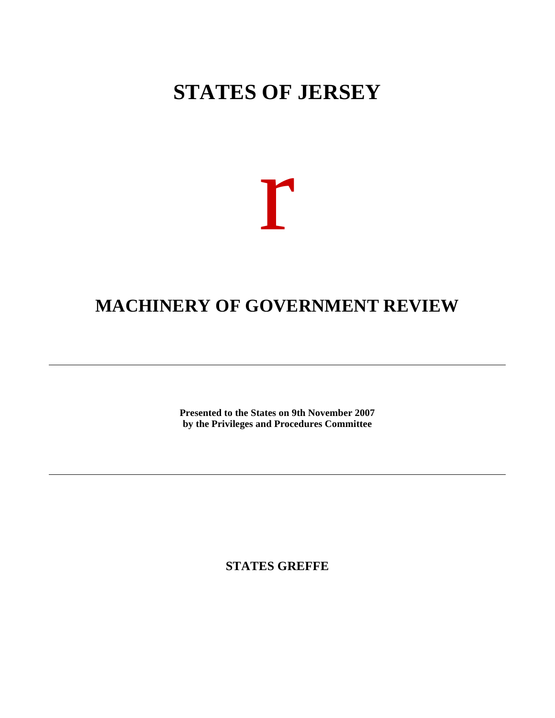# **STATES OF JERSEY**

# r

# **MACHINERY OF GOVERNMENT REVIEW**

**Presented to the States on 9th November 2007 by the Privileges and Procedures Committee**

**STATES GREFFE**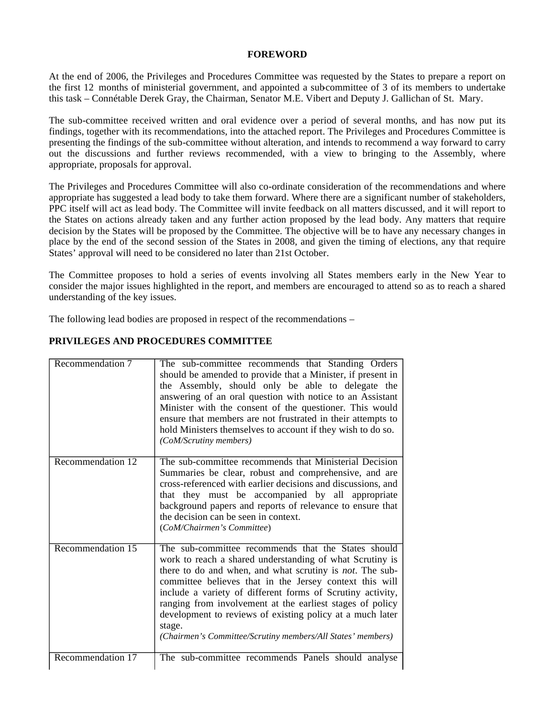#### **FOREWORD**

At the end of 2006, the Privileges and Procedures Committee was requested by the States to prepare a report on the first 12 months of ministerial government, and appointed a sub-committee of 3 of its members to undertake this task – Connétable Derek Gray, the Chairman, Senator M.E. Vibert and Deputy J. Gallichan of St. Mary.

The sub-committee received written and oral evidence over a period of several months, and has now put its findings, together with its recommendations, into the attached report. The Privileges and Procedures Committee is presenting the findings of the sub-committee without alteration, and intends to recommend a way forward to carry out the discussions and further reviews recommended, with a view to bringing to the Assembly, where appropriate, proposals for approval.

The Privileges and Procedures Committee will also co-ordinate consideration of the recommendations and where appropriate has suggested a lead body to take them forward. Where there are a significant number of stakeholders, PPC itself will act as lead body. The Committee will invite feedback on all matters discussed, and it will report to the States on actions already taken and any further action proposed by the lead body. Any matters that require decision by the States will be proposed by the Committee. The objective will be to have any necessary changes in place by the end of the second session of the States in 2008, and given the timing of elections, any that require States' approval will need to be considered no later than 21st October.

The Committee proposes to hold a series of events involving all States members early in the New Year to consider the major issues highlighted in the report, and members are encouraged to attend so as to reach a shared understanding of the key issues.

The following lead bodies are proposed in respect of the recommendations –

| Recommendation 7  | The sub-committee recommends that Standing Orders<br>should be amended to provide that a Minister, if present in<br>the Assembly, should only be able to delegate the<br>answering of an oral question with notice to an Assistant<br>Minister with the consent of the questioner. This would<br>ensure that members are not frustrated in their attempts to<br>hold Ministers themselves to account if they wish to do so.<br>(CoM/Scrutiny members)                                                           |
|-------------------|-----------------------------------------------------------------------------------------------------------------------------------------------------------------------------------------------------------------------------------------------------------------------------------------------------------------------------------------------------------------------------------------------------------------------------------------------------------------------------------------------------------------|
| Recommendation 12 | The sub-committee recommends that Ministerial Decision<br>Summaries be clear, robust and comprehensive, and are<br>cross-referenced with earlier decisions and discussions, and<br>that they must be accompanied by all appropriate<br>background papers and reports of relevance to ensure that<br>the decision can be seen in context.<br>(CoM/Chairmen's Committee)                                                                                                                                          |
| Recommendation 15 | The sub-committee recommends that the States should<br>work to reach a shared understanding of what Scrutiny is<br>there to do and when, and what scrutiny is <i>not</i> . The sub-<br>committee believes that in the Jersey context this will<br>include a variety of different forms of Scrutiny activity,<br>ranging from involvement at the earliest stages of policy<br>development to reviews of existing policy at a much later<br>stage.<br>(Chairmen's Committee/Scrutiny members/All States' members) |
| Recommendation 17 | The sub-committee recommends Panels should analyse                                                                                                                                                                                                                                                                                                                                                                                                                                                              |

#### **PRIVILEGES AND PROCEDURES COMMITTEE**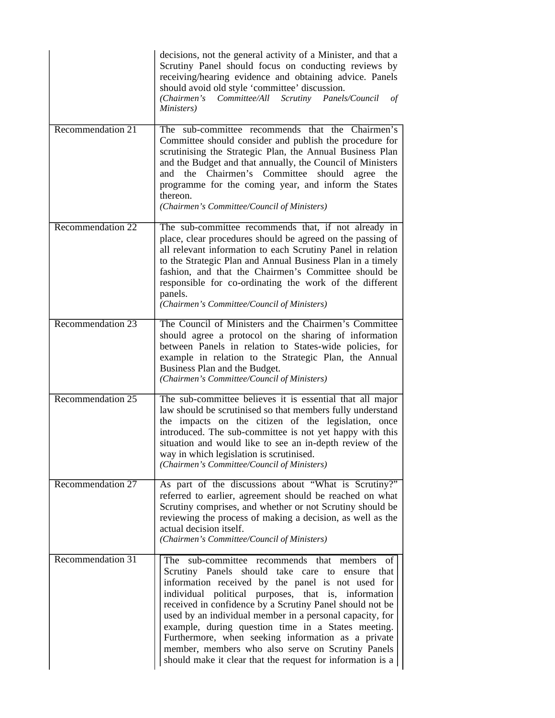|                   | decisions, not the general activity of a Minister, and that a<br>Scrutiny Panel should focus on conducting reviews by<br>receiving/hearing evidence and obtaining advice. Panels<br>should avoid old style 'committee' discussion.<br>(Chairmen's<br>Scrutiny<br>Panels/Council<br>Committee/All<br>$\circ f$<br>Ministers)                                                                                                                                                                                                                                              |
|-------------------|--------------------------------------------------------------------------------------------------------------------------------------------------------------------------------------------------------------------------------------------------------------------------------------------------------------------------------------------------------------------------------------------------------------------------------------------------------------------------------------------------------------------------------------------------------------------------|
| Recommendation 21 | The sub-committee recommends that the Chairmen's<br>Committee should consider and publish the procedure for<br>scrutinising the Strategic Plan, the Annual Business Plan<br>and the Budget and that annually, the Council of Ministers<br>the Chairmen's Committee should agree<br>and<br>the<br>programme for the coming year, and inform the States<br>thereon.<br>(Chairmen's Committee/Council of Ministers)                                                                                                                                                         |
| Recommendation 22 | The sub-committee recommends that, if not already in<br>place, clear procedures should be agreed on the passing of<br>all relevant information to each Scrutiny Panel in relation<br>to the Strategic Plan and Annual Business Plan in a timely<br>fashion, and that the Chairmen's Committee should be<br>responsible for co-ordinating the work of the different<br>panels.<br>(Chairmen's Committee/Council of Ministers)                                                                                                                                             |
| Recommendation 23 | The Council of Ministers and the Chairmen's Committee<br>should agree a protocol on the sharing of information<br>between Panels in relation to States-wide policies, for<br>example in relation to the Strategic Plan, the Annual<br>Business Plan and the Budget.<br>(Chairmen's Committee/Council of Ministers)                                                                                                                                                                                                                                                       |
| Recommendation 25 | The sub-committee believes it is essential that all major<br>law should be scrutinised so that members fully understand<br>the impacts on the citizen of the legislation, once<br>introduced. The sub-committee is not yet happy with this<br>situation and would like to see an in-depth review of the<br>way in which legislation is scrutinised.<br>(Chairmen's Committee/Council of Ministers)                                                                                                                                                                       |
| Recommendation 27 | As part of the discussions about "What is Scrutiny?"<br>referred to earlier, agreement should be reached on what<br>Scrutiny comprises, and whether or not Scrutiny should be<br>reviewing the process of making a decision, as well as the<br>actual decision itself.<br>(Chairmen's Committee/Council of Ministers)                                                                                                                                                                                                                                                    |
| Recommendation 31 | sub-committee recommends that members<br>The<br>0t<br>Scrutiny Panels should take care to ensure that<br>information received by the panel is not used for<br>individual political purposes, that is, information<br>received in confidence by a Scrutiny Panel should not be<br>used by an individual member in a personal capacity, for<br>example, during question time in a States meeting.<br>Furthermore, when seeking information as a private<br>member, members who also serve on Scrutiny Panels<br>should make it clear that the request for information is a |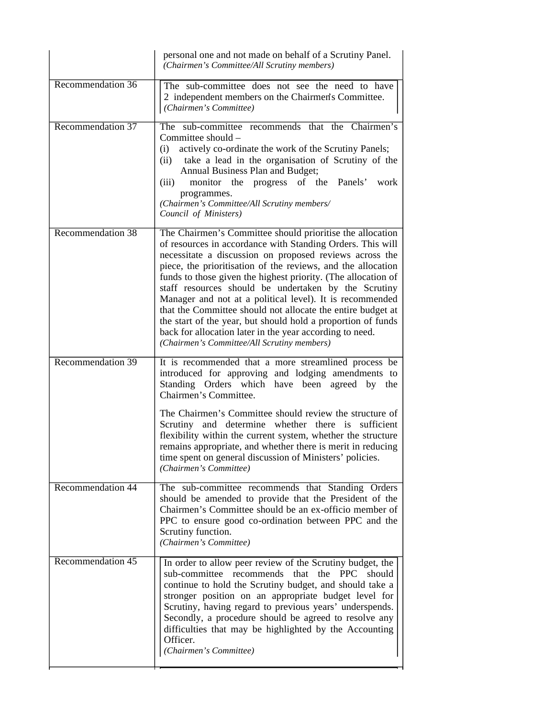|                   | personal one and not made on behalf of a Scrutiny Panel.<br>(Chairmen's Committee/All Scrutiny members)                                                                                                                                                                                                                                                                                                                                                                                                                                                                                                                                                                           |
|-------------------|-----------------------------------------------------------------------------------------------------------------------------------------------------------------------------------------------------------------------------------------------------------------------------------------------------------------------------------------------------------------------------------------------------------------------------------------------------------------------------------------------------------------------------------------------------------------------------------------------------------------------------------------------------------------------------------|
| Recommendation 36 | The sub-committee does not see the need to have<br>2 independent members on the Chairmen's Committee.<br>(Chairmen's Committee)                                                                                                                                                                                                                                                                                                                                                                                                                                                                                                                                                   |
| Recommendation 37 | The sub-committee recommends that the Chairmen's<br>Committee should –<br>actively co-ordinate the work of the Scrutiny Panels;<br>(i)<br>take a lead in the organisation of Scrutiny of the<br>(ii)<br>Annual Business Plan and Budget;<br>monitor the progress of the Panels'<br>(iii)<br>work<br>programmes.<br>(Chairmen's Committee/All Scrutiny members/<br>Council of Ministers)                                                                                                                                                                                                                                                                                           |
| Recommendation 38 | The Chairmen's Committee should prioritise the allocation<br>of resources in accordance with Standing Orders. This will<br>necessitate a discussion on proposed reviews across the<br>piece, the prioritisation of the reviews, and the allocation<br>funds to those given the highest priority. (The allocation of<br>staff resources should be undertaken by the Scrutiny<br>Manager and not at a political level). It is recommended<br>that the Committee should not allocate the entire budget at<br>the start of the year, but should hold a proportion of funds<br>back for allocation later in the year according to need.<br>(Chairmen's Committee/All Scrutiny members) |
| Recommendation 39 | It is recommended that a more streamlined process be<br>introduced for approving and lodging amendments to<br>Standing Orders which have been agreed by the<br>Chairmen's Committee.                                                                                                                                                                                                                                                                                                                                                                                                                                                                                              |
|                   | The Chairmen's Committee should review the structure of<br>Scrutiny and determine whether there is<br>sufficient<br>flexibility within the current system, whether the structure<br>remains appropriate, and whether there is merit in reducing<br>time spent on general discussion of Ministers' policies.<br>(Chairmen's Committee)                                                                                                                                                                                                                                                                                                                                             |
| Recommendation 44 | The sub-committee recommends that Standing Orders<br>should be amended to provide that the President of the<br>Chairmen's Committee should be an ex-officio member of<br>PPC to ensure good co-ordination between PPC and the<br>Scrutiny function.<br>(Chairmen's Committee)                                                                                                                                                                                                                                                                                                                                                                                                     |
| Recommendation 45 | In order to allow peer review of the Scrutiny budget, the<br>sub-committee recommends that the PPC<br>should<br>continue to hold the Scrutiny budget, and should take a<br>stronger position on an appropriate budget level for<br>Scrutiny, having regard to previous years' underspends.<br>Secondly, a procedure should be agreed to resolve any<br>difficulties that may be highlighted by the Accounting<br>Officer.<br>(Chairmen's Committee)                                                                                                                                                                                                                               |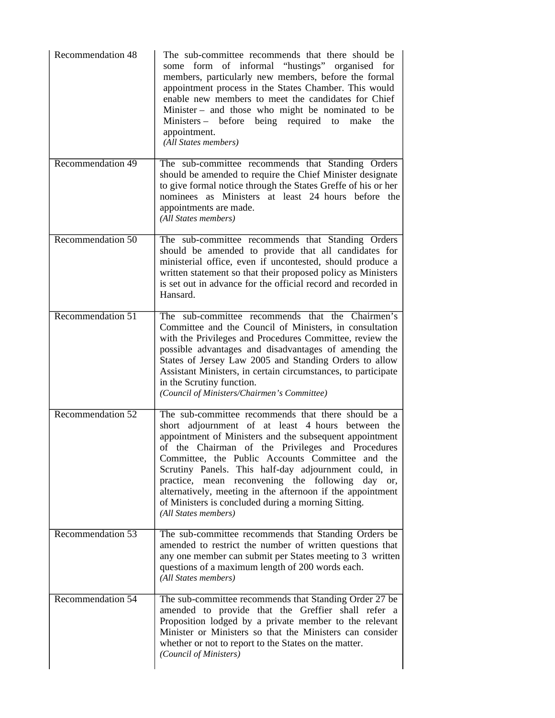| Recommendation 48        | The sub-committee recommends that there should be<br>form of informal "hustings" organised for<br>some<br>members, particularly new members, before the formal<br>appointment process in the States Chamber. This would<br>enable new members to meet the candidates for Chief<br>Minister – and those who might be nominated to be<br>Ministers – before being required to<br>make<br>the<br>appointment.<br>(All States members)                                                                                                      |
|--------------------------|-----------------------------------------------------------------------------------------------------------------------------------------------------------------------------------------------------------------------------------------------------------------------------------------------------------------------------------------------------------------------------------------------------------------------------------------------------------------------------------------------------------------------------------------|
| <b>Recommendation 49</b> | The sub-committee recommends that Standing Orders<br>should be amended to require the Chief Minister designate<br>to give formal notice through the States Greffe of his or her<br>nominees as Ministers at least 24 hours before the<br>appointments are made.<br>(All States members)                                                                                                                                                                                                                                                 |
| Recommendation 50        | The sub-committee recommends that Standing Orders<br>should be amended to provide that all candidates for<br>ministerial office, even if uncontested, should produce a<br>written statement so that their proposed policy as Ministers<br>is set out in advance for the official record and recorded in<br>Hansard.                                                                                                                                                                                                                     |
| Recommendation 51        | The sub-committee recommends that the Chairmen's<br>Committee and the Council of Ministers, in consultation<br>with the Privileges and Procedures Committee, review the<br>possible advantages and disadvantages of amending the<br>States of Jersey Law 2005 and Standing Orders to allow<br>Assistant Ministers, in certain circumstances, to participate<br>in the Scrutiny function.<br>(Council of Ministers/Chairmen's Committee)                                                                                                 |
| Recommendation 52        | The sub-committee recommends that there should be a<br>short adjournment of at least 4 hours between the<br>appointment of Ministers and the subsequent appointment<br>of the Chairman of the Privileges and Procedures<br>Committee, the Public Accounts Committee and the<br>Scrutiny Panels. This half-day adjournment could, in<br>practice, mean reconvening the following day<br>or.<br>alternatively, meeting in the afternoon if the appointment<br>of Ministers is concluded during a morning Sitting.<br>(All States members) |
| Recommendation 53        | The sub-committee recommends that Standing Orders be<br>amended to restrict the number of written questions that<br>any one member can submit per States meeting to 3 written<br>questions of a maximum length of 200 words each.<br>(All States members)                                                                                                                                                                                                                                                                               |
| Recommendation 54        | The sub-committee recommends that Standing Order 27 be<br>amended to provide that the Greffier shall refer a<br>Proposition lodged by a private member to the relevant<br>Minister or Ministers so that the Ministers can consider<br>whether or not to report to the States on the matter.<br>(Council of Ministers)                                                                                                                                                                                                                   |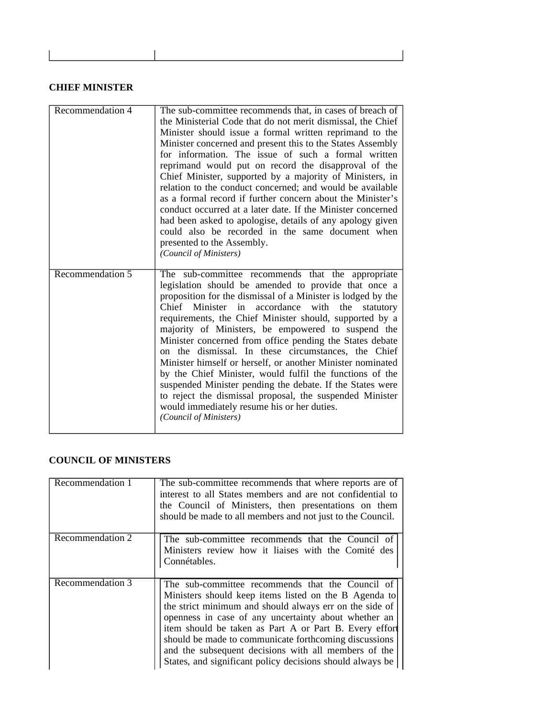# **CHIEF MINISTER**

ı

| Recommendation 4 | The sub-committee recommends that, in cases of breach of<br>the Ministerial Code that do not merit dismissal, the Chief<br>Minister should issue a formal written reprimand to the<br>Minister concerned and present this to the States Assembly<br>for information. The issue of such a formal written<br>reprimand would put on record the disapproval of the<br>Chief Minister, supported by a majority of Ministers, in<br>relation to the conduct concerned; and would be available<br>as a formal record if further concern about the Minister's<br>conduct occurred at a later date. If the Minister concerned<br>had been asked to apologise, details of any apology given<br>could also be recorded in the same document when<br>presented to the Assembly.<br>(Council of Ministers)        |
|------------------|-------------------------------------------------------------------------------------------------------------------------------------------------------------------------------------------------------------------------------------------------------------------------------------------------------------------------------------------------------------------------------------------------------------------------------------------------------------------------------------------------------------------------------------------------------------------------------------------------------------------------------------------------------------------------------------------------------------------------------------------------------------------------------------------------------|
| Recommendation 5 | The sub-committee recommends that the appropriate<br>legislation should be amended to provide that once a<br>proposition for the dismissal of a Minister is lodged by the<br>Chief Minister in accordance<br>with<br>the<br>statutory<br>requirements, the Chief Minister should, supported by a<br>majority of Ministers, be empowered to suspend the<br>Minister concerned from office pending the States debate<br>on the dismissal. In these circumstances, the Chief<br>Minister himself or herself, or another Minister nominated<br>by the Chief Minister, would fulfil the functions of the<br>suspended Minister pending the debate. If the States were<br>to reject the dismissal proposal, the suspended Minister<br>would immediately resume his or her duties.<br>(Council of Ministers) |

<u> 1989 - Johann Barn, mars eta bainar e</u>

# **COUNCIL OF MINISTERS**

| Recommendation 1 | The sub-committee recommends that where reports are of<br>interest to all States members and are not confidential to<br>the Council of Ministers, then presentations on them<br>should be made to all members and not just to the Council.                                                                                                                                                                                                                           |
|------------------|----------------------------------------------------------------------------------------------------------------------------------------------------------------------------------------------------------------------------------------------------------------------------------------------------------------------------------------------------------------------------------------------------------------------------------------------------------------------|
| Recommendation 2 | The sub-committee recommends that the Council of<br>Ministers review how it liaises with the Comité des<br>Connétables.                                                                                                                                                                                                                                                                                                                                              |
| Recommendation 3 | The sub-committee recommends that the Council of<br>Ministers should keep items listed on the B Agenda to<br>the strict minimum and should always err on the side of<br>openness in case of any uncertainty about whether an<br>item should be taken as Part A or Part B. Every effort<br>should be made to communicate forthcoming discussions<br>and the subsequent decisions with all members of the<br>States, and significant policy decisions should always be |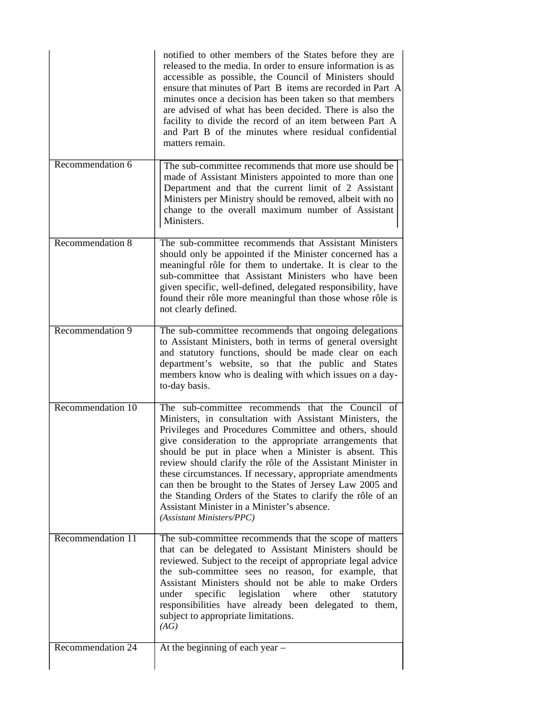|                   | notified to other members of the States before they are<br>released to the media. In order to ensure information is as<br>accessible as possible, the Council of Ministers should<br>ensure that minutes of Part B items are recorded in Part A<br>minutes once a decision has been taken so that members<br>are advised of what has been decided. There is also the<br>facility to divide the record of an item between Part A<br>and Part B of the minutes where residual confidential<br>matters remain.                                                                                                                    |
|-------------------|--------------------------------------------------------------------------------------------------------------------------------------------------------------------------------------------------------------------------------------------------------------------------------------------------------------------------------------------------------------------------------------------------------------------------------------------------------------------------------------------------------------------------------------------------------------------------------------------------------------------------------|
| Recommendation 6  | The sub-committee recommends that more use should be<br>made of Assistant Ministers appointed to more than one<br>Department and that the current limit of 2 Assistant<br>Ministers per Ministry should be removed, albeit with no<br>change to the overall maximum number of Assistant<br>Ministers.                                                                                                                                                                                                                                                                                                                          |
| Recommendation 8  | The sub-committee recommends that Assistant Ministers<br>should only be appointed if the Minister concerned has a<br>meaningful rôle for them to undertake. It is clear to the<br>sub-committee that Assistant Ministers who have been<br>given specific, well-defined, delegated responsibility, have<br>found their rôle more meaningful than those whose rôle is<br>not clearly defined.                                                                                                                                                                                                                                    |
| Recommendation 9  | The sub-committee recommends that ongoing delegations<br>to Assistant Ministers, both in terms of general oversight<br>and statutory functions, should be made clear on each<br>department's website, so that the public and States<br>members know who is dealing with which issues on a day-<br>to-day basis.                                                                                                                                                                                                                                                                                                                |
| Recommendation 10 | The sub-committee recommends that the Council of<br>Ministers, in consultation with Assistant Ministers, the<br>Privileges and Procedures Committee and others, should<br>give consideration to the appropriate arrangements that<br>should be put in place when a Minister is absent. This<br>review should clarify the rôle of the Assistant Minister in<br>these circumstances. If necessary, appropriate amendments<br>can then be brought to the States of Jersey Law 2005 and<br>the Standing Orders of the States to clarify the rôle of an<br>Assistant Minister in a Minister's absence.<br>(Assistant Ministers/PPC) |
| Recommendation 11 | The sub-committee recommends that the scope of matters<br>that can be delegated to Assistant Ministers should be<br>reviewed. Subject to the receipt of appropriate legal advice<br>the sub-committee sees no reason, for example, that<br>Assistant Ministers should not be able to make Orders<br>specific legislation<br>where other<br>under<br>statutory<br>responsibilities have already been delegated to them,<br>subject to appropriate limitations.<br>(AG)                                                                                                                                                          |
|                   | At the beginning of each year $-$                                                                                                                                                                                                                                                                                                                                                                                                                                                                                                                                                                                              |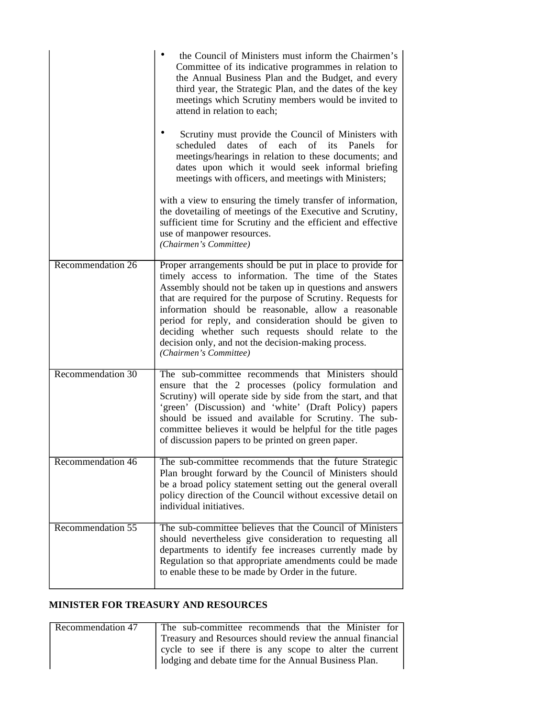|                   | the Council of Ministers must inform the Chairmen's<br>Committee of its indicative programmes in relation to<br>the Annual Business Plan and the Budget, and every<br>third year, the Strategic Plan, and the dates of the key<br>meetings which Scrutiny members would be invited to<br>attend in relation to each;<br>Scrutiny must provide the Council of Ministers with<br>scheduled<br>dates<br>of each of its Panels<br>for<br>meetings/hearings in relation to these documents; and<br>dates upon which it would seek informal briefing<br>meetings with officers, and meetings with Ministers;<br>with a view to ensuring the timely transfer of information,<br>the dovetailing of meetings of the Executive and Scrutiny,<br>sufficient time for Scrutiny and the efficient and effective<br>use of manpower resources.<br>(Chairmen's Committee) |
|-------------------|-------------------------------------------------------------------------------------------------------------------------------------------------------------------------------------------------------------------------------------------------------------------------------------------------------------------------------------------------------------------------------------------------------------------------------------------------------------------------------------------------------------------------------------------------------------------------------------------------------------------------------------------------------------------------------------------------------------------------------------------------------------------------------------------------------------------------------------------------------------|
| Recommendation 26 | Proper arrangements should be put in place to provide for<br>timely access to information. The time of the States<br>Assembly should not be taken up in questions and answers<br>that are required for the purpose of Scrutiny. Requests for<br>information should be reasonable, allow a reasonable<br>period for reply, and consideration should be given to<br>deciding whether such requests should relate to the<br>decision only, and not the decision-making process.<br>(Chairmen's Committee)                                                                                                                                                                                                                                                                                                                                                      |
| Recommendation 30 | The sub-committee recommends that Ministers should<br>ensure that the 2 processes (policy formulation and<br>Scrutiny) will operate side by side from the start, and that<br>'green' (Discussion) and 'white' (Draft Policy) papers<br>should be issued and available for Scrutiny. The sub-<br>committee believes it would be helpful for the title pages<br>of discussion papers to be printed on green paper.                                                                                                                                                                                                                                                                                                                                                                                                                                            |
| Recommendation 46 | The sub-committee recommends that the future Strategic<br>Plan brought forward by the Council of Ministers should<br>be a broad policy statement setting out the general overall<br>policy direction of the Council without excessive detail on<br>individual initiatives.                                                                                                                                                                                                                                                                                                                                                                                                                                                                                                                                                                                  |
| Recommendation 55 | The sub-committee believes that the Council of Ministers<br>should nevertheless give consideration to requesting all<br>departments to identify fee increases currently made by<br>Regulation so that appropriate amendments could be made<br>to enable these to be made by Order in the future.                                                                                                                                                                                                                                                                                                                                                                                                                                                                                                                                                            |

# **MINISTER FOR TREASURY AND RESOURCES**

| Recommendation 47 | The sub-committee recommends that the Minister for        |
|-------------------|-----------------------------------------------------------|
|                   | Treasury and Resources should review the annual financial |
|                   | cycle to see if there is any scope to alter the current   |
|                   | lodging and debate time for the Annual Business Plan.     |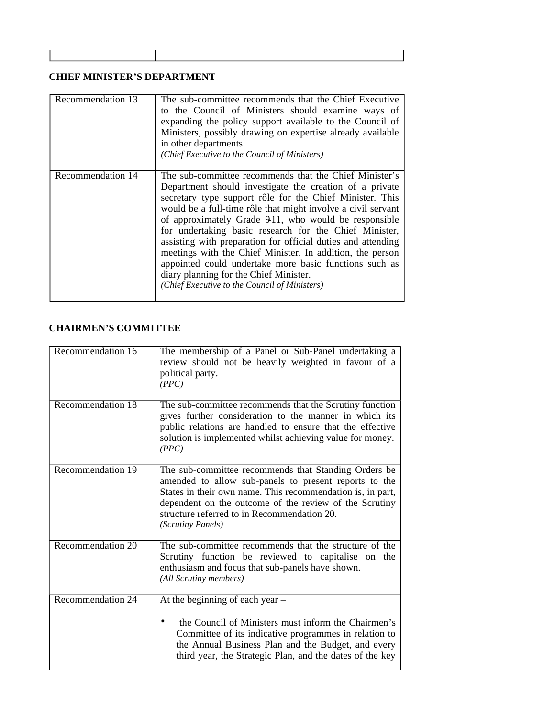# **CHIEF MINISTER'S DEPARTMENT**

| Recommendation 13 | The sub-committee recommends that the Chief Executive<br>to the Council of Ministers should examine ways of<br>expanding the policy support available to the Council of<br>Ministers, possibly drawing on expertise already available<br>in other departments.<br>(Chief Executive to the Council of Ministers)                                                                                                                                                                                                                                                                                                                                   |
|-------------------|---------------------------------------------------------------------------------------------------------------------------------------------------------------------------------------------------------------------------------------------------------------------------------------------------------------------------------------------------------------------------------------------------------------------------------------------------------------------------------------------------------------------------------------------------------------------------------------------------------------------------------------------------|
| Recommendation 14 | The sub-committee recommends that the Chief Minister's<br>Department should investigate the creation of a private<br>secretary type support rôle for the Chief Minister. This<br>would be a full-time rôle that might involve a civil servant<br>of approximately Grade 911, who would be responsible<br>for undertaking basic research for the Chief Minister,<br>assisting with preparation for official duties and attending<br>meetings with the Chief Minister. In addition, the person<br>appointed could undertake more basic functions such as<br>diary planning for the Chief Minister.<br>(Chief Executive to the Council of Ministers) |

# **CHAIRMEN'S COMMITTEE**

| Recommendation 16 | The membership of a Panel or Sub-Panel undertaking a<br>review should not be heavily weighted in favour of a<br>political party.<br>(PPC)                                                                                                                                                                 |
|-------------------|-----------------------------------------------------------------------------------------------------------------------------------------------------------------------------------------------------------------------------------------------------------------------------------------------------------|
| Recommendation 18 | The sub-committee recommends that the Scrutiny function<br>gives further consideration to the manner in which its<br>public relations are handled to ensure that the effective<br>solution is implemented whilst achieving value for money.<br>(PPC)                                                      |
| Recommendation 19 | The sub-committee recommends that Standing Orders be<br>amended to allow sub-panels to present reports to the<br>States in their own name. This recommendation is, in part,<br>dependent on the outcome of the review of the Scrutiny<br>structure referred to in Recommendation 20.<br>(Scrutiny Panels) |
| Recommendation 20 | The sub-committee recommends that the structure of the<br>Scrutiny function be reviewed to capitalise on the<br>enthusiasm and focus that sub-panels have shown.<br>(All Scrutiny members)                                                                                                                |
| Recommendation 24 | At the beginning of each year $-$<br>the Council of Ministers must inform the Chairmen's<br>Committee of its indicative programmes in relation to<br>the Annual Business Plan and the Budget, and every<br>third year, the Strategic Plan, and the dates of the key                                       |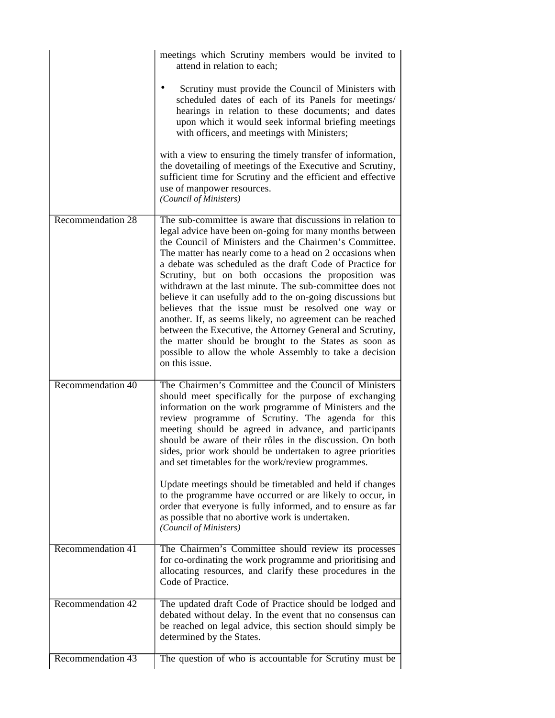|                          | meetings which Scrutiny members would be invited to<br>attend in relation to each;                                                                                                                                                                                                                                                                                                                                                                                                                                                                                                                                                                                                                                                                                                                               |
|--------------------------|------------------------------------------------------------------------------------------------------------------------------------------------------------------------------------------------------------------------------------------------------------------------------------------------------------------------------------------------------------------------------------------------------------------------------------------------------------------------------------------------------------------------------------------------------------------------------------------------------------------------------------------------------------------------------------------------------------------------------------------------------------------------------------------------------------------|
|                          | Scrutiny must provide the Council of Ministers with<br>scheduled dates of each of its Panels for meetings/<br>hearings in relation to these documents; and dates<br>upon which it would seek informal briefing meetings<br>with officers, and meetings with Ministers;                                                                                                                                                                                                                                                                                                                                                                                                                                                                                                                                           |
|                          | with a view to ensuring the timely transfer of information,<br>the dovetailing of meetings of the Executive and Scrutiny,<br>sufficient time for Scrutiny and the efficient and effective<br>use of manpower resources.<br>(Council of Ministers)                                                                                                                                                                                                                                                                                                                                                                                                                                                                                                                                                                |
| <b>Recommendation 28</b> | The sub-committee is aware that discussions in relation to<br>legal advice have been on-going for many months between<br>the Council of Ministers and the Chairmen's Committee.<br>The matter has nearly come to a head on 2 occasions when<br>a debate was scheduled as the draft Code of Practice for<br>Scrutiny, but on both occasions the proposition was<br>withdrawn at the last minute. The sub-committee does not<br>believe it can usefully add to the on-going discussions but<br>believes that the issue must be resolved one way or<br>another. If, as seems likely, no agreement can be reached<br>between the Executive, the Attorney General and Scrutiny,<br>the matter should be brought to the States as soon as<br>possible to allow the whole Assembly to take a decision<br>on this issue. |
| Recommendation 40        | The Chairmen's Committee and the Council of Ministers<br>should meet specifically for the purpose of exchanging<br>information on the work programme of Ministers and the<br>review programme of Scrutiny. The agenda for this<br>meeting should be agreed in advance, and participants<br>should be aware of their rôles in the discussion. On both<br>sides, prior work should be undertaken to agree priorities<br>and set timetables for the work/review programmes.<br>Update meetings should be timetabled and held if changes<br>to the programme have occurred or are likely to occur, in<br>order that everyone is fully informed, and to ensure as far<br>as possible that no abortive work is undertaken.<br>(Council of Ministers)                                                                   |
| Recommendation 41        | The Chairmen's Committee should review its processes<br>for co-ordinating the work programme and prioritising and<br>allocating resources, and clarify these procedures in the<br>Code of Practice.                                                                                                                                                                                                                                                                                                                                                                                                                                                                                                                                                                                                              |
| Recommendation 42        | The updated draft Code of Practice should be lodged and<br>debated without delay. In the event that no consensus can<br>be reached on legal advice, this section should simply be<br>determined by the States.                                                                                                                                                                                                                                                                                                                                                                                                                                                                                                                                                                                                   |
| Recommendation 43        | The question of who is accountable for Scrutiny must be                                                                                                                                                                                                                                                                                                                                                                                                                                                                                                                                                                                                                                                                                                                                                          |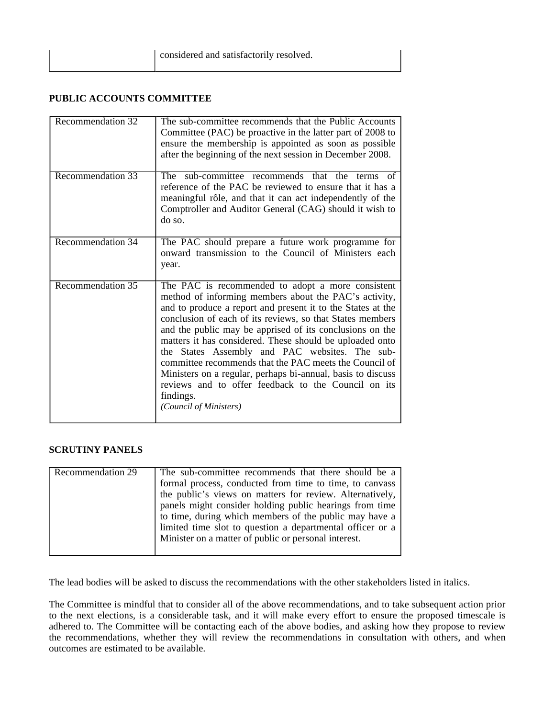## **PUBLIC ACCOUNTS COMMITTEE**

| Recommendation 32        | The sub-committee recommends that the Public Accounts<br>Committee (PAC) be proactive in the latter part of 2008 to<br>ensure the membership is appointed as soon as possible<br>after the beginning of the next session in December 2008.                                                                                                                                                                                                                                                                                                                                                                                                 |
|--------------------------|--------------------------------------------------------------------------------------------------------------------------------------------------------------------------------------------------------------------------------------------------------------------------------------------------------------------------------------------------------------------------------------------------------------------------------------------------------------------------------------------------------------------------------------------------------------------------------------------------------------------------------------------|
| Recommendation 33        | sub-committee recommends that the<br>The<br>of<br>terms<br>reference of the PAC be reviewed to ensure that it has a<br>meaningful rôle, and that it can act independently of the<br>Comptroller and Auditor General (CAG) should it wish to<br>do so.                                                                                                                                                                                                                                                                                                                                                                                      |
| <b>Recommendation 34</b> | The PAC should prepare a future work programme for<br>onward transmission to the Council of Ministers each<br>year.                                                                                                                                                                                                                                                                                                                                                                                                                                                                                                                        |
| Recommendation 35        | The PAC is recommended to adopt a more consistent<br>method of informing members about the PAC's activity,<br>and to produce a report and present it to the States at the<br>conclusion of each of its reviews, so that States members<br>and the public may be apprised of its conclusions on the<br>matters it has considered. These should be uploaded onto<br>States Assembly and PAC websites. The sub-<br>the<br>committee recommends that the PAC meets the Council of<br>Ministers on a regular, perhaps bi-annual, basis to discuss<br>reviews and to offer feedback to the Council on its<br>findings.<br>(Council of Ministers) |

## **SCRUTINY PANELS**

| Recommendation 29 | The sub-committee recommends that there should be a       |
|-------------------|-----------------------------------------------------------|
|                   | formal process, conducted from time to time, to canvass   |
|                   | the public's views on matters for review. Alternatively,  |
|                   | panels might consider holding public hearings from time   |
|                   | to time, during which members of the public may have a    |
|                   | limited time slot to question a departmental officer or a |
|                   | Minister on a matter of public or personal interest.      |
|                   |                                                           |

The lead bodies will be asked to discuss the recommendations with the other stakeholders listed in italics.

The Committee is mindful that to consider all of the above recommendations, and to take subsequent action prior to the next elections, is a considerable task, and it will make every effort to ensure the proposed timescale is adhered to. The Committee will be contacting each of the above bodies, and asking how they propose to review the recommendations, whether they will review the recommendations in consultation with others, and when outcomes are estimated to be available.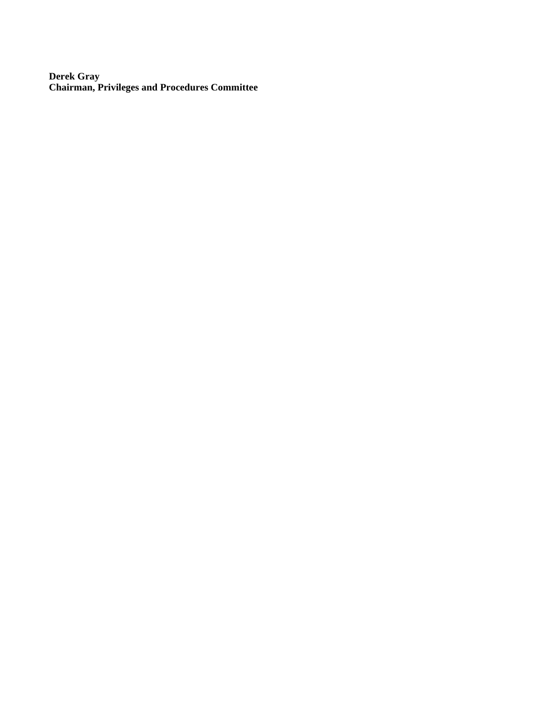**Derek Gray Chairman, Privileges and Procedures Committee**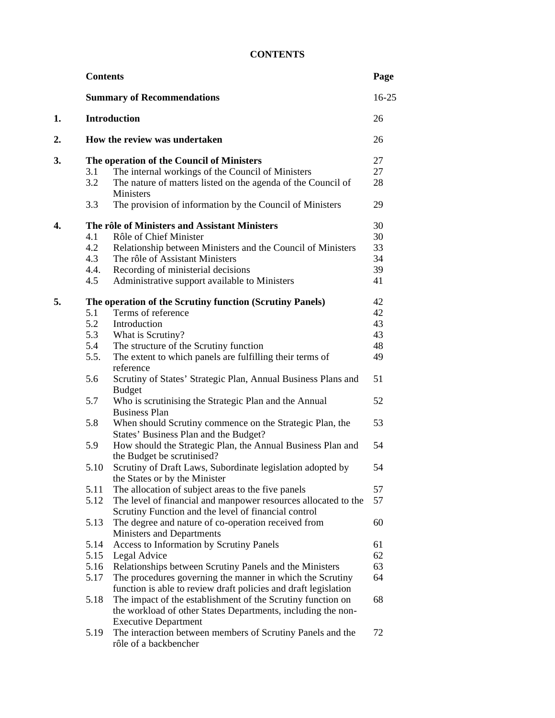| <b>CONTENTS</b> |  |
|-----------------|--|
|-----------------|--|

|    | <b>Contents</b> |                                                                                           | Page      |
|----|-----------------|-------------------------------------------------------------------------------------------|-----------|
|    |                 | <b>Summary of Recommendations</b>                                                         | $16 - 25$ |
| 1. |                 | <b>Introduction</b>                                                                       |           |
| 2. |                 | How the review was undertaken                                                             | 26        |
| 3. |                 | The operation of the Council of Ministers                                                 | 27        |
|    | 3.1             | The internal workings of the Council of Ministers                                         | 27        |
|    | 3.2             | The nature of matters listed on the agenda of the Council of<br>Ministers                 | 28        |
|    | 3.3             | The provision of information by the Council of Ministers                                  | 29        |
| 4. |                 | The rôle of Ministers and Assistant Ministers                                             | 30        |
|    | 4.1             | Rôle of Chief Minister                                                                    | 30        |
|    | 4.2             | Relationship between Ministers and the Council of Ministers                               | 33        |
|    | 4.3             | The rôle of Assistant Ministers                                                           | 34        |
|    | 4.4.            | Recording of ministerial decisions                                                        | 39        |
|    | 4.5             | Administrative support available to Ministers                                             | 41        |
| 5. |                 | The operation of the Scrutiny function (Scrutiny Panels)                                  | 42        |
|    | 5.1             | Terms of reference                                                                        | 42        |
|    | 5.2             | Introduction                                                                              | 43        |
|    | 5.3             | What is Scrutiny?                                                                         | 43        |
|    | 5.4             | The structure of the Scrutiny function                                                    | 48<br>49  |
|    | 5.5.            | The extent to which panels are fulfilling their terms of<br>reference                     |           |
|    | 5.6             | Scrutiny of States' Strategic Plan, Annual Business Plans and                             | 51        |
|    |                 | <b>Budget</b>                                                                             |           |
|    | 5.7             | Who is scrutinising the Strategic Plan and the Annual<br><b>Business Plan</b>             | 52        |
|    | 5.8             | When should Scrutiny commence on the Strategic Plan, the                                  | 53        |
|    |                 | States' Business Plan and the Budget?                                                     |           |
|    | 5.9             | How should the Strategic Plan, the Annual Business Plan and                               | 54        |
|    |                 | the Budget be scrutinised?                                                                |           |
|    | 5.10            | Scrutiny of Draft Laws, Subordinate legislation adopted by                                | 54        |
|    |                 | the States or by the Minister                                                             |           |
|    | 5.11            | The allocation of subject areas to the five panels                                        | 57        |
|    | 5.12            | The level of financial and manpower resources allocated to the                            | 57        |
|    |                 | Scrutiny Function and the level of financial control                                      |           |
|    | 5.13            | The degree and nature of co-operation received from                                       | 60        |
|    |                 | Ministers and Departments                                                                 |           |
|    | 5.14            | Access to Information by Scrutiny Panels                                                  | 61        |
|    | 5.15            | Legal Advice                                                                              | 62        |
|    | 5.16            | Relationships between Scrutiny Panels and the Ministers                                   | 63        |
|    | 5.17            | The procedures governing the manner in which the Scrutiny                                 | 64        |
|    |                 | function is able to review draft policies and draft legislation                           |           |
|    | 5.18            | The impact of the establishment of the Scrutiny function on                               | 68        |
|    |                 | the workload of other States Departments, including the non-                              |           |
|    | 5.19            | <b>Executive Department</b><br>The interaction between members of Scrutiny Panels and the | 72        |
|    |                 | rôle of a backbencher                                                                     |           |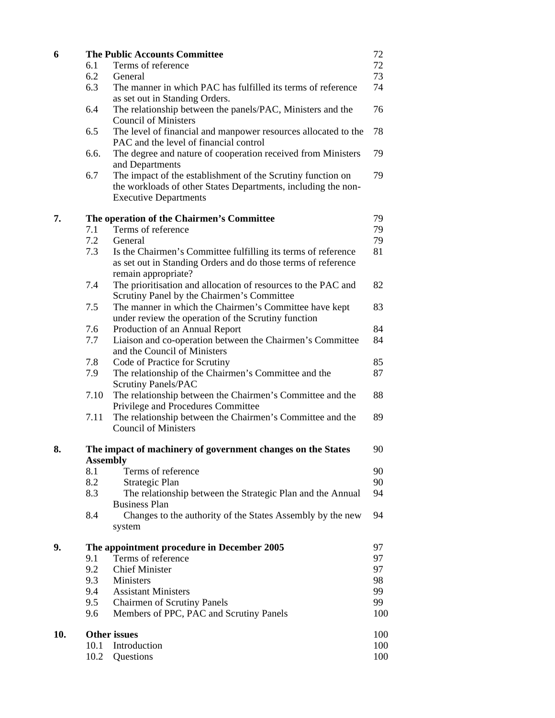| 6   |                 | <b>The Public Accounts Committee</b>                           | 72  |
|-----|-----------------|----------------------------------------------------------------|-----|
|     | 6.1             | Terms of reference                                             | 72  |
|     | 6.2             | General                                                        | 73  |
|     | 6.3             | The manner in which PAC has fulfilled its terms of reference   | 74  |
|     |                 | as set out in Standing Orders.                                 |     |
|     | 6.4             | The relationship between the panels/PAC, Ministers and the     | 76  |
|     |                 | <b>Council of Ministers</b>                                    |     |
|     | 6.5             | The level of financial and manpower resources allocated to the | 78  |
|     |                 | PAC and the level of financial control                         |     |
|     | 6.6.            | The degree and nature of cooperation received from Ministers   | 79  |
|     |                 | and Departments                                                |     |
|     | 6.7             | The impact of the establishment of the Scrutiny function on    | 79  |
|     |                 | the workloads of other States Departments, including the non-  |     |
|     |                 | <b>Executive Departments</b>                                   |     |
| 7.  |                 | The operation of the Chairmen's Committee                      | 79  |
|     | 7.1             | Terms of reference                                             | 79  |
|     | 7.2             | General                                                        | 79  |
|     | 7.3             | Is the Chairmen's Committee fulfilling its terms of reference  | 81  |
|     |                 | as set out in Standing Orders and do those terms of reference  |     |
|     |                 | remain appropriate?                                            |     |
|     | 7.4             | The prioritisation and allocation of resources to the PAC and  | 82  |
|     |                 | Scrutiny Panel by the Chairmen's Committee                     |     |
|     | 7.5             | The manner in which the Chairmen's Committee have kept         | 83  |
|     |                 | under review the operation of the Scrutiny function            |     |
|     | 7.6             | Production of an Annual Report                                 | 84  |
|     | 7.7             | Liaison and co-operation between the Chairmen's Committee      | 84  |
|     |                 | and the Council of Ministers                                   |     |
|     | 7.8             | Code of Practice for Scrutiny                                  | 85  |
|     | 7.9             | The relationship of the Chairmen's Committee and the           | 87  |
|     |                 | <b>Scrutiny Panels/PAC</b>                                     |     |
|     | 7.10            | The relationship between the Chairmen's Committee and the      | 88  |
|     |                 | Privilege and Procedures Committee                             |     |
|     | 7.11            | The relationship between the Chairmen's Committee and the      | 89  |
|     |                 | <b>Council of Ministers</b>                                    |     |
| 8.  |                 | The impact of machinery of government changes on the States    | 90  |
|     | <b>Assembly</b> |                                                                |     |
|     | 8.1             | Terms of reference                                             | 90  |
|     | 8.2             | Strategic Plan                                                 | 90  |
|     | 8.3             | The relationship between the Strategic Plan and the Annual     | 94  |
|     |                 | <b>Business Plan</b>                                           |     |
|     | 8.4             | Changes to the authority of the States Assembly by the new     | 94  |
|     |                 | system                                                         |     |
| 9.  |                 | The appointment procedure in December 2005                     | 97  |
|     | 9.1             | Terms of reference                                             | 97  |
|     | 9.2             | <b>Chief Minister</b>                                          | 97  |
|     | 9.3             | Ministers                                                      | 98  |
|     | 9.4             | <b>Assistant Ministers</b>                                     | 99  |
|     | 9.5             | <b>Chairmen of Scrutiny Panels</b>                             | 99  |
|     | 9.6             | Members of PPC, PAC and Scrutiny Panels                        | 100 |
|     |                 |                                                                |     |
| 10. |                 | <b>Other issues</b>                                            | 100 |
|     | 10.1            | Introduction                                                   | 100 |
|     | 10.2            | Questions                                                      | 100 |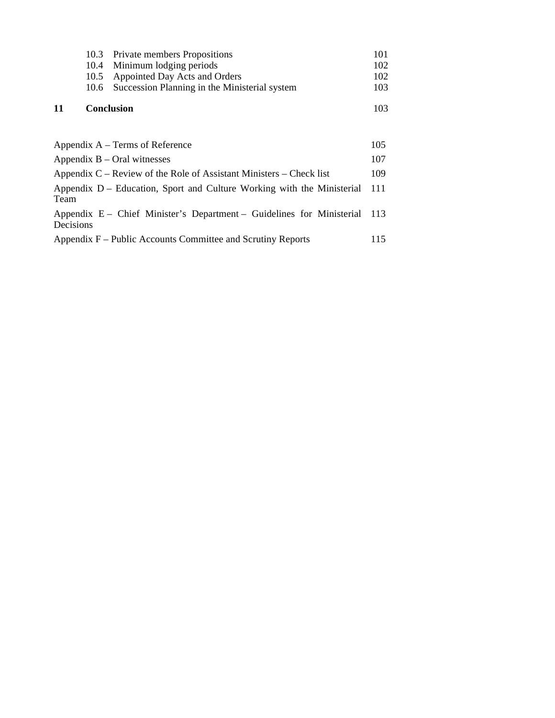|    |            | 10.3 Private members Propositions                  | 101 |
|----|------------|----------------------------------------------------|-----|
|    |            | 10.4 Minimum lodging periods                       | 102 |
|    |            | 10.5 Appointed Day Acts and Orders                 | 102 |
|    |            | 10.6 Succession Planning in the Ministerial system | 103 |
| 11 | Conclusion |                                                    | 103 |
|    |            |                                                    |     |

| Appendix $A - Terms$ of Reference                                                      | 105   |
|----------------------------------------------------------------------------------------|-------|
| Appendix $B - Oral$ witnesses                                                          | 107   |
| Appendix $C$ – Review of the Role of Assistant Ministers – Check list                  | 109   |
| Appendix D – Education, Sport and Culture Working with the Ministerial<br>Team         | - 111 |
| Appendix E – Chief Minister's Department – Guidelines for Ministerial 113<br>Decisions |       |
| Appendix F – Public Accounts Committee and Scrutiny Reports                            | 115   |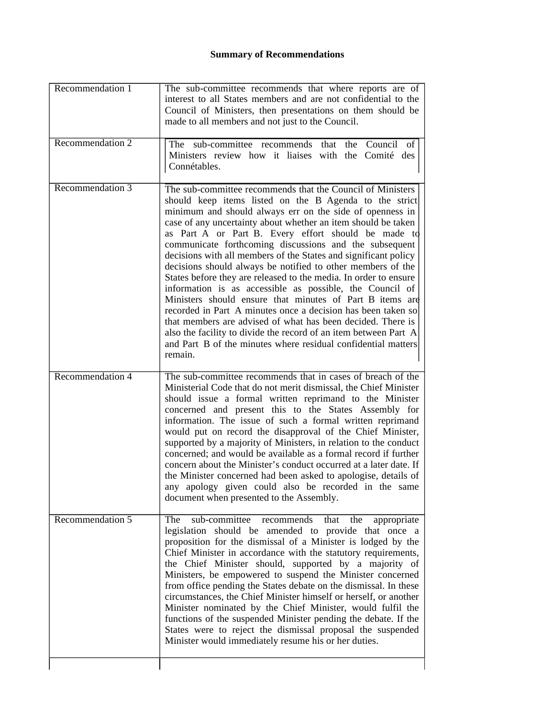# **Summary of Recommendations**

| Recommendation 1 | The sub-committee recommends that where reports are of<br>interest to all States members and are not confidential to the<br>Council of Ministers, then presentations on them should be<br>made to all members and not just to the Council.                                                                                                                                                                                                                                                                                                                                                                                                                                                                                                                                                                                                                                                                                                                                      |
|------------------|---------------------------------------------------------------------------------------------------------------------------------------------------------------------------------------------------------------------------------------------------------------------------------------------------------------------------------------------------------------------------------------------------------------------------------------------------------------------------------------------------------------------------------------------------------------------------------------------------------------------------------------------------------------------------------------------------------------------------------------------------------------------------------------------------------------------------------------------------------------------------------------------------------------------------------------------------------------------------------|
| Recommendation 2 | The sub-committee recommends that the Council of<br>Ministers review how it liaises with the Comité des<br>Connétables.                                                                                                                                                                                                                                                                                                                                                                                                                                                                                                                                                                                                                                                                                                                                                                                                                                                         |
| Recommendation 3 | The sub-committee recommends that the Council of Ministers<br>should keep items listed on the B Agenda to the strict<br>minimum and should always err on the side of openness in<br>case of any uncertainty about whether an item should be taken<br>as Part A or Part B. Every effort should be made to<br>communicate forthcoming discussions and the subsequent<br>decisions with all members of the States and significant policy<br>decisions should always be notified to other members of the<br>States before they are released to the media. In order to ensure<br>information is as accessible as possible, the Council of<br>Ministers should ensure that minutes of Part B items are<br>recorded in Part A minutes once a decision has been taken so<br>that members are advised of what has been decided. There is<br>also the facility to divide the record of an item between Part A<br>and Part B of the minutes where residual confidential matters<br>remain. |
| Recommendation 4 | The sub-committee recommends that in cases of breach of the<br>Ministerial Code that do not merit dismissal, the Chief Minister<br>should issue a formal written reprimand to the Minister<br>concerned and present this to the States Assembly for<br>information. The issue of such a formal written reprimand<br>would put on record the disapproval of the Chief Minister,<br>supported by a majority of Ministers, in relation to the conduct<br>concerned; and would be available as a formal record if further<br>concern about the Minister's conduct occurred at a later date. If<br>the Minister concerned had been asked to apologise, details of<br>any apology given could also be recorded in the same<br>document when presented to the Assembly.                                                                                                                                                                                                                |
| Recommendation 5 | sub-committee<br>recommends that the<br>The<br>appropriate<br>legislation should be amended to provide that once a<br>proposition for the dismissal of a Minister is lodged by the<br>Chief Minister in accordance with the statutory requirements,<br>the Chief Minister should, supported by a majority of<br>Ministers, be empowered to suspend the Minister concerned<br>from office pending the States debate on the dismissal. In these<br>circumstances, the Chief Minister himself or herself, or another<br>Minister nominated by the Chief Minister, would fulfil the<br>functions of the suspended Minister pending the debate. If the<br>States were to reject the dismissal proposal the suspended<br>Minister would immediately resume his or her duties.                                                                                                                                                                                                         |
|                  |                                                                                                                                                                                                                                                                                                                                                                                                                                                                                                                                                                                                                                                                                                                                                                                                                                                                                                                                                                                 |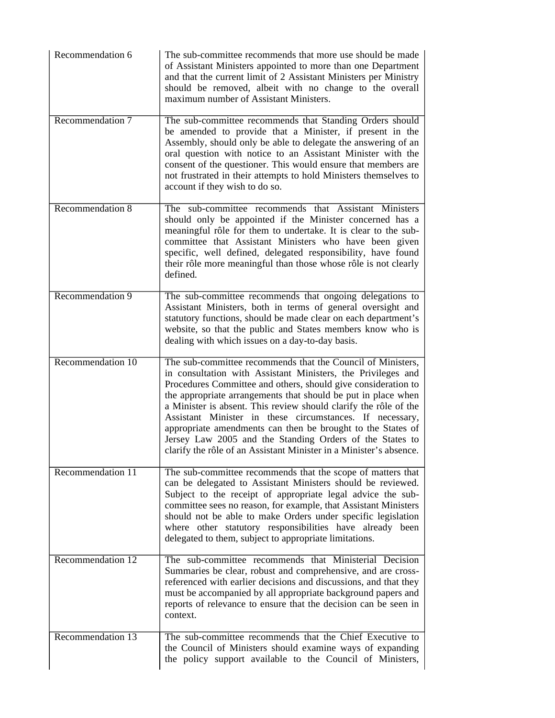| Recommendation 6  | The sub-committee recommends that more use should be made<br>of Assistant Ministers appointed to more than one Department<br>and that the current limit of 2 Assistant Ministers per Ministry<br>should be removed, albeit with no change to the overall<br>maximum number of Assistant Ministers.                                                                                                                                                                                                                                                                                             |
|-------------------|------------------------------------------------------------------------------------------------------------------------------------------------------------------------------------------------------------------------------------------------------------------------------------------------------------------------------------------------------------------------------------------------------------------------------------------------------------------------------------------------------------------------------------------------------------------------------------------------|
| Recommendation 7  | The sub-committee recommends that Standing Orders should<br>be amended to provide that a Minister, if present in the<br>Assembly, should only be able to delegate the answering of an<br>oral question with notice to an Assistant Minister with the<br>consent of the questioner. This would ensure that members are<br>not frustrated in their attempts to hold Ministers themselves to<br>account if they wish to do so.                                                                                                                                                                    |
| Recommendation 8  | The sub-committee recommends that Assistant Ministers<br>should only be appointed if the Minister concerned has a<br>meaningful rôle for them to undertake. It is clear to the sub-<br>committee that Assistant Ministers who have been given<br>specific, well defined, delegated responsibility, have found<br>their rôle more meaningful than those whose rôle is not clearly<br>defined.                                                                                                                                                                                                   |
| Recommendation 9  | The sub-committee recommends that ongoing delegations to<br>Assistant Ministers, both in terms of general oversight and<br>statutory functions, should be made clear on each department's<br>website, so that the public and States members know who is<br>dealing with which issues on a day-to-day basis.                                                                                                                                                                                                                                                                                    |
| Recommendation 10 | The sub-committee recommends that the Council of Ministers,<br>in consultation with Assistant Ministers, the Privileges and<br>Procedures Committee and others, should give consideration to<br>the appropriate arrangements that should be put in place when<br>a Minister is absent. This review should clarify the rôle of the<br>Assistant Minister in these circumstances. If necessary,<br>appropriate amendments can then be brought to the States of<br>Jersey Law 2005 and the Standing Orders of the States to<br>clarify the rôle of an Assistant Minister in a Minister's absence. |
| Recommendation 11 | The sub-committee recommends that the scope of matters that<br>can be delegated to Assistant Ministers should be reviewed.<br>Subject to the receipt of appropriate legal advice the sub-<br>committee sees no reason, for example, that Assistant Ministers<br>should not be able to make Orders under specific legislation<br>where other statutory responsibilities have already been<br>delegated to them, subject to appropriate limitations.                                                                                                                                             |
| Recommendation 12 | The sub-committee recommends that Ministerial Decision<br>Summaries be clear, robust and comprehensive, and are cross-<br>referenced with earlier decisions and discussions, and that they<br>must be accompanied by all appropriate background papers and<br>reports of relevance to ensure that the decision can be seen in<br>context.                                                                                                                                                                                                                                                      |
| Recommendation 13 | The sub-committee recommends that the Chief Executive to<br>the Council of Ministers should examine ways of expanding<br>the policy support available to the Council of Ministers,                                                                                                                                                                                                                                                                                                                                                                                                             |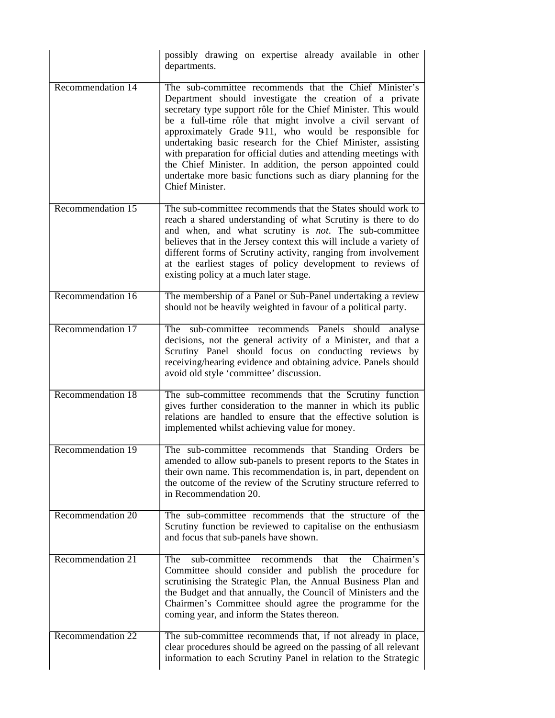|                   | possibly drawing on expertise already available in other<br>departments.                                                                                                                                                                                                                                                                                                                                                                                                                                                                                                                         |
|-------------------|--------------------------------------------------------------------------------------------------------------------------------------------------------------------------------------------------------------------------------------------------------------------------------------------------------------------------------------------------------------------------------------------------------------------------------------------------------------------------------------------------------------------------------------------------------------------------------------------------|
| Recommendation 14 | The sub-committee recommends that the Chief Minister's<br>Department should investigate the creation of a private<br>secretary type support rôle for the Chief Minister. This would<br>be a full-time rôle that might involve a civil servant of<br>approximately Grade 911, who would be responsible for<br>undertaking basic research for the Chief Minister, assisting<br>with preparation for official duties and attending meetings with<br>the Chief Minister. In addition, the person appointed could<br>undertake more basic functions such as diary planning for the<br>Chief Minister. |
| Recommendation 15 | The sub-committee recommends that the States should work to<br>reach a shared understanding of what Scrutiny is there to do<br>and when, and what scrutiny is <i>not</i> . The sub-committee<br>believes that in the Jersey context this will include a variety of<br>different forms of Scrutiny activity, ranging from involvement<br>at the earliest stages of policy development to reviews of<br>existing policy at a much later stage.                                                                                                                                                     |
| Recommendation 16 | The membership of a Panel or Sub-Panel undertaking a review<br>should not be heavily weighted in favour of a political party.                                                                                                                                                                                                                                                                                                                                                                                                                                                                    |
| Recommendation 17 | The sub-committee recommends Panels should analyse<br>decisions, not the general activity of a Minister, and that a<br>Scrutiny Panel should focus on conducting reviews by<br>receiving/hearing evidence and obtaining advice. Panels should<br>avoid old style 'committee' discussion.                                                                                                                                                                                                                                                                                                         |
| Recommendation 18 | The sub-committee recommends that the Scrutiny function<br>gives further consideration to the manner in which its public<br>relations are handled to ensure that the effective solution is<br>implemented whilst achieving value for money.                                                                                                                                                                                                                                                                                                                                                      |
| Recommendation 19 | The sub-committee recommends that Standing Orders be<br>amended to allow sub-panels to present reports to the States in<br>their own name. This recommendation is, in part, dependent on<br>the outcome of the review of the Scrutiny structure referred to<br>in Recommendation 20.                                                                                                                                                                                                                                                                                                             |
| Recommendation 20 | The sub-committee recommends that the structure of the<br>Scrutiny function be reviewed to capitalise on the enthusiasm<br>and focus that sub-panels have shown.                                                                                                                                                                                                                                                                                                                                                                                                                                 |
| Recommendation 21 | sub-committee<br>The<br>recommends<br>Chairmen's<br>that<br>the<br>Committee should consider and publish the procedure for<br>scrutinising the Strategic Plan, the Annual Business Plan and<br>the Budget and that annually, the Council of Ministers and the<br>Chairmen's Committee should agree the programme for the<br>coming year, and inform the States thereon.                                                                                                                                                                                                                          |
| Recommendation 22 | The sub-committee recommends that, if not already in place,<br>clear procedures should be agreed on the passing of all relevant<br>information to each Scrutiny Panel in relation to the Strategic                                                                                                                                                                                                                                                                                                                                                                                               |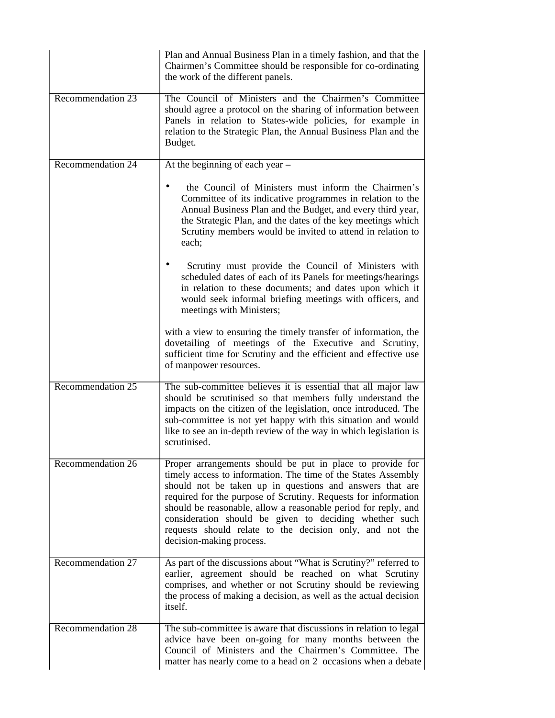|                   | Plan and Annual Business Plan in a timely fashion, and that the<br>Chairmen's Committee should be responsible for co-ordinating<br>the work of the different panels.                                                                                                                                                                                                                                                                                                         |
|-------------------|------------------------------------------------------------------------------------------------------------------------------------------------------------------------------------------------------------------------------------------------------------------------------------------------------------------------------------------------------------------------------------------------------------------------------------------------------------------------------|
| Recommendation 23 | The Council of Ministers and the Chairmen's Committee<br>should agree a protocol on the sharing of information between<br>Panels in relation to States-wide policies, for example in<br>relation to the Strategic Plan, the Annual Business Plan and the<br>Budget.                                                                                                                                                                                                          |
| Recommendation 24 | At the beginning of each year $-$                                                                                                                                                                                                                                                                                                                                                                                                                                            |
|                   | the Council of Ministers must inform the Chairmen's<br>٠<br>Committee of its indicative programmes in relation to the<br>Annual Business Plan and the Budget, and every third year,<br>the Strategic Plan, and the dates of the key meetings which<br>Scrutiny members would be invited to attend in relation to<br>each;                                                                                                                                                    |
|                   | Scrutiny must provide the Council of Ministers with<br>scheduled dates of each of its Panels for meetings/hearings<br>in relation to these documents; and dates upon which it<br>would seek informal briefing meetings with officers, and<br>meetings with Ministers;                                                                                                                                                                                                        |
|                   | with a view to ensuring the timely transfer of information, the<br>dovetailing of meetings of the Executive and Scrutiny,<br>sufficient time for Scrutiny and the efficient and effective use<br>of manpower resources.                                                                                                                                                                                                                                                      |
| Recommendation 25 | The sub-committee believes it is essential that all major law<br>should be scrutinised so that members fully understand the<br>impacts on the citizen of the legislation, once introduced. The<br>sub-committee is not yet happy with this situation and would<br>like to see an in-depth review of the way in which legislation is<br>scrutinised.                                                                                                                          |
| Recommendation 26 | Proper arrangements should be put in place to provide for<br>timely access to information. The time of the States Assembly<br>should not be taken up in questions and answers that are<br>required for the purpose of Scrutiny. Requests for information<br>should be reasonable, allow a reasonable period for reply, and<br>consideration should be given to deciding whether such<br>requests should relate to the decision only, and not the<br>decision-making process. |
| Recommendation 27 | As part of the discussions about "What is Scrutiny?" referred to<br>earlier, agreement should be reached on what Scrutiny<br>comprises, and whether or not Scrutiny should be reviewing<br>the process of making a decision, as well as the actual decision<br>itself.                                                                                                                                                                                                       |
| Recommendation 28 | The sub-committee is aware that discussions in relation to legal<br>advice have been on-going for many months between the<br>Council of Ministers and the Chairmen's Committee. The<br>matter has nearly come to a head on 2 occasions when a debate                                                                                                                                                                                                                         |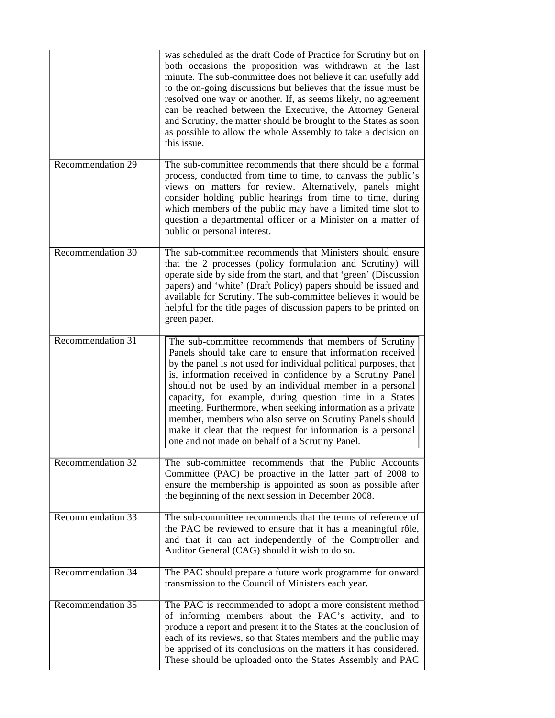|                          | was scheduled as the draft Code of Practice for Scrutiny but on<br>both occasions the proposition was withdrawn at the last<br>minute. The sub-committee does not believe it can usefully add<br>to the on-going discussions but believes that the issue must be<br>resolved one way or another. If, as seems likely, no agreement<br>can be reached between the Executive, the Attorney General<br>and Scrutiny, the matter should be brought to the States as soon<br>as possible to allow the whole Assembly to take a decision on<br>this issue.                                                                        |
|--------------------------|-----------------------------------------------------------------------------------------------------------------------------------------------------------------------------------------------------------------------------------------------------------------------------------------------------------------------------------------------------------------------------------------------------------------------------------------------------------------------------------------------------------------------------------------------------------------------------------------------------------------------------|
| Recommendation 29        | The sub-committee recommends that there should be a formal<br>process, conducted from time to time, to canvass the public's<br>views on matters for review. Alternatively, panels might<br>consider holding public hearings from time to time, during<br>which members of the public may have a limited time slot to<br>question a departmental officer or a Minister on a matter of<br>public or personal interest.                                                                                                                                                                                                        |
| Recommendation 30        | The sub-committee recommends that Ministers should ensure<br>that the 2 processes (policy formulation and Scrutiny) will<br>operate side by side from the start, and that 'green' (Discussion<br>papers) and 'white' (Draft Policy) papers should be issued and<br>available for Scrutiny. The sub-committee believes it would be<br>helpful for the title pages of discussion papers to be printed on<br>green paper.                                                                                                                                                                                                      |
| Recommendation 31        | The sub-committee recommends that members of Scrutiny<br>Panels should take care to ensure that information received<br>by the panel is not used for individual political purposes, that<br>is, information received in confidence by a Scrutiny Panel<br>should not be used by an individual member in a personal<br>capacity, for example, during question time in a States<br>meeting. Furthermore, when seeking information as a private<br>member, members who also serve on Scrutiny Panels should<br>make it clear that the request for information is a personal<br>one and not made on behalf of a Scrutiny Panel. |
| Recommendation 32        | The sub-committee recommends that the Public Accounts<br>Committee (PAC) be proactive in the latter part of 2008 to<br>ensure the membership is appointed as soon as possible after<br>the beginning of the next session in December 2008.                                                                                                                                                                                                                                                                                                                                                                                  |
| Recommendation 33        | The sub-committee recommends that the terms of reference of<br>the PAC be reviewed to ensure that it has a meaningful rôle,<br>and that it can act independently of the Comptroller and<br>Auditor General (CAG) should it wish to do so.                                                                                                                                                                                                                                                                                                                                                                                   |
| <b>Recommendation 34</b> | The PAC should prepare a future work programme for onward<br>transmission to the Council of Ministers each year.                                                                                                                                                                                                                                                                                                                                                                                                                                                                                                            |
| Recommendation 35        | The PAC is recommended to adopt a more consistent method<br>of informing members about the PAC's activity, and to<br>produce a report and present it to the States at the conclusion of<br>each of its reviews, so that States members and the public may<br>be apprised of its conclusions on the matters it has considered.<br>These should be uploaded onto the States Assembly and PAC                                                                                                                                                                                                                                  |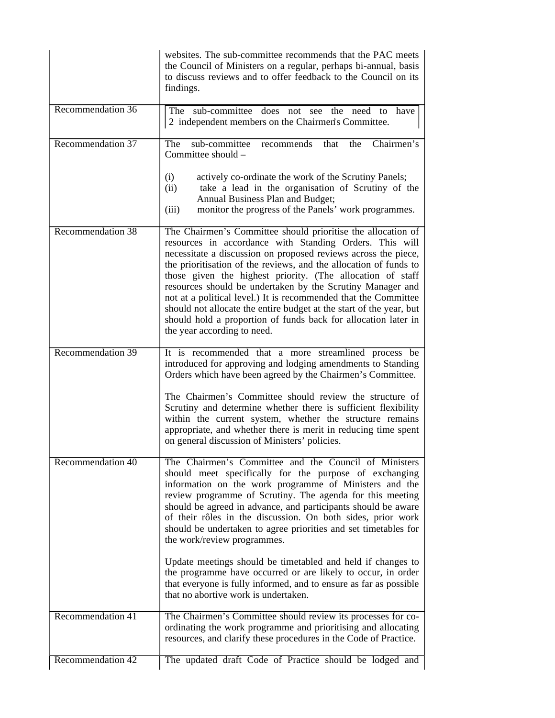|                   | websites. The sub-committee recommends that the PAC meets<br>the Council of Ministers on a regular, perhaps bi-annual, basis<br>to discuss reviews and to offer feedback to the Council on its<br>findings.                                                                                                                                                                                                                                                                                                                                                                                                                                                                                                          |
|-------------------|----------------------------------------------------------------------------------------------------------------------------------------------------------------------------------------------------------------------------------------------------------------------------------------------------------------------------------------------------------------------------------------------------------------------------------------------------------------------------------------------------------------------------------------------------------------------------------------------------------------------------------------------------------------------------------------------------------------------|
| Recommendation 36 | The sub-committee does not see the need to have<br>2 independent members on the Chairmen's Committee.                                                                                                                                                                                                                                                                                                                                                                                                                                                                                                                                                                                                                |
| Recommendation 37 | Chairmen's<br>The<br>sub-committee<br>recommends<br>that<br>the<br>Committee should -                                                                                                                                                                                                                                                                                                                                                                                                                                                                                                                                                                                                                                |
|                   | (i)<br>actively co-ordinate the work of the Scrutiny Panels;<br>take a lead in the organisation of Scrutiny of the<br>(ii)<br>Annual Business Plan and Budget;<br>(iii)<br>monitor the progress of the Panels' work programmes.                                                                                                                                                                                                                                                                                                                                                                                                                                                                                      |
| Recommendation 38 | The Chairmen's Committee should prioritise the allocation of<br>resources in accordance with Standing Orders. This will<br>necessitate a discussion on proposed reviews across the piece,<br>the prioritisation of the reviews, and the allocation of funds to<br>those given the highest priority. (The allocation of staff<br>resources should be undertaken by the Scrutiny Manager and<br>not at a political level.) It is recommended that the Committee<br>should not allocate the entire budget at the start of the year, but<br>should hold a proportion of funds back for allocation later in<br>the year according to need.                                                                                |
| Recommendation 39 | It is recommended that a more streamlined process be<br>introduced for approving and lodging amendments to Standing<br>Orders which have been agreed by the Chairmen's Committee.<br>The Chairmen's Committee should review the structure of<br>Scrutiny and determine whether there is sufficient flexibility<br>within the current system, whether the structure remains<br>appropriate, and whether there is merit in reducing time spent<br>on general discussion of Ministers' policies.                                                                                                                                                                                                                        |
| Recommendation 40 | The Chairmen's Committee and the Council of Ministers<br>should meet specifically for the purpose of exchanging<br>information on the work programme of Ministers and the<br>review programme of Scrutiny. The agenda for this meeting<br>should be agreed in advance, and participants should be aware<br>of their rôles in the discussion. On both sides, prior work<br>should be undertaken to agree priorities and set timetables for<br>the work/review programmes.<br>Update meetings should be timetabled and held if changes to<br>the programme have occurred or are likely to occur, in order<br>that everyone is fully informed, and to ensure as far as possible<br>that no abortive work is undertaken. |
| Recommendation 41 | The Chairmen's Committee should review its processes for co-<br>ordinating the work programme and prioritising and allocating<br>resources, and clarify these procedures in the Code of Practice.                                                                                                                                                                                                                                                                                                                                                                                                                                                                                                                    |
| Recommendation 42 | The updated draft Code of Practice should be lodged and                                                                                                                                                                                                                                                                                                                                                                                                                                                                                                                                                                                                                                                              |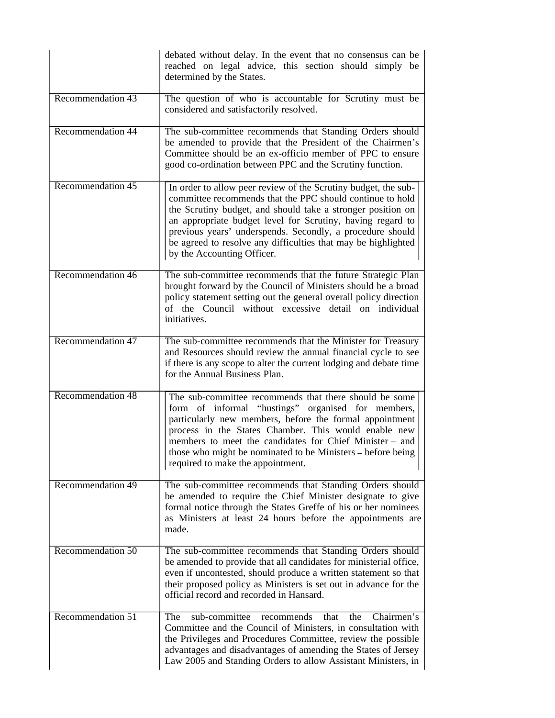|                   | debated without delay. In the event that no consensus can be<br>reached on legal advice, this section should simply be<br>determined by the States.                                                                                                                                                                                                                                                                  |
|-------------------|----------------------------------------------------------------------------------------------------------------------------------------------------------------------------------------------------------------------------------------------------------------------------------------------------------------------------------------------------------------------------------------------------------------------|
| Recommendation 43 | The question of who is accountable for Scrutiny must be<br>considered and satisfactorily resolved.                                                                                                                                                                                                                                                                                                                   |
| Recommendation 44 | The sub-committee recommends that Standing Orders should<br>be amended to provide that the President of the Chairmen's<br>Committee should be an ex-officio member of PPC to ensure<br>good co-ordination between PPC and the Scrutiny function.                                                                                                                                                                     |
| Recommendation 45 | In order to allow peer review of the Scrutiny budget, the sub-<br>committee recommends that the PPC should continue to hold<br>the Scrutiny budget, and should take a stronger position on<br>an appropriate budget level for Scrutiny, having regard to<br>previous years' underspends. Secondly, a procedure should<br>be agreed to resolve any difficulties that may be highlighted<br>by the Accounting Officer. |
| Recommendation 46 | The sub-committee recommends that the future Strategic Plan<br>brought forward by the Council of Ministers should be a broad<br>policy statement setting out the general overall policy direction<br>of the Council without excessive detail on individual<br>initiatives.                                                                                                                                           |
| Recommendation 47 | The sub-committee recommends that the Minister for Treasury<br>and Resources should review the annual financial cycle to see<br>if there is any scope to alter the current lodging and debate time<br>for the Annual Business Plan.                                                                                                                                                                                  |
| Recommendation 48 | The sub-committee recommends that there should be some<br>form of informal "hustings" organised for members,<br>particularly new members, before the formal appointment<br>process in the States Chamber. This would enable new<br>members to meet the candidates for Chief Minister – and<br>those who might be nominated to be Ministers - before being<br>required to make the appointment.                       |
| Recommendation 49 | The sub-committee recommends that Standing Orders should<br>be amended to require the Chief Minister designate to give<br>formal notice through the States Greffe of his or her nominees<br>as Ministers at least 24 hours before the appointments are<br>made.                                                                                                                                                      |
| Recommendation 50 | The sub-committee recommends that Standing Orders should<br>be amended to provide that all candidates for ministerial office,<br>even if uncontested, should produce a written statement so that<br>their proposed policy as Ministers is set out in advance for the<br>official record and recorded in Hansard.                                                                                                     |
| Recommendation 51 | sub-committee<br>recommends<br>the<br>Chairmen's<br>The<br>that<br>Committee and the Council of Ministers, in consultation with<br>the Privileges and Procedures Committee, review the possible<br>advantages and disadvantages of amending the States of Jersey<br>Law 2005 and Standing Orders to allow Assistant Ministers, in                                                                                    |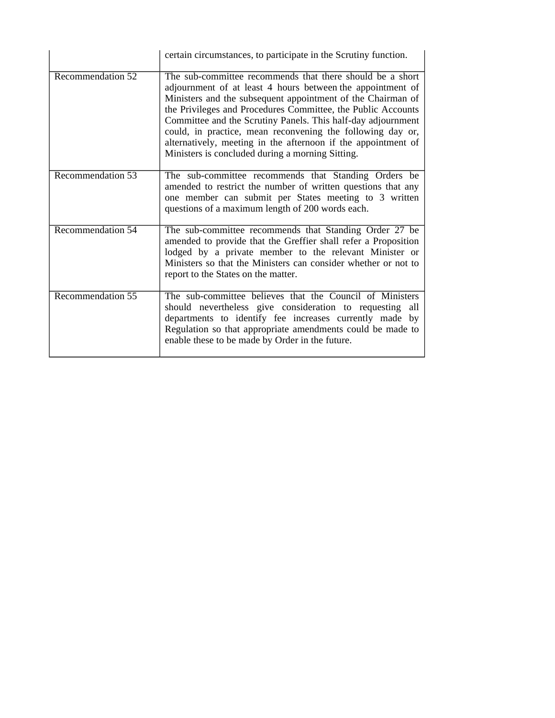|                   | certain circumstances, to participate in the Scrutiny function.                                                                                                                                                                                                                                                                                                                                                                                                                                           |
|-------------------|-----------------------------------------------------------------------------------------------------------------------------------------------------------------------------------------------------------------------------------------------------------------------------------------------------------------------------------------------------------------------------------------------------------------------------------------------------------------------------------------------------------|
| Recommendation 52 | The sub-committee recommends that there should be a short<br>adjournment of at least 4 hours between the appointment of<br>Ministers and the subsequent appointment of the Chairman of<br>the Privileges and Procedures Committee, the Public Accounts<br>Committee and the Scrutiny Panels. This half-day adjournment<br>could, in practice, mean reconvening the following day or,<br>alternatively, meeting in the afternoon if the appointment of<br>Ministers is concluded during a morning Sitting. |
| Recommendation 53 | The sub-committee recommends that Standing Orders be<br>amended to restrict the number of written questions that any<br>one member can submit per States meeting to 3 written<br>questions of a maximum length of 200 words each.                                                                                                                                                                                                                                                                         |
| Recommendation 54 | The sub-committee recommends that Standing Order 27 be<br>amended to provide that the Greffier shall refer a Proposition<br>lodged by a private member to the relevant Minister or<br>Ministers so that the Ministers can consider whether or not to<br>report to the States on the matter.                                                                                                                                                                                                               |
| Recommendation 55 | The sub-committee believes that the Council of Ministers<br>should nevertheless give consideration to requesting all<br>departments to identify fee increases currently made by<br>Regulation so that appropriate amendments could be made to<br>enable these to be made by Order in the future.                                                                                                                                                                                                          |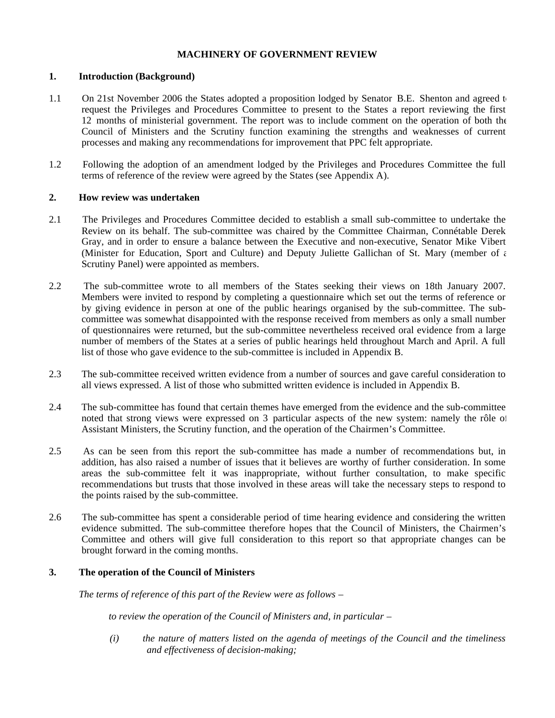#### **MACHINERY OF GOVERNMENT REVIEW**

#### **1. Introduction (Background)**

- 1.1 On 21st November 2006 the States adopted a proposition lodged by Senator B.E. Shenton and agreed to request the Privileges and Procedures Committee to present to the States a report reviewing the first 12 months of ministerial government. The report was to include comment on the operation of both the Council of Ministers and the Scrutiny function examining the strengths and weaknesses of current processes and making any recommendations for improvement that PPC felt appropriate.
- 1.2 Following the adoption of an amendment lodged by the Privileges and Procedures Committee the full terms of reference of the review were agreed by the States (see Appendix A).

#### **2. How review was undertaken**

- 2.1 The Privileges and Procedures Committee decided to establish a small sub-committee to undertake the Review on its behalf. The sub-committee was chaired by the Committee Chairman, Connétable Derek Gray, and in order to ensure a balance between the Executive and non-executive, Senator Mike Vibert (Minister for Education, Sport and Culture) and Deputy Juliette Gallichan of St. Mary (member of  $\epsilon$ Scrutiny Panel) were appointed as members.
- 2.2 The sub-committee wrote to all members of the States seeking their views on 18th January 2007. Members were invited to respond by completing a questionnaire which set out the terms of reference or by giving evidence in person at one of the public hearings organised by the sub-committee. The subcommittee was somewhat disappointed with the response received from members as only a small number of questionnaires were returned, but the sub-committee nevertheless received oral evidence from a large number of members of the States at a series of public hearings held throughout March and April. A full list of those who gave evidence to the sub-committee is included in Appendix B.
- 2.3 The sub-committee received written evidence from a number of sources and gave careful consideration to all views expressed. A list of those who submitted written evidence is included in Appendix B.
- 2.4 The sub-committee has found that certain themes have emerged from the evidence and the sub-committee noted that strong views were expressed on 3 particular aspects of the new system: namely the rôle of Assistant Ministers, the Scrutiny function, and the operation of the Chairmen's Committee.
- 2.5 As can be seen from this report the sub-committee has made a number of recommendations but, in addition, has also raised a number of issues that it believes are worthy of further consideration. In some areas the sub-committee felt it was inappropriate, without further consultation, to make specific recommendations but trusts that those involved in these areas will take the necessary steps to respond to the points raised by the sub-committee.
- 2.6 The sub-committee has spent a considerable period of time hearing evidence and considering the written evidence submitted. The sub-committee therefore hopes that the Council of Ministers, the Chairmen's Committee and others will give full consideration to this report so that appropriate changes can be brought forward in the coming months.

#### **3. The operation of the Council of Ministers**

 *The terms of reference of this part of the Review were as follows –*

*to review the operation of the Council of Ministers and, in particular –* 

 *(i) the nature of matters listed on the agenda of meetings of the Council and the timeliness and effectiveness of decision-making;*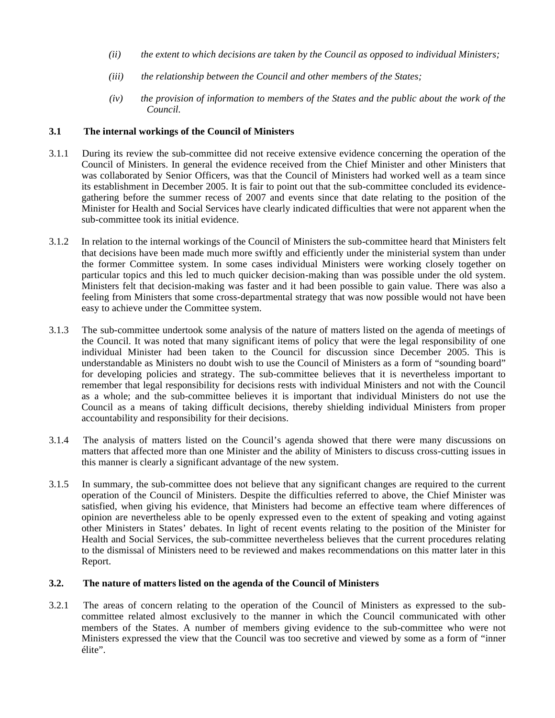- *(ii) the extent to which decisions are taken by the Council as opposed to individual Ministers;*
- *(iii) the relationship between the Council and other members of the States;*
- *(iv) the provision of information to members of the States and the public about the work of the Council.*

#### **3.1 The internal workings of the Council of Ministers**

- 3.1.1 During its review the sub-committee did not receive extensive evidence concerning the operation of the Council of Ministers. In general the evidence received from the Chief Minister and other Ministers that was collaborated by Senior Officers, was that the Council of Ministers had worked well as a team since its establishment in December 2005. It is fair to point out that the sub-committee concluded its evidencegathering before the summer recess of 2007 and events since that date relating to the position of the Minister for Health and Social Services have clearly indicated difficulties that were not apparent when the sub-committee took its initial evidence.
- 3.1.2 In relation to the internal workings of the Council of Ministers the sub-committee heard that Ministers felt that decisions have been made much more swiftly and efficiently under the ministerial system than under the former Committee system. In some cases individual Ministers were working closely together on particular topics and this led to much quicker decision-making than was possible under the old system. Ministers felt that decision-making was faster and it had been possible to gain value. There was also a feeling from Ministers that some cross-departmental strategy that was now possible would not have been easy to achieve under the Committee system.
- 3.1.3 The sub-committee undertook some analysis of the nature of matters listed on the agenda of meetings of the Council. It was noted that many significant items of policy that were the legal responsibility of one individual Minister had been taken to the Council for discussion since December 2005. This is understandable as Ministers no doubt wish to use the Council of Ministers as a form of "sounding board" for developing policies and strategy. The sub-committee believes that it is nevertheless important to remember that legal responsibility for decisions rests with individual Ministers and not with the Council as a whole; and the sub-committee believes it is important that individual Ministers do not use the Council as a means of taking difficult decisions, thereby shielding individual Ministers from proper accountability and responsibility for their decisions.
- 3.1.4 The analysis of matters listed on the Council's agenda showed that there were many discussions on matters that affected more than one Minister and the ability of Ministers to discuss cross-cutting issues in this manner is clearly a significant advantage of the new system.
- 3.1.5 In summary, the sub-committee does not believe that any significant changes are required to the current operation of the Council of Ministers. Despite the difficulties referred to above, the Chief Minister was satisfied, when giving his evidence, that Ministers had become an effective team where differences of opinion are nevertheless able to be openly expressed even to the extent of speaking and voting against other Ministers in States' debates. In light of recent events relating to the position of the Minister for Health and Social Services, the sub-committee nevertheless believes that the current procedures relating to the dismissal of Ministers need to be reviewed and makes recommendations on this matter later in this Report.

#### **3.2. The nature of matters listed on the agenda of the Council of Ministers**

3.2.1 The areas of concern relating to the operation of the Council of Ministers as expressed to the subcommittee related almost exclusively to the manner in which the Council communicated with other members of the States. A number of members giving evidence to the sub-committee who were not Ministers expressed the view that the Council was too secretive and viewed by some as a form of "inner élite".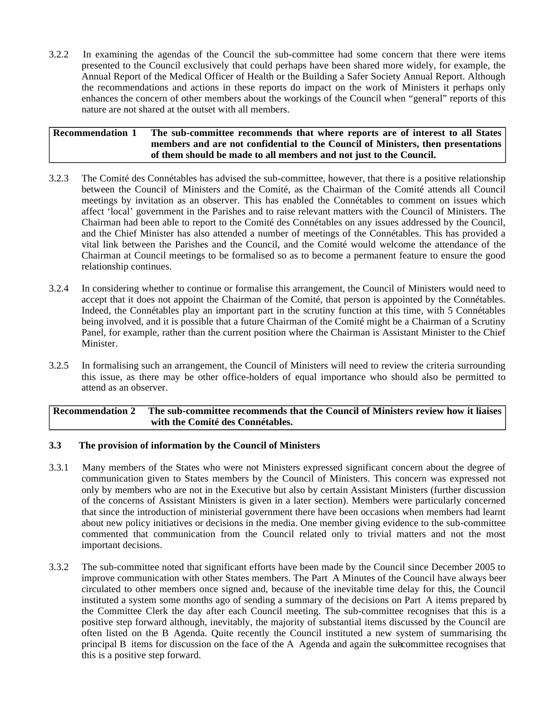3.2.2 In examining the agendas of the Council the sub-committee had some concern that there were items presented to the Council exclusively that could perhaps have been shared more widely, for example, the Annual Report of the Medical Officer of Health or the Building a Safer Society Annual Report. Although the recommendations and actions in these reports do impact on the work of Ministers it perhaps only enhances the concern of other members about the workings of the Council when "general" reports of this nature are not shared at the outset with all members.

#### **Recommendation 1 The sub-committee recommends that where reports are of interest to all States members and are not confidential to the Council of Ministers, then presentations of them should be made to all members and not just to the Council.**

- 3.2.3 The Comité des Connétables has advised the sub-committee, however, that there is a positive relationship between the Council of Ministers and the Comité, as the Chairman of the Comité attends all Council meetings by invitation as an observer. This has enabled the Connétables to comment on issues which affect 'local' government in the Parishes and to raise relevant matters with the Council of Ministers. The Chairman had been able to report to the Comité des Connétables on any issues addressed by the Council, and the Chief Minister has also attended a number of meetings of the Connétables. This has provided a vital link between the Parishes and the Council, and the Comité would welcome the attendance of the Chairman at Council meetings to be formalised so as to become a permanent feature to ensure the good relationship continues.
- 3.2.4 In considering whether to continue or formalise this arrangement, the Council of Ministers would need to accept that it does not appoint the Chairman of the Comité, that person is appointed by the Connétables. Indeed, the Connétables play an important part in the scrutiny function at this time, with 5 Connétables being involved, and it is possible that a future Chairman of the Comité might be a Chairman of a Scrutiny Panel, for example, rather than the current position where the Chairman is Assistant Minister to the Chief Minister.
- 3.2.5 In formalising such an arrangement, the Council of Ministers will need to review the criteria surrounding this issue, as there may be other office-holders of equal importance who should also be permitted to attend as an observer.

**Recommendation 2 The sub-committee recommends that the Council of Ministers review how it liaises with the Comité des Connétables.**

#### **3.3 The provision of information by the Council of Ministers**

- 3.3.1 Many members of the States who were not Ministers expressed significant concern about the degree of communication given to States members by the Council of Ministers. This concern was expressed not only by members who are not in the Executive but also by certain Assistant Ministers (further discussion of the concerns of Assistant Ministers is given in a later section). Members were particularly concerned that since the introduction of ministerial government there have been occasions when members had learnt about new policy initiatives or decisions in the media. One member giving evidence to the sub-committee commented that communication from the Council related only to trivial matters and not the most important decisions.
- 3.3.2 The sub-committee noted that significant efforts have been made by the Council since December 2005 to improve communication with other States members. The Part A Minutes of the Council have always been circulated to other members once signed and, because of the inevitable time delay for this, the Council instituted a system some months ago of sending a summary of the decisions on Part A items prepared by the Committee Clerk the day after each Council meeting. The sub-committee recognises that this is a positive step forward although, inevitably, the majority of substantial items discussed by the Council are often listed on the B Agenda. Quite recently the Council instituted a new system of summarising the principal B items for discussion on the face of the A Agenda and again the sub-committee recognises that this is a positive step forward.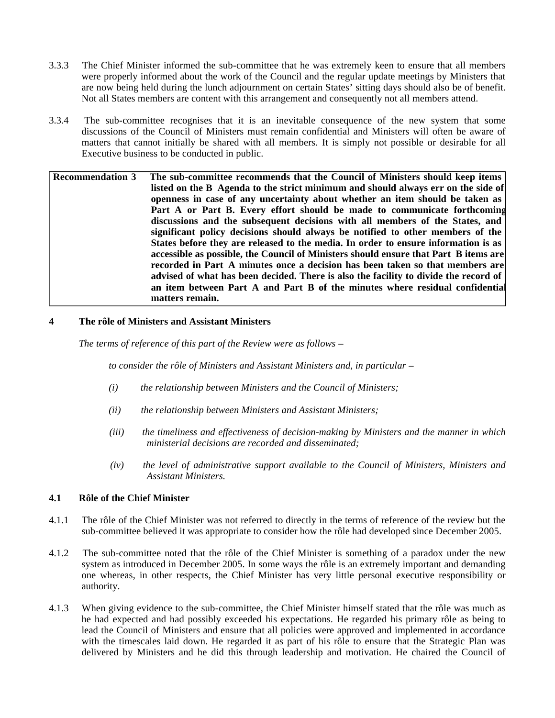- 3.3.3 The Chief Minister informed the sub-committee that he was extremely keen to ensure that all members were properly informed about the work of the Council and the regular update meetings by Ministers that are now being held during the lunch adjournment on certain States' sitting days should also be of benefit. Not all States members are content with this arrangement and consequently not all members attend.
- 3.3.4 The sub-committee recognises that it is an inevitable consequence of the new system that some discussions of the Council of Ministers must remain confidential and Ministers will often be aware of matters that cannot initially be shared with all members. It is simply not possible or desirable for all Executive business to be conducted in public.

**Recommendation 3 The sub-committee recommends that the Council of Ministers should keep items listed on the B Agenda to the strict minimum and should always err on the side of openness in case of any uncertainty about whether an item should be taken as Part A or Part B. Every effort should be made to communicate forthcoming discussions and the subsequent decisions with all members of the States, and significant policy decisions should always be notified to other members of the States before they are released to the media. In order to ensure information is as accessible as possible, the Council of Ministers should ensure that Part B items are recorded in Part A minutes once a decision has been taken so that members are advised of what has been decided. There is also the facility to divide the record of an item between Part A and Part B of the minutes where residual confidential matters remain.**

#### **4 The rôle of Ministers and Assistant Ministers**

 *The terms of reference of this part of the Review were as follows –*

*to consider the rôle of Ministers and Assistant Ministers and, in particular –* 

- *(i) the relationship between Ministers and the Council of Ministers;*
- *(ii) the relationship between Ministers and Assistant Ministers;*
- *(iii) the timeliness and effectiveness of decision-making by Ministers and the manner in which ministerial decisions are recorded and disseminated;*
- *(iv) the level of administrative support available to the Council of Ministers, Ministers and Assistant Ministers.*

#### **4.1 Rôle of the Chief Minister**

- 4.1.1 The rôle of the Chief Minister was not referred to directly in the terms of reference of the review but the sub-committee believed it was appropriate to consider how the rôle had developed since December 2005.
- 4.1.2 The sub-committee noted that the rôle of the Chief Minister is something of a paradox under the new system as introduced in December 2005. In some ways the rôle is an extremely important and demanding one whereas, in other respects, the Chief Minister has very little personal executive responsibility or authority.
- 4.1.3 When giving evidence to the sub-committee, the Chief Minister himself stated that the rôle was much as he had expected and had possibly exceeded his expectations. He regarded his primary rôle as being to lead the Council of Ministers and ensure that all policies were approved and implemented in accordance with the timescales laid down. He regarded it as part of his rôle to ensure that the Strategic Plan was delivered by Ministers and he did this through leadership and motivation. He chaired the Council of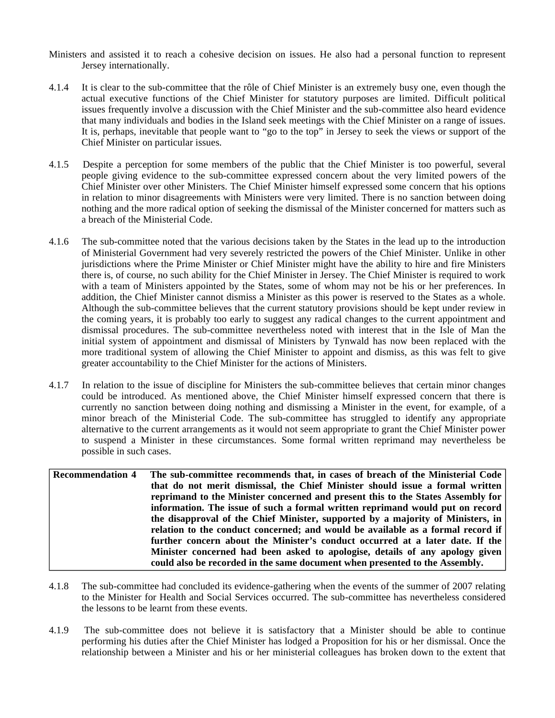- Ministers and assisted it to reach a cohesive decision on issues. He also had a personal function to represent Jersey internationally.
- 4.1.4 It is clear to the sub-committee that the rôle of Chief Minister is an extremely busy one, even though the actual executive functions of the Chief Minister for statutory purposes are limited. Difficult political issues frequently involve a discussion with the Chief Minister and the sub-committee also heard evidence that many individuals and bodies in the Island seek meetings with the Chief Minister on a range of issues. It is, perhaps, inevitable that people want to "go to the top" in Jersey to seek the views or support of the Chief Minister on particular issues.
- 4.1.5 Despite a perception for some members of the public that the Chief Minister is too powerful, several people giving evidence to the sub-committee expressed concern about the very limited powers of the Chief Minister over other Ministers. The Chief Minister himself expressed some concern that his options in relation to minor disagreements with Ministers were very limited. There is no sanction between doing nothing and the more radical option of seeking the dismissal of the Minister concerned for matters such as a breach of the Ministerial Code.
- 4.1.6 The sub-committee noted that the various decisions taken by the States in the lead up to the introduction of Ministerial Government had very severely restricted the powers of the Chief Minister. Unlike in other jurisdictions where the Prime Minister or Chief Minister might have the ability to hire and fire Ministers there is, of course, no such ability for the Chief Minister in Jersey. The Chief Minister is required to work with a team of Ministers appointed by the States, some of whom may not be his or her preferences. In addition, the Chief Minister cannot dismiss a Minister as this power is reserved to the States as a whole. Although the sub-committee believes that the current statutory provisions should be kept under review in the coming years, it is probably too early to suggest any radical changes to the current appointment and dismissal procedures. The sub-committee nevertheless noted with interest that in the Isle of Man the initial system of appointment and dismissal of Ministers by Tynwald has now been replaced with the more traditional system of allowing the Chief Minister to appoint and dismiss, as this was felt to give greater accountability to the Chief Minister for the actions of Ministers.
- 4.1.7 In relation to the issue of discipline for Ministers the sub-committee believes that certain minor changes could be introduced. As mentioned above, the Chief Minister himself expressed concern that there is currently no sanction between doing nothing and dismissing a Minister in the event, for example, of a minor breach of the Ministerial Code. The sub-committee has struggled to identify any appropriate alternative to the current arrangements as it would not seem appropriate to grant the Chief Minister power to suspend a Minister in these circumstances. Some formal written reprimand may nevertheless be possible in such cases.
- **Recommendation 4 The sub-committee recommends that, in cases of breach of the Ministerial Code that do not merit dismissal, the Chief Minister should issue a formal written reprimand to the Minister concerned and present this to the States Assembly for information. The issue of such a formal written reprimand would put on record the disapproval of the Chief Minister, supported by a majority of Ministers, in relation to the conduct concerned; and would be available as a formal record if further concern about the Minister's conduct occurred at a later date. If the Minister concerned had been asked to apologise, details of any apology given could also be recorded in the same document when presented to the Assembly.**
- 4.1.8 The sub-committee had concluded its evidence-gathering when the events of the summer of 2007 relating to the Minister for Health and Social Services occurred. The sub-committee has nevertheless considered the lessons to be learnt from these events.
- 4.1.9 The sub-committee does not believe it is satisfactory that a Minister should be able to continue performing his duties after the Chief Minister has lodged a Proposition for his or her dismissal. Once the relationship between a Minister and his or her ministerial colleagues has broken down to the extent that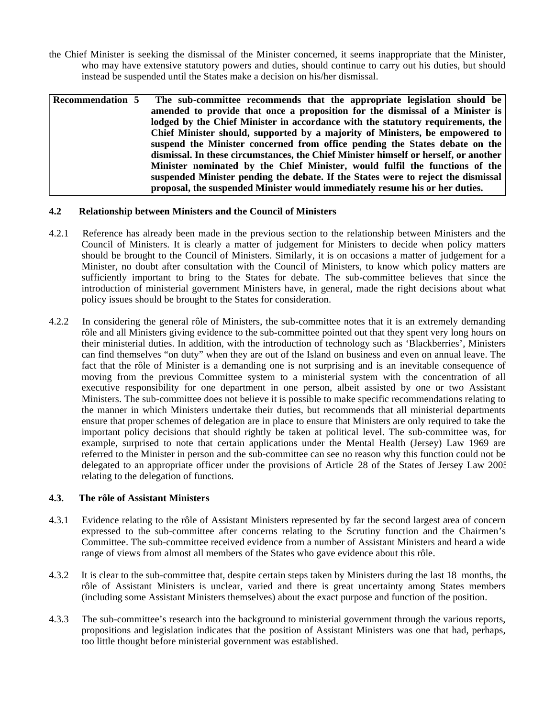the Chief Minister is seeking the dismissal of the Minister concerned, it seems inappropriate that the Minister, who may have extensive statutory powers and duties, should continue to carry out his duties, but should instead be suspended until the States make a decision on his/her dismissal.

| Recommendation 5 The sub-committee recommends that the appropriate legislation should be |
|------------------------------------------------------------------------------------------|
| amended to provide that once a proposition for the dismissal of a Minister is            |
| lodged by the Chief Minister in accordance with the statutory requirements, the          |
| Chief Minister should, supported by a majority of Ministers, be empowered to             |
| suspend the Minister concerned from office pending the States debate on the              |
| dismissal. In these circumstances, the Chief Minister himself or herself, or another     |
| Minister nominated by the Chief Minister, would fulfil the functions of the              |
| suspended Minister pending the debate. If the States were to reject the dismissal        |
| proposal, the suspended Minister would immediately resume his or her duties.             |

#### **4.2 Relationship between Ministers and the Council of Ministers**

- 4.2.1 Reference has already been made in the previous section to the relationship between Ministers and the Council of Ministers. It is clearly a matter of judgement for Ministers to decide when policy matters should be brought to the Council of Ministers. Similarly, it is on occasions a matter of judgement for a Minister, no doubt after consultation with the Council of Ministers, to know which policy matters are sufficiently important to bring to the States for debate. The sub-committee believes that since the introduction of ministerial government Ministers have, in general, made the right decisions about what policy issues should be brought to the States for consideration.
- 4.2.2 In considering the general rôle of Ministers, the sub-committee notes that it is an extremely demanding rôle and all Ministers giving evidence to the sub-committee pointed out that they spent very long hours on their ministerial duties. In addition, with the introduction of technology such as 'Blackberries', Ministers can find themselves "on duty" when they are out of the Island on business and even on annual leave. The fact that the rôle of Minister is a demanding one is not surprising and is an inevitable consequence of moving from the previous Committee system to a ministerial system with the concentration of all executive responsibility for one department in one person, albeit assisted by one or two Assistant Ministers. The sub-committee does not believe it is possible to make specific recommendations relating to the manner in which Ministers undertake their duties, but recommends that all ministerial departments ensure that proper schemes of delegation are in place to ensure that Ministers are only required to take the important policy decisions that should rightly be taken at political level. The sub-committee was, for example, surprised to note that certain applications under the Mental Health (Jersey) Law 1969 are referred to the Minister in person and the sub-committee can see no reason why this function could not be delegated to an appropriate officer under the provisions of Article 28 of the States of Jersey Law 2005 relating to the delegation of functions.

#### **4.3. The rôle of Assistant Ministers**

- 4.3.1 Evidence relating to the rôle of Assistant Ministers represented by far the second largest area of concern expressed to the sub-committee after concerns relating to the Scrutiny function and the Chairmen's Committee. The sub-committee received evidence from a number of Assistant Ministers and heard a wide range of views from almost all members of the States who gave evidence about this rôle.
- 4.3.2 It is clear to the sub-committee that, despite certain steps taken by Ministers during the last 18 months, the rôle of Assistant Ministers is unclear, varied and there is great uncertainty among States members (including some Assistant Ministers themselves) about the exact purpose and function of the position.
- 4.3.3 The sub-committee's research into the background to ministerial government through the various reports, propositions and legislation indicates that the position of Assistant Ministers was one that had, perhaps, too little thought before ministerial government was established.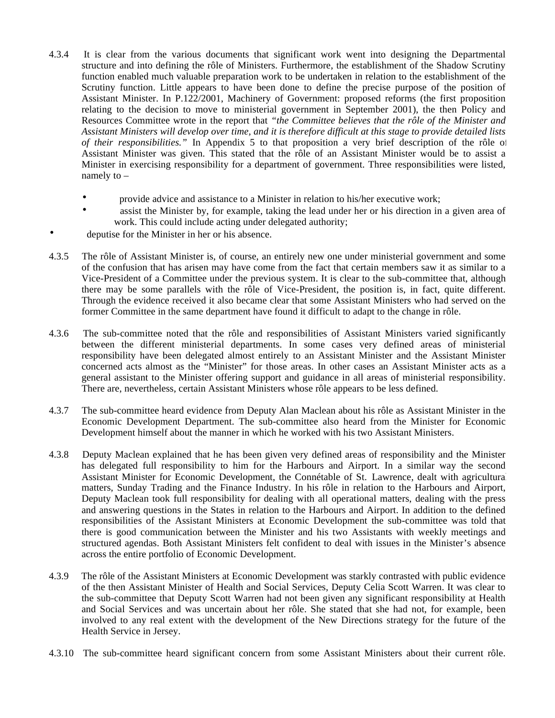- 4.3.4 It is clear from the various documents that significant work went into designing the Departmental structure and into defining the rôle of Ministers. Furthermore, the establishment of the Shadow Scrutiny function enabled much valuable preparation work to be undertaken in relation to the establishment of the Scrutiny function. Little appears to have been done to define the precise purpose of the position of Assistant Minister. In P.122/2001, Machinery of Government: proposed reforms (the first proposition relating to the decision to move to ministerial government in September 2001), the then Policy and Resources Committee wrote in the report that *"the Committee believes that the rôle of the Minister and Assistant Ministers will develop over time, and it is therefore difficult at this stage to provide detailed lists of their responsibilities."* In Appendix 5 to that proposition a very brief description of the rôle of Assistant Minister was given. This stated that the rôle of an Assistant Minister would be to assist a Minister in exercising responsibility for a department of government. Three responsibilities were listed, namely to –
	- provide advice and assistance to a Minister in relation to his/her executive work;
	- assist the Minister by, for example, taking the lead under her or his direction in a given area of work. This could include acting under delegated authority;
- deputise for the Minister in her or his absence.
- 4.3.5 The rôle of Assistant Minister is, of course, an entirely new one under ministerial government and some of the confusion that has arisen may have come from the fact that certain members saw it as similar to a Vice-President of a Committee under the previous system. It is clear to the sub-committee that, although there may be some parallels with the rôle of Vice-President, the position is, in fact, quite different. Through the evidence received it also became clear that some Assistant Ministers who had served on the former Committee in the same department have found it difficult to adapt to the change in rôle.
- 4.3.6 The sub-committee noted that the rôle and responsibilities of Assistant Ministers varied significantly between the different ministerial departments. In some cases very defined areas of ministerial responsibility have been delegated almost entirely to an Assistant Minister and the Assistant Minister concerned acts almost as the "Minister" for those areas. In other cases an Assistant Minister acts as a general assistant to the Minister offering support and guidance in all areas of ministerial responsibility. There are, nevertheless, certain Assistant Ministers whose rôle appears to be less defined.
- 4.3.7 The sub-committee heard evidence from Deputy Alan Maclean about his rôle as Assistant Minister in the Economic Development Department. The sub-committee also heard from the Minister for Economic Development himself about the manner in which he worked with his two Assistant Ministers.
- 4.3.8 Deputy Maclean explained that he has been given very defined areas of responsibility and the Minister has delegated full responsibility to him for the Harbours and Airport. In a similar way the second Assistant Minister for Economic Development, the Connétable of St. Lawrence, dealt with agricultural matters, Sunday Trading and the Finance Industry. In his rôle in relation to the Harbours and Airport, Deputy Maclean took full responsibility for dealing with all operational matters, dealing with the press and answering questions in the States in relation to the Harbours and Airport. In addition to the defined responsibilities of the Assistant Ministers at Economic Development the sub-committee was told that there is good communication between the Minister and his two Assistants with weekly meetings and structured agendas. Both Assistant Ministers felt confident to deal with issues in the Minister's absence across the entire portfolio of Economic Development.
- 4.3.9 The rôle of the Assistant Ministers at Economic Development was starkly contrasted with public evidence of the then Assistant Minister of Health and Social Services, Deputy Celia Scott Warren. It was clear to the sub-committee that Deputy Scott Warren had not been given any significant responsibility at Health and Social Services and was uncertain about her rôle. She stated that she had not, for example, been involved to any real extent with the development of the New Directions strategy for the future of the Health Service in Jersey.
- 4.3.10 The sub-committee heard significant concern from some Assistant Ministers about their current rôle.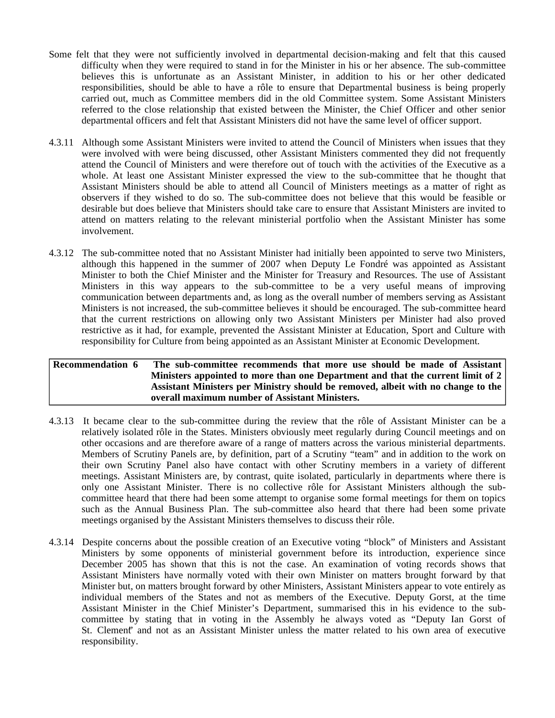- Some felt that they were not sufficiently involved in departmental decision-making and felt that this caused difficulty when they were required to stand in for the Minister in his or her absence. The sub-committee believes this is unfortunate as an Assistant Minister, in addition to his or her other dedicated responsibilities, should be able to have a rôle to ensure that Departmental business is being properly carried out, much as Committee members did in the old Committee system. Some Assistant Ministers referred to the close relationship that existed between the Minister, the Chief Officer and other senior departmental officers and felt that Assistant Ministers did not have the same level of officer support.
- 4.3.11 Although some Assistant Ministers were invited to attend the Council of Ministers when issues that they were involved with were being discussed, other Assistant Ministers commented they did not frequently attend the Council of Ministers and were therefore out of touch with the activities of the Executive as a whole. At least one Assistant Minister expressed the view to the sub-committee that he thought that Assistant Ministers should be able to attend all Council of Ministers meetings as a matter of right as observers if they wished to do so. The sub-committee does not believe that this would be feasible or desirable but does believe that Ministers should take care to ensure that Assistant Ministers are invited to attend on matters relating to the relevant ministerial portfolio when the Assistant Minister has some involvement.
- 4.3.12 The sub-committee noted that no Assistant Minister had initially been appointed to serve two Ministers, although this happened in the summer of 2007 when Deputy Le Fondré was appointed as Assistant Minister to both the Chief Minister and the Minister for Treasury and Resources. The use of Assistant Ministers in this way appears to the sub-committee to be a very useful means of improving communication between departments and, as long as the overall number of members serving as Assistant Ministers is not increased, the sub-committee believes it should be encouraged. The sub-committee heard that the current restrictions on allowing only two Assistant Ministers per Minister had also proved restrictive as it had, for example, prevented the Assistant Minister at Education, Sport and Culture with responsibility for Culture from being appointed as an Assistant Minister at Economic Development.

#### **Recommendation 6 The sub-committee recommends that more use should be made of Assistant Ministers appointed to more than one Department and that the current limit of 2 Assistant Ministers per Ministry should be removed, albeit with no change to the overall maximum number of Assistant Ministers.**

- 4.3.13 It became clear to the sub-committee during the review that the rôle of Assistant Minister can be a relatively isolated rôle in the States. Ministers obviously meet regularly during Council meetings and on other occasions and are therefore aware of a range of matters across the various ministerial departments. Members of Scrutiny Panels are, by definition, part of a Scrutiny "team" and in addition to the work on their own Scrutiny Panel also have contact with other Scrutiny members in a variety of different meetings. Assistant Ministers are, by contrast, quite isolated, particularly in departments where there is only one Assistant Minister. There is no collective rôle for Assistant Ministers although the subcommittee heard that there had been some attempt to organise some formal meetings for them on topics such as the Annual Business Plan. The sub-committee also heard that there had been some private meetings organised by the Assistant Ministers themselves to discuss their rôle.
- 4.3.14 Despite concerns about the possible creation of an Executive voting "block" of Ministers and Assistant Ministers by some opponents of ministerial government before its introduction, experience since December 2005 has shown that this is not the case. An examination of voting records shows that Assistant Ministers have normally voted with their own Minister on matters brought forward by that Minister but, on matters brought forward by other Ministers, Assistant Ministers appear to vote entirely as individual members of the States and not as members of the Executive. Deputy Gorst, at the time Assistant Minister in the Chief Minister's Department, summarised this in his evidence to the subcommittee by stating that in voting in the Assembly he always voted as "Deputy Ian Gorst of St. Clement" and not as an Assistant Minister unless the matter related to his own area of executive responsibility.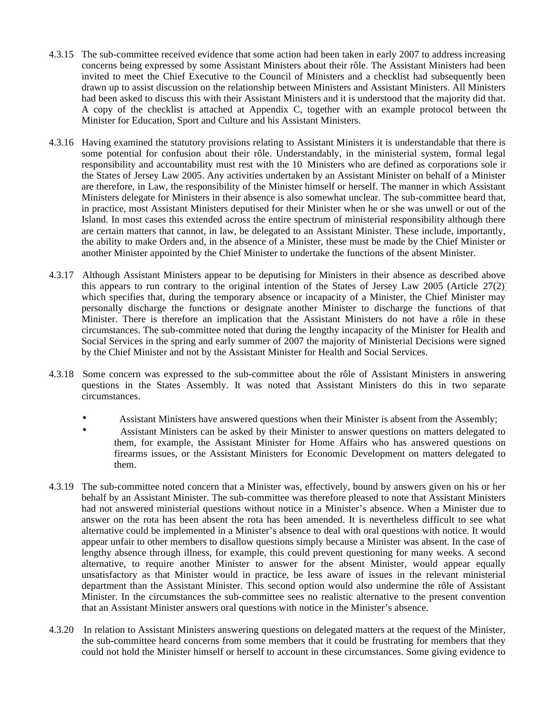- 4.3.15 The sub-committee received evidence that some action had been taken in early 2007 to address increasing concerns being expressed by some Assistant Ministers about their rôle. The Assistant Ministers had been invited to meet the Chief Executive to the Council of Ministers and a checklist had subsequently been drawn up to assist discussion on the relationship between Ministers and Assistant Ministers. All Ministers had been asked to discuss this with their Assistant Ministers and it is understood that the majority did that. A copy of the checklist is attached at Appendix C, together with an example protocol between the Minister for Education, Sport and Culture and his Assistant Ministers.
- 4.3.16 Having examined the statutory provisions relating to Assistant Ministers it is understandable that there is some potential for confusion about their rôle. Understandably, in the ministerial system, formal legal responsibility and accountability must rest with the 10 Ministers who are defined as corporations sole in the States of Jersey Law 2005. Any activities undertaken by an Assistant Minister on behalf of a Minister are therefore, in Law, the responsibility of the Minister himself or herself. The manner in which Assistant Ministers delegate for Ministers in their absence is also somewhat unclear. The sub-committee heard that, in practice, most Assistant Ministers deputised for their Minister when he or she was unwell or out of the Island. In most cases this extended across the entire spectrum of ministerial responsibility although there are certain matters that cannot, in law, be delegated to an Assistant Minister. These include, importantly, the ability to make Orders and, in the absence of a Minister, these must be made by the Chief Minister or another Minister appointed by the Chief Minister to undertake the functions of the absent Minister.
- 4.3.17 Although Assistant Ministers appear to be deputising for Ministers in their absence as described above this appears to run contrary to the original intention of the States of Jersey Law 2005 (Article 27(2)) which specifies that, during the temporary absence or incapacity of a Minister, the Chief Minister may personally discharge the functions or designate another Minister to discharge the functions of that Minister. There is therefore an implication that the Assistant Ministers do not have a rôle in these circumstances. The sub-committee noted that during the lengthy incapacity of the Minister for Health and Social Services in the spring and early summer of 2007 the majority of Ministerial Decisions were signed by the Chief Minister and not by the Assistant Minister for Health and Social Services.
- 4.3.18 Some concern was expressed to the sub-committee about the rôle of Assistant Ministers in answering questions in the States Assembly. It was noted that Assistant Ministers do this in two separate circumstances.
	- Assistant Ministers have answered questions when their Minister is absent from the Assembly;
	- Assistant Ministers can be asked by their Minister to answer questions on matters delegated to them, for example, the Assistant Minister for Home Affairs who has answered questions on firearms issues, or the Assistant Ministers for Economic Development on matters delegated to them.
- 4.3.19 The sub-committee noted concern that a Minister was, effectively, bound by answers given on his or her behalf by an Assistant Minister. The sub-committee was therefore pleased to note that Assistant Ministers had not answered ministerial questions without notice in a Minister's absence. When a Minister due to answer on the rota has been absent the rota has been amended. It is nevertheless difficult to see what alternative could be implemented in a Minister's absence to deal with oral questions with notice. It would appear unfair to other members to disallow questions simply because a Minister was absent. In the case of lengthy absence through illness, for example, this could prevent questioning for many weeks. A second alternative, to require another Minister to answer for the absent Minister, would appear equally unsatisfactory as that Minister would in practice, be less aware of issues in the relevant ministerial department than the Assistant Minister. This second option would also undermine the rôle of Assistant Minister. In the circumstances the sub-committee sees no realistic alternative to the present convention that an Assistant Minister answers oral questions with notice in the Minister's absence.
- 4.3.20 In relation to Assistant Ministers answering questions on delegated matters at the request of the Minister, the sub-committee heard concerns from some members that it could be frustrating for members that they could not hold the Minister himself or herself to account in these circumstances. Some giving evidence to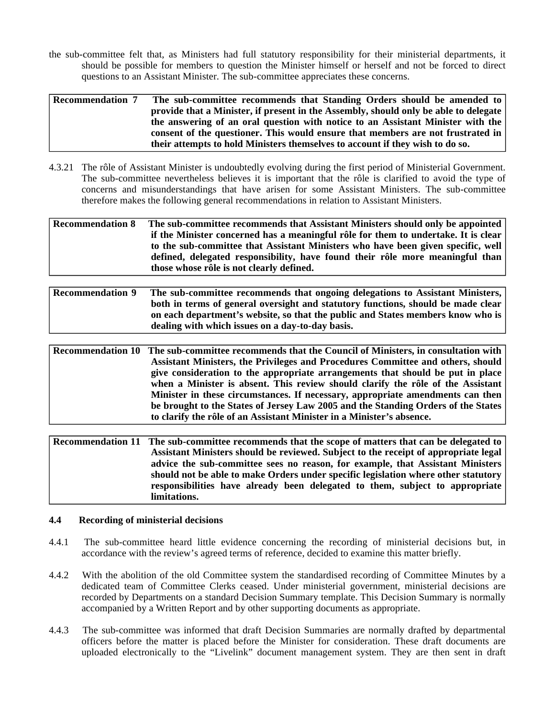the sub-committee felt that, as Ministers had full statutory responsibility for their ministerial departments, it should be possible for members to question the Minister himself or herself and not be forced to direct questions to an Assistant Minister. The sub-committee appreciates these concerns.

**Recommendation 7 The sub-committee recommends that Standing Orders should be amended to provide that a Minister, if present in the Assembly, should only be able to delegate the answering of an oral question with notice to an Assistant Minister with the consent of the questioner. This would ensure that members are not frustrated in their attempts to hold Ministers themselves to account if they wish to do so.**

4.3.21 The rôle of Assistant Minister is undoubtedly evolving during the first period of Ministerial Government. The sub-committee nevertheless believes it is important that the rôle is clarified to avoid the type of concerns and misunderstandings that have arisen for some Assistant Ministers. The sub-committee therefore makes the following general recommendations in relation to Assistant Ministers.

| <b>Recommendation 8</b> | The sub-committee recommends that Assistant Ministers should only be appointed     |
|-------------------------|------------------------------------------------------------------------------------|
|                         | if the Minister concerned has a meaningful rôle for them to undertake. It is clear |
|                         | to the sub-committee that Assistant Ministers who have been given specific, well   |
|                         | defined, delegated responsibility, have found their rôle more meaningful than      |
|                         | those whose rôle is not clearly defined.                                           |

| <b>Recommendation 9</b> | The sub-committee recommends that ongoing delegations to Assistant Ministers,    |
|-------------------------|----------------------------------------------------------------------------------|
|                         | both in terms of general oversight and statutory functions, should be made clear |
|                         | on each department's website, so that the public and States members know who is  |
|                         | dealing with which issues on a day-to-day basis.                                 |

**Recommendation 10 The sub-committee recommends that the Council of Ministers, in consultation with Assistant Ministers, the Privileges and Procedures Committee and others, should give consideration to the appropriate arrangements that should be put in place when a Minister is absent. This review should clarify the rôle of the Assistant Minister in these circumstances. If necessary, appropriate amendments can then be brought to the States of Jersey Law 2005 and the Standing Orders of the States to clarify the rôle of an Assistant Minister in a Minister's absence.**

**Recommendation 11 The sub-committee recommends that the scope of matters that can be delegated to Assistant Ministers should be reviewed. Subject to the receipt of appropriate legal advice the sub-committee sees no reason, for example, that Assistant Ministers should not be able to make Orders under specific legislation where other statutory responsibilities have already been delegated to them, subject to appropriate limitations.**

#### **4.4 Recording of ministerial decisions**

- 4.4.1 The sub-committee heard little evidence concerning the recording of ministerial decisions but, in accordance with the review's agreed terms of reference, decided to examine this matter briefly.
- 4.4.2 With the abolition of the old Committee system the standardised recording of Committee Minutes by a dedicated team of Committee Clerks ceased. Under ministerial government, ministerial decisions are recorded by Departments on a standard Decision Summary template. This Decision Summary is normally accompanied by a Written Report and by other supporting documents as appropriate.
- 4.4.3 The sub-committee was informed that draft Decision Summaries are normally drafted by departmental officers before the matter is placed before the Minister for consideration. These draft documents are uploaded electronically to the "Livelink" document management system. They are then sent in draft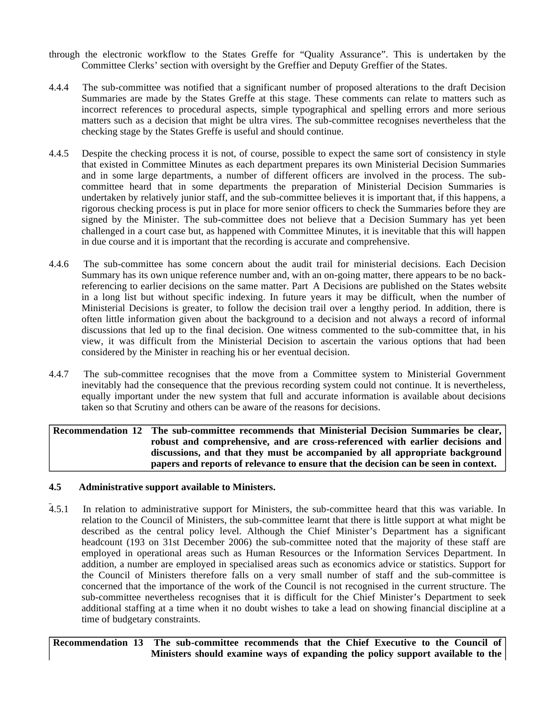- through the electronic workflow to the States Greffe for "Quality Assurance". This is undertaken by the Committee Clerks' section with oversight by the Greffier and Deputy Greffier of the States.
- 4.4.4 The sub-committee was notified that a significant number of proposed alterations to the draft Decision Summaries are made by the States Greffe at this stage. These comments can relate to matters such as incorrect references to procedural aspects, simple typographical and spelling errors and more serious matters such as a decision that might be ultra vires. The sub-committee recognises nevertheless that the checking stage by the States Greffe is useful and should continue.
- 4.4.5 Despite the checking process it is not, of course, possible to expect the same sort of consistency in style that existed in Committee Minutes as each department prepares its own Ministerial Decision Summaries and in some large departments, a number of different officers are involved in the process. The subcommittee heard that in some departments the preparation of Ministerial Decision Summaries is undertaken by relatively junior staff, and the sub-committee believes it is important that, if this happens, a rigorous checking process is put in place for more senior officers to check the Summaries before they are signed by the Minister. The sub-committee does not believe that a Decision Summary has yet been challenged in a court case but, as happened with Committee Minutes, it is inevitable that this will happen in due course and it is important that the recording is accurate and comprehensive.
- 4.4.6 The sub-committee has some concern about the audit trail for ministerial decisions. Each Decision Summary has its own unique reference number and, with an on-going matter, there appears to be no backreferencing to earlier decisions on the same matter. Part A Decisions are published on the States website in a long list but without specific indexing. In future years it may be difficult, when the number of Ministerial Decisions is greater, to follow the decision trail over a lengthy period. In addition, there is often little information given about the background to a decision and not always a record of informal discussions that led up to the final decision. One witness commented to the sub-committee that, in his view, it was difficult from the Ministerial Decision to ascertain the various options that had been considered by the Minister in reaching his or her eventual decision.
- 4.4.7 The sub-committee recognises that the move from a Committee system to Ministerial Government inevitably had the consequence that the previous recording system could not continue. It is nevertheless, equally important under the new system that full and accurate information is available about decisions taken so that Scrutiny and others can be aware of the reasons for decisions.

**Recommendation 12 The sub-committee recommends that Ministerial Decision Summaries be clear, robust and comprehensive, and are cross-referenced with earlier decisions and discussions, and that they must be accompanied by all appropriate background papers and reports of relevance to ensure that the decision can be seen in context.**

#### **4.5 Administrative support available to Ministers.**

4.5.1 In relation to administrative support for Ministers, the sub-committee heard that this was variable. In relation to the Council of Ministers, the sub-committee learnt that there is little support at what might be described as the central policy level. Although the Chief Minister's Department has a significant headcount (193 on 31st December 2006) the sub-committee noted that the majority of these staff are employed in operational areas such as Human Resources or the Information Services Department. In addition, a number are employed in specialised areas such as economics advice or statistics. Support for the Council of Ministers therefore falls on a very small number of staff and the sub-committee is concerned that the importance of the work of the Council is not recognised in the current structure. The sub-committee nevertheless recognises that it is difficult for the Chief Minister's Department to seek additional staffing at a time when it no doubt wishes to take a lead on showing financial discipline at a time of budgetary constraints.

**Recommendation 13 The sub-committee recommends that the Chief Executive to the Council of Ministers should examine ways of expanding the policy support available to the**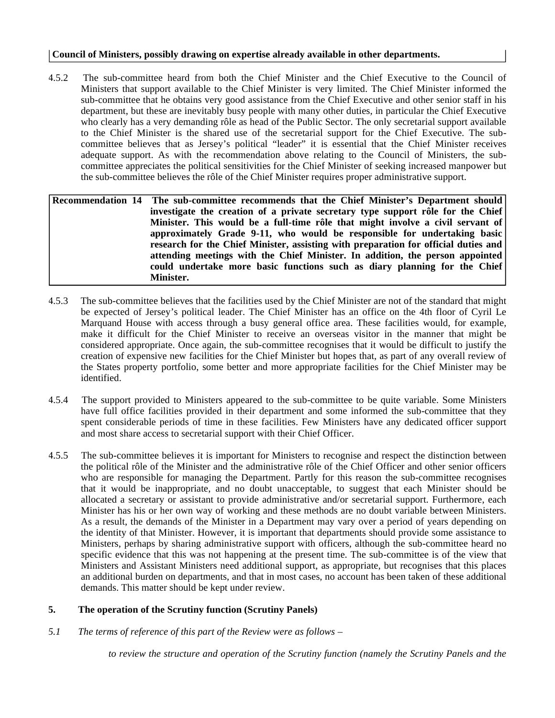#### **Council of Ministers, possibly drawing on expertise already available in other departments.**

4.5.2 The sub-committee heard from both the Chief Minister and the Chief Executive to the Council of Ministers that support available to the Chief Minister is very limited. The Chief Minister informed the sub-committee that he obtains very good assistance from the Chief Executive and other senior staff in his department, but these are inevitably busy people with many other duties, in particular the Chief Executive who clearly has a very demanding rôle as head of the Public Sector. The only secretarial support available to the Chief Minister is the shared use of the secretarial support for the Chief Executive. The subcommittee believes that as Jersey's political "leader" it is essential that the Chief Minister receives adequate support. As with the recommendation above relating to the Council of Ministers, the subcommittee appreciates the political sensitivities for the Chief Minister of seeking increased manpower but the sub-committee believes the rôle of the Chief Minister requires proper administrative support.

**Recommendation 14 The sub-committee recommends that the Chief Minister's Department should investigate the creation of a private secretary type support rôle for the Chief Minister. This would be a full-time rôle that might involve a civil servant of approximately Grade 9-11, who would be responsible for undertaking basic research for the Chief Minister, assisting with preparation for official duties and attending meetings with the Chief Minister. In addition, the person appointed could undertake more basic functions such as diary planning for the Chief Minister.**

- 4.5.3The sub-committee believes that the facilities used by the Chief Minister are not of the standard that might be expected of Jersey's political leader. The Chief Minister has an office on the 4th floor of Cyril Le Marquand House with access through a busy general office area. These facilities would, for example, make it difficult for the Chief Minister to receive an overseas visitor in the manner that might be considered appropriate. Once again, the sub-committee recognises that it would be difficult to justify the creation of expensive new facilities for the Chief Minister but hopes that, as part of any overall review of the States property portfolio, some better and more appropriate facilities for the Chief Minister may be identified.
- 4.5.4 The support provided to Ministers appeared to the sub-committee to be quite variable. Some Ministers have full office facilities provided in their department and some informed the sub-committee that they spent considerable periods of time in these facilities. Few Ministers have any dedicated officer support and most share access to secretarial support with their Chief Officer.
- 4.5.5 The sub-committee believes it is important for Ministers to recognise and respect the distinction between the political rôle of the Minister and the administrative rôle of the Chief Officer and other senior officers who are responsible for managing the Department. Partly for this reason the sub-committee recognises that it would be inappropriate, and no doubt unacceptable, to suggest that each Minister should be allocated a secretary or assistant to provide administrative and/or secretarial support. Furthermore, each Minister has his or her own way of working and these methods are no doubt variable between Ministers. As a result, the demands of the Minister in a Department may vary over a period of years depending on the identity of that Minister. However, it is important that departments should provide some assistance to Ministers, perhaps by sharing administrative support with officers, although the sub-committee heard no specific evidence that this was not happening at the present time. The sub-committee is of the view that Ministers and Assistant Ministers need additional support, as appropriate, but recognises that this places an additional burden on departments, and that in most cases, no account has been taken of these additional demands. This matter should be kept under review.

#### **5. The operation of the Scrutiny function (Scrutiny Panels)**

*5.1 The terms of reference of this part of the Review were as follows –*

 *to review the structure and operation of the Scrutiny function (namely the Scrutiny Panels and the*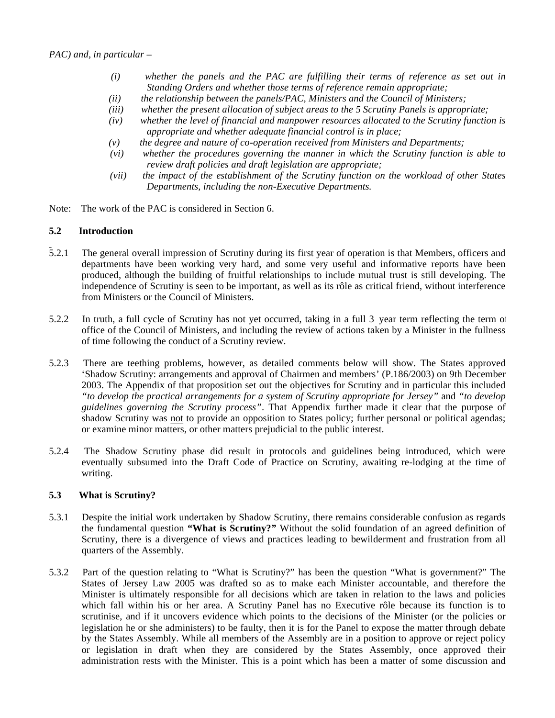- *(i) whether the panels and the PAC are fulfilling their terms of reference as set out in Standing Orders and whether those terms of reference remain appropriate;*
- *(ii) the relationship between the panels/PAC, Ministers and the Council of Ministers;*
- *(iii) whether the present allocation of subject areas to the 5 Scrutiny Panels is appropriate;*
- *(iv) whether the level of financial and manpower resources allocated to the Scrutiny function is appropriate and whether adequate financial control is in place;*
- *(v) the degree and nature of co-operation received from Ministers and Departments;*
- *(vi) whether the procedures governing the manner in which the Scrutiny function is able to review draft policies and draft legislation are appropriate;*
- *(vii) the impact of the establishment of the Scrutiny function on the workload of other States Departments, including the non-Executive Departments.*
- Note: The work of the PAC is considered in Section 6.

#### **5.2 Introduction**

- 5.2.1 The general overall impression of Scrutiny during its first year of operation is that Members, officers and departments have been working very hard, and some very useful and informative reports have been produced, although the building of fruitful relationships to include mutual trust is still developing. The independence of Scrutiny is seen to be important, as well as its rôle as critical friend, without interference from Ministers or the Council of Ministers.
- 5.2.2 In truth, a full cycle of Scrutiny has not yet occurred, taking in a full 3 year term reflecting the term of office of the Council of Ministers, and including the review of actions taken by a Minister in the fullness of time following the conduct of a Scrutiny review.
- 5.2.3 There are teething problems, however, as detailed comments below will show. The States approved 'Shadow Scrutiny: arrangements and approval of Chairmen and members' (P.186/2003) on 9th December 2003. The Appendix of that proposition set out the objectives for Scrutiny and in particular this included *"to develop the practical arrangements for a system of Scrutiny appropriate for Jersey"* and *"to develop guidelines governing the Scrutiny process"*. That Appendix further made it clear that the purpose of shadow Scrutiny was not to provide an opposition to States policy; further personal or political agendas; or examine minor matters, or other matters prejudicial to the public interest.
- 5.2.4 The Shadow Scrutiny phase did result in protocols and guidelines being introduced, which were eventually subsumed into the Draft Code of Practice on Scrutiny, awaiting re-lodging at the time of writing.

#### **5.3 What is Scrutiny?**

- 5.3.1 Despite the initial work undertaken by Shadow Scrutiny, there remains considerable confusion as regards the fundamental question **"What is Scrutiny?"** Without the solid foundation of an agreed definition of Scrutiny, there is a divergence of views and practices leading to bewilderment and frustration from all quarters of the Assembly.
- 5.3.2 Part of the question relating to "What is Scrutiny?" has been the question "What is government?" The States of Jersey Law 2005 was drafted so as to make each Minister accountable, and therefore the Minister is ultimately responsible for all decisions which are taken in relation to the laws and policies which fall within his or her area. A Scrutiny Panel has no Executive rôle because its function is to scrutinise, and if it uncovers evidence which points to the decisions of the Minister (or the policies or legislation he or she administers) to be faulty, then it is for the Panel to expose the matter through debate by the States Assembly. While all members of the Assembly are in a position to approve or reject policy or legislation in draft when they are considered by the States Assembly, once approved their administration rests with the Minister. This is a point which has been a matter of some discussion and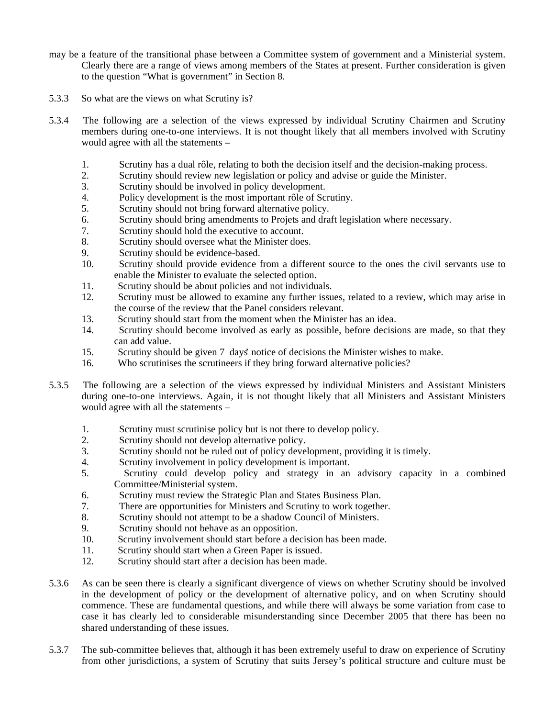- may be a feature of the transitional phase between a Committee system of government and a Ministerial system. Clearly there are a range of views among members of the States at present. Further consideration is given to the question "What is government" in Section 8.
- 5.3.3 So what are the views on what Scrutiny is?
- 5.3.4 The following are a selection of the views expressed by individual Scrutiny Chairmen and Scrutiny members during one-to-one interviews. It is not thought likely that all members involved with Scrutiny would agree with all the statements –
	- 1. Scrutiny has a dual rôle, relating to both the decision itself and the decision-making process.<br>2. Scrutiny should review new legislation or policy and advise or guide the Minister.
	- 2. Scrutiny should review new legislation or policy and advise or guide the Minister.<br>3 Scrutiny should be involved in policy development
	- Scrutiny should be involved in policy development.
	- 4. Policy development is the most important rôle of Scrutiny.
	- 5. Scrutiny should not bring forward alternative policy.
	- 6. Scrutiny should bring amendments to Projets and draft legislation where necessary.
	- 7. Scrutiny should hold the executive to account.
	- 8. Scrutiny should oversee what the Minister does.
	- 9. Scrutiny should be evidence-based.
	- 10. Scrutiny should provide evidence from a different source to the ones the civil servants use to enable the Minister to evaluate the selected option.
	- 11. Scrutiny should be about policies and not individuals.
	- 12. Scrutiny must be allowed to examine any further issues, related to a review, which may arise in the course of the review that the Panel considers relevant.
	- 13. Scrutiny should start from the moment when the Minister has an idea.
	- 14. Scrutiny should become involved as early as possible, before decisions are made, so that they can add value.
	- 15. Scrutiny should be given 7 days' notice of decisions the Minister wishes to make.
	- 16. Who scrutinises the scrutineers if they bring forward alternative policies?
- 5.3.5 The following are a selection of the views expressed by individual Ministers and Assistant Ministers during one-to-one interviews. Again, it is not thought likely that all Ministers and Assistant Ministers would agree with all the statements –
	- 1. Scrutiny must scrutinise policy but is not there to develop policy.
	- 2. Scrutiny should not develop alternative policy.
	- 3. Scrutiny should not be ruled out of policy development, providing it is timely.
	- 4. Scrutiny involvement in policy development is important.
	- 5. Scrutiny could develop policy and strategy in an advisory capacity in a combined Committee/Ministerial system.
	- 6. Scrutiny must review the Strategic Plan and States Business Plan.
	- 7. There are opportunities for Ministers and Scrutiny to work together.
	- 8. Scrutiny should not attempt to be a shadow Council of Ministers.
	- 9. Scrutiny should not behave as an opposition.<br>10. Scrutiny involvement should start before a de
	- Scrutiny involvement should start before a decision has been made.
	- 11. Scrutiny should start when a Green Paper is issued.
	- 12. Scrutiny should start after a decision has been made.
- 5.3.6 As can be seen there is clearly a significant divergence of views on whether Scrutiny should be involved in the development of policy or the development of alternative policy, and on when Scrutiny should commence. These are fundamental questions, and while there will always be some variation from case to case it has clearly led to considerable misunderstanding since December 2005 that there has been no shared understanding of these issues.
- 5.3.7 The sub-committee believes that, although it has been extremely useful to draw on experience of Scrutiny from other jurisdictions, a system of Scrutiny that suits Jersey's political structure and culture must be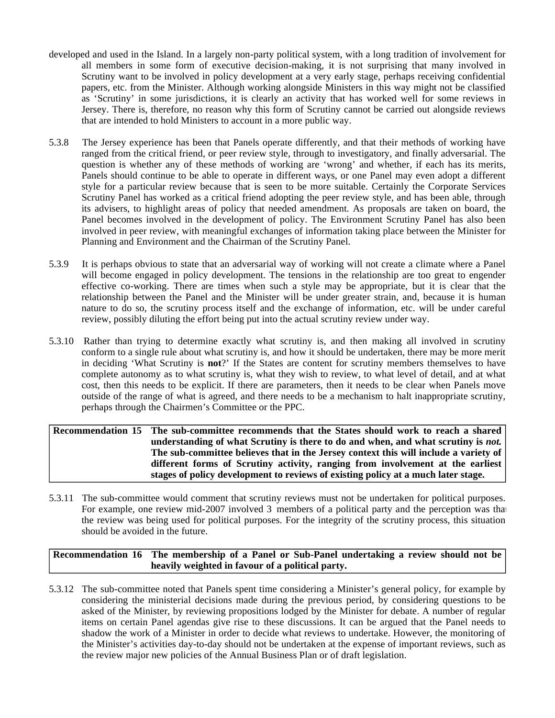- developed and used in the Island. In a largely non-party political system, with a long tradition of involvement for all members in some form of executive decision-making, it is not surprising that many involved in Scrutiny want to be involved in policy development at a very early stage, perhaps receiving confidential papers, etc. from the Minister. Although working alongside Ministers in this way might not be classified as 'Scrutiny' in some jurisdictions, it is clearly an activity that has worked well for some reviews in Jersey. There is, therefore, no reason why this form of Scrutiny cannot be carried out alongside reviews that are intended to hold Ministers to account in a more public way.
- 5.3.8 The Jersey experience has been that Panels operate differently, and that their methods of working have ranged from the critical friend, or peer review style, through to investigatory, and finally adversarial. The question is whether any of these methods of working are 'wrong' and whether, if each has its merits, Panels should continue to be able to operate in different ways, or one Panel may even adopt a different style for a particular review because that is seen to be more suitable. Certainly the Corporate Services Scrutiny Panel has worked as a critical friend adopting the peer review style, and has been able, through its advisers, to highlight areas of policy that needed amendment. As proposals are taken on board, the Panel becomes involved in the development of policy. The Environment Scrutiny Panel has also been involved in peer review, with meaningful exchanges of information taking place between the Minister for Planning and Environment and the Chairman of the Scrutiny Panel.
- 5.3.9 It is perhaps obvious to state that an adversarial way of working will not create a climate where a Panel will become engaged in policy development. The tensions in the relationship are too great to engender effective co-working. There are times when such a style may be appropriate, but it is clear that the relationship between the Panel and the Minister will be under greater strain, and, because it is human nature to do so, the scrutiny process itself and the exchange of information, etc. will be under careful review, possibly diluting the effort being put into the actual scrutiny review under way.
- 5.3.10 Rather than trying to determine exactly what scrutiny is, and then making all involved in scrutiny conform to a single rule about what scrutiny is, and how it should be undertaken, there may be more merit in deciding 'What Scrutiny is **not**?' If the States are content for scrutiny members themselves to have complete autonomy as to what scrutiny is, what they wish to review, to what level of detail, and at what cost, then this needs to be explicit. If there are parameters, then it needs to be clear when Panels move outside of the range of what is agreed, and there needs to be a mechanism to halt inappropriate scrutiny, perhaps through the Chairmen's Committee or the PPC.

**Recommendation 15 The sub-committee recommends that the States should work to reach a shared understanding of what Scrutiny is there to do and when, and what scrutiny is** *not.* **The sub-committee believes that in the Jersey context this will include a variety of different forms of Scrutiny activity, ranging from involvement at the earliest stages of policy development to reviews of existing policy at a much later stage.**

5.3.11 The sub-committee would comment that scrutiny reviews must not be undertaken for political purposes. For example, one review mid-2007 involved 3 members of a political party and the perception was that the review was being used for political purposes. For the integrity of the scrutiny process, this situation should be avoided in the future.

**Recommendation 16 The membership of a Panel or Sub-Panel undertaking a review should not be heavily weighted in favour of a political party.**

5.3.12 The sub-committee noted that Panels spent time considering a Minister's general policy, for example by considering the ministerial decisions made during the previous period, by considering questions to be asked of the Minister, by reviewing propositions lodged by the Minister for debate. A number of regular items on certain Panel agendas give rise to these discussions. It can be argued that the Panel needs to shadow the work of a Minister in order to decide what reviews to undertake. However, the monitoring of the Minister's activities day-to-day should not be undertaken at the expense of important reviews, such as the review major new policies of the Annual Business Plan or of draft legislation.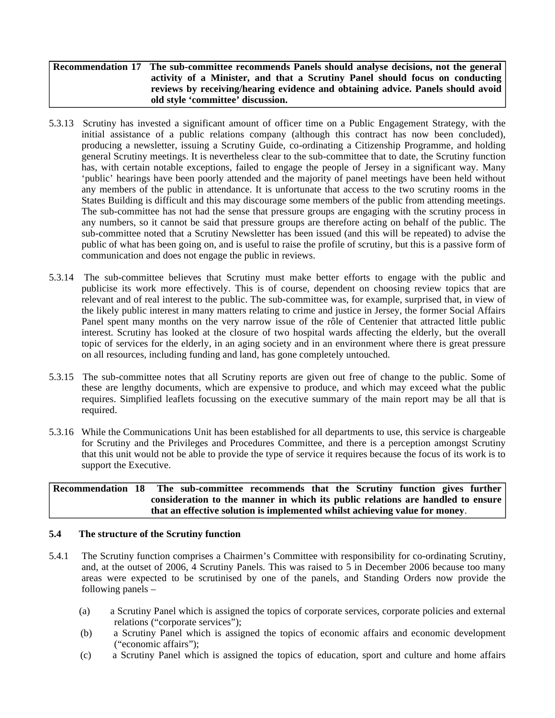# **Recommendation 17 The sub-committee recommends Panels should analyse decisions, not the general activity of a Minister, and that a Scrutiny Panel should focus on conducting reviews by receiving/hearing evidence and obtaining advice. Panels should avoid old style 'committee' discussion.**

- 5.3.13 Scrutiny has invested a significant amount of officer time on a Public Engagement Strategy, with the initial assistance of a public relations company (although this contract has now been concluded), producing a newsletter, issuing a Scrutiny Guide, co-ordinating a Citizenship Programme, and holding general Scrutiny meetings. It is nevertheless clear to the sub-committee that to date, the Scrutiny function has, with certain notable exceptions, failed to engage the people of Jersey in a significant way. Many 'public' hearings have been poorly attended and the majority of panel meetings have been held without any members of the public in attendance. It is unfortunate that access to the two scrutiny rooms in the States Building is difficult and this may discourage some members of the public from attending meetings. The sub-committee has not had the sense that pressure groups are engaging with the scrutiny process in any numbers, so it cannot be said that pressure groups are therefore acting on behalf of the public. The sub-committee noted that a Scrutiny Newsletter has been issued (and this will be repeated) to advise the public of what has been going on, and is useful to raise the profile of scrutiny, but this is a passive form of communication and does not engage the public in reviews.
- 5.3.14 The sub-committee believes that Scrutiny must make better efforts to engage with the public and publicise its work more effectively. This is of course, dependent on choosing review topics that are relevant and of real interest to the public. The sub-committee was, for example, surprised that, in view of the likely public interest in many matters relating to crime and justice in Jersey, the former Social Affairs Panel spent many months on the very narrow issue of the rôle of Centenier that attracted little public interest. Scrutiny has looked at the closure of two hospital wards affecting the elderly, but the overall topic of services for the elderly, in an aging society and in an environment where there is great pressure on all resources, including funding and land, has gone completely untouched.
- 5.3.15 The sub-committee notes that all Scrutiny reports are given out free of change to the public. Some of these are lengthy documents, which are expensive to produce, and which may exceed what the public requires. Simplified leaflets focussing on the executive summary of the main report may be all that is required.
- 5.3.16 While the Communications Unit has been established for all departments to use, this service is chargeable for Scrutiny and the Privileges and Procedures Committee, and there is a perception amongst Scrutiny that this unit would not be able to provide the type of service it requires because the focus of its work is to support the Executive.

**Recommendation 18 The sub-committee recommends that the Scrutiny function gives further consideration to the manner in which its public relations are handled to ensure that an effective solution is implemented whilst achieving value for money**.

# **5.4 The structure of the Scrutiny function**

- 5.4.1 The Scrutiny function comprises a Chairmen's Committee with responsibility for co-ordinating Scrutiny, and, at the outset of 2006, 4 Scrutiny Panels. This was raised to 5 in December 2006 because too many areas were expected to be scrutinised by one of the panels, and Standing Orders now provide the following panels –
	- (a) a Scrutiny Panel which is assigned the topics of corporate services, corporate policies and external relations ("corporate services");
	- (b) a Scrutiny Panel which is assigned the topics of economic affairs and economic development ("economic affairs");
	- (c) a Scrutiny Panel which is assigned the topics of education, sport and culture and home affairs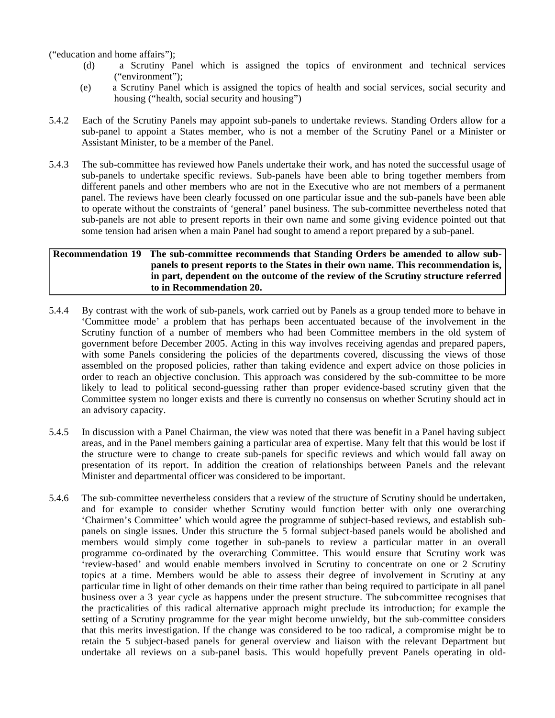("education and home affairs");

- (d) a Scrutiny Panel which is assigned the topics of environment and technical services ("environment");
- (e) a Scrutiny Panel which is assigned the topics of health and social services, social security and housing ("health, social security and housing")
- 5.4.2 Each of the Scrutiny Panels may appoint sub-panels to undertake reviews. Standing Orders allow for a sub-panel to appoint a States member, who is not a member of the Scrutiny Panel or a Minister or Assistant Minister, to be a member of the Panel.
- 5.4.3 The sub-committee has reviewed how Panels undertake their work, and has noted the successful usage of sub-panels to undertake specific reviews. Sub-panels have been able to bring together members from different panels and other members who are not in the Executive who are not members of a permanent panel. The reviews have been clearly focussed on one particular issue and the sub-panels have been able to operate without the constraints of 'general' panel business. The sub-committee nevertheless noted that sub-panels are not able to present reports in their own name and some giving evidence pointed out that some tension had arisen when a main Panel had sought to amend a report prepared by a sub-panel.

## **Recommendation 19 The sub-committee recommends that Standing Orders be amended to allow subpanels to present reports to the States in their own name. This recommendation is, in part, dependent on the outcome of the review of the Scrutiny structure referred to in Recommendation 20.**

- 5.4.4 By contrast with the work of sub-panels, work carried out by Panels as a group tended more to behave in 'Committee mode' a problem that has perhaps been accentuated because of the involvement in the Scrutiny function of a number of members who had been Committee members in the old system of government before December 2005. Acting in this way involves receiving agendas and prepared papers, with some Panels considering the policies of the departments covered, discussing the views of those assembled on the proposed policies, rather than taking evidence and expert advice on those policies in order to reach an objective conclusion. This approach was considered by the sub-committee to be more likely to lead to political second-guessing rather than proper evidence-based scrutiny given that the Committee system no longer exists and there is currently no consensus on whether Scrutiny should act in an advisory capacity.
- 5.4.5 In discussion with a Panel Chairman, the view was noted that there was benefit in a Panel having subject areas, and in the Panel members gaining a particular area of expertise. Many felt that this would be lost if the structure were to change to create sub-panels for specific reviews and which would fall away on presentation of its report. In addition the creation of relationships between Panels and the relevant Minister and departmental officer was considered to be important.
- 5.4.6 The sub-committee nevertheless considers that a review of the structure of Scrutiny should be undertaken, and for example to consider whether Scrutiny would function better with only one overarching 'Chairmen's Committee' which would agree the programme of subject-based reviews, and establish subpanels on single issues. Under this structure the 5 formal subject-based panels would be abolished and members would simply come together in sub-panels to review a particular matter in an overall programme co-ordinated by the overarching Committee. This would ensure that Scrutiny work was 'review-based' and would enable members involved in Scrutiny to concentrate on one or 2 Scrutiny topics at a time. Members would be able to assess their degree of involvement in Scrutiny at any particular time in light of other demands on their time rather than being required to participate in all panel business over a 3 year cycle as happens under the present structure. The sub-committee recognises that the practicalities of this radical alternative approach might preclude its introduction; for example the setting of a Scrutiny programme for the year might become unwieldy, but the sub-committee considers that this merits investigation. If the change was considered to be too radical, a compromise might be to retain the 5 subject-based panels for general overview and liaison with the relevant Department but undertake all reviews on a sub-panel basis. This would hopefully prevent Panels operating in old-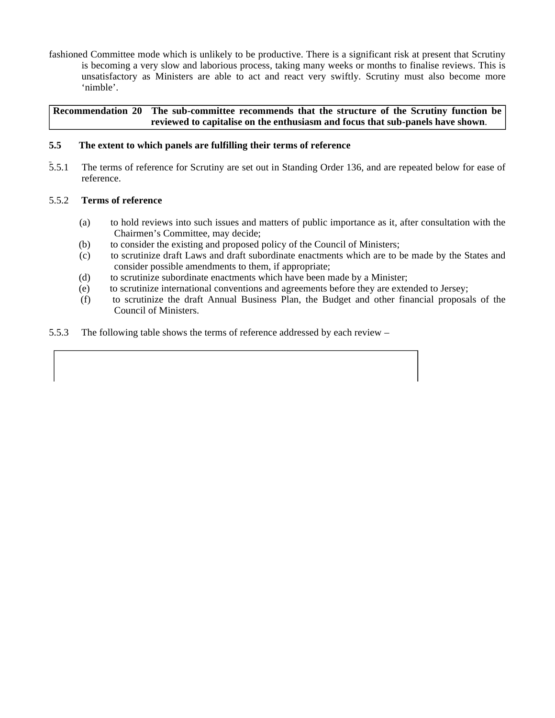fashioned Committee mode which is unlikely to be productive. There is a significant risk at present that Scrutiny is becoming a very slow and laborious process, taking many weeks or months to finalise reviews. This is unsatisfactory as Ministers are able to act and react very swiftly. Scrutiny must also become more 'nimble'.

**Recommendation 20 The sub-committee recommends that the structure of the Scrutiny function be reviewed to capitalise on the enthusiasm and focus that sub-panels have shown**.

# **5.5 The extent to which panels are fulfilling their terms of reference**

5.5.1 The terms of reference for Scrutiny are set out in Standing Order 136, and are repeated below for ease of reference.

### 5.5.2 **Terms of reference**

- (a) to hold reviews into such issues and matters of public importance as it, after consultation with the Chairmen's Committee, may decide;
- (b) to consider the existing and proposed policy of the Council of Ministers;
- (c) to scrutinize draft Laws and draft subordinate enactments which are to be made by the States and consider possible amendments to them, if appropriate;
- (d) to scrutinize subordinate enactments which have been made by a Minister;
- (e) to scrutinize international conventions and agreements before they are extended to Jersey;
- (f) to scrutinize the draft Annual Business Plan, the Budget and other financial proposals of the Council of Ministers.
- 5.5.3 The following table shows the terms of reference addressed by each review –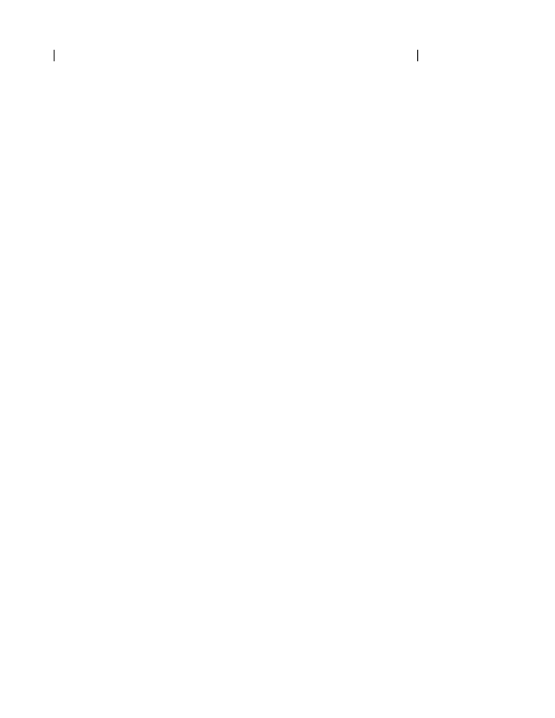$\begin{array}{c} \rule{0pt}{2ex} \rule{0pt}{2ex} \rule{0pt}{2ex} \rule{0pt}{2ex} \rule{0pt}{2ex} \rule{0pt}{2ex} \rule{0pt}{2ex} \rule{0pt}{2ex} \rule{0pt}{2ex} \rule{0pt}{2ex} \rule{0pt}{2ex} \rule{0pt}{2ex} \rule{0pt}{2ex} \rule{0pt}{2ex} \rule{0pt}{2ex} \rule{0pt}{2ex} \rule{0pt}{2ex} \rule{0pt}{2ex} \rule{0pt}{2ex} \rule{0pt}{2ex} \rule{0pt}{2ex} \rule{0pt}{2ex} \rule{0pt}{2ex} \rule{0pt}{$ 

 $\begin{array}{c} \hline \end{array}$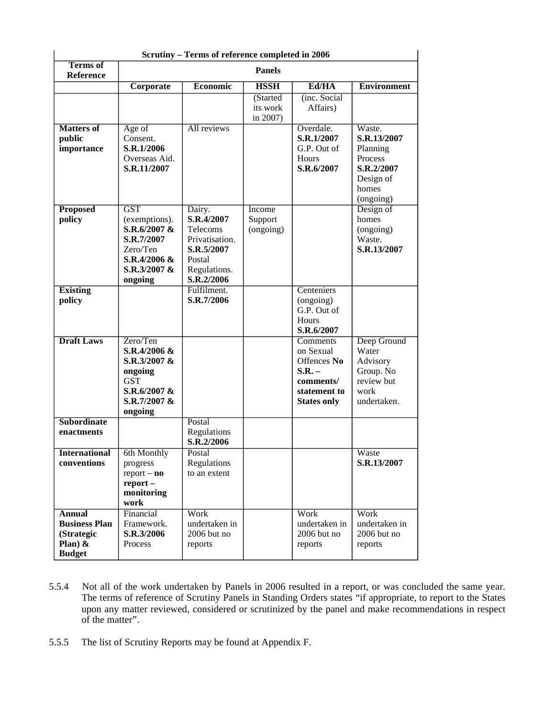| Scrutiny - Terms of reference completed in 2006                                    |                                                                                                                                  |                                                                                                          |                                  |                                                                                                     |                                                                                               |  |  |
|------------------------------------------------------------------------------------|----------------------------------------------------------------------------------------------------------------------------------|----------------------------------------------------------------------------------------------------------|----------------------------------|-----------------------------------------------------------------------------------------------------|-----------------------------------------------------------------------------------------------|--|--|
| <b>Terms</b> of<br>Reference                                                       | <b>Panels</b>                                                                                                                    |                                                                                                          |                                  |                                                                                                     |                                                                                               |  |  |
|                                                                                    | Corporate                                                                                                                        | <b>Economic</b>                                                                                          | <b>HSSH</b>                      | Ed/HA                                                                                               | <b>Environment</b>                                                                            |  |  |
|                                                                                    |                                                                                                                                  |                                                                                                          | (Started<br>its work<br>in 2007) | (inc. Social<br>Affairs)                                                                            |                                                                                               |  |  |
| <b>Matters of</b><br>public<br>importance                                          | $\overline{Age\ of}$<br>Consent.<br>S.R.1/2006<br>Overseas Aid.<br>S.R.11/2007                                                   | All reviews                                                                                              |                                  | Overdale.<br>S.R.1/2007<br>G.P. Out of<br>Hours<br>S.R.6/2007                                       | Waste.<br>S.R.13/2007<br>Planning<br>Process<br>S.R.2/2007<br>Design of<br>homes<br>(ongoing) |  |  |
| <b>Proposed</b><br>policy                                                          | $\overline{\text{GST}}$<br>(exemptions).<br>S.R.6/2007 &<br>S.R.7/2007<br>Zero/Ten<br>$S.R.4/2006 \&$<br>S.R.3/2007 &<br>ongoing | Dairy.<br>S.R.4/2007<br>Telecoms<br>Privatisation.<br>S.R.5/2007<br>Postal<br>Regulations.<br>S.R.2/2006 | Income<br>Support<br>(ongoing)   |                                                                                                     | Design of<br>homes<br>(ongoing)<br>Waste.<br>S.R.13/2007                                      |  |  |
| <b>Existing</b><br>policy                                                          |                                                                                                                                  | Fulfilment.<br>S.R.7/2006                                                                                |                                  | Centeniers<br>(ongoing)<br>G.P. Out of<br>Hours<br>S.R.6/2007                                       |                                                                                               |  |  |
| <b>Draft Laws</b>                                                                  | Zero/Ten<br>S.R.4/2006 &<br>S.R.3/2007 &<br>ongoing<br><b>GST</b><br>$S.R.6/2007 \&$<br>S.R.7/2007 &<br>ongoing                  |                                                                                                          |                                  | Comments<br>on Sexual<br>Offences No<br>$S.R. -$<br>comments/<br>statement to<br><b>States only</b> | Deep Ground<br>Water<br>Advisory<br>Group. No<br>review but<br>work<br>undertaken.            |  |  |
| <b>Subordinate</b><br>enactments                                                   |                                                                                                                                  | Postal<br>Regulations<br>S.R.2/2006                                                                      |                                  |                                                                                                     |                                                                                               |  |  |
| <b>International</b><br>conventions                                                | 6th Monthly<br>progress<br>$report - no$<br>$report -$<br>monitoring<br>work                                                     | Postal<br>Regulations<br>to an extent                                                                    |                                  |                                                                                                     | Waste<br>S.R.13/2007                                                                          |  |  |
| <b>Annual</b><br><b>Business Plan</b><br>(Strategic<br>Plan) $\&$<br><b>Budget</b> | Financial<br>Framework.<br>S.R.3/2006<br>Process                                                                                 | Work<br>undertaken in<br>$2006$ but no<br>reports                                                        |                                  | Work<br>undertaken in<br>$2006$ but no<br>reports                                                   | Work<br>undertaken in<br>2006 but no<br>reports                                               |  |  |

- 5.5.4 Not all of the work undertaken by Panels in 2006 resulted in a report, or was concluded the same year. The terms of reference of Scrutiny Panels in Standing Orders states "if appropriate, to report to the States upon any matter reviewed, considered or scrutinized by the panel and make recommendations in respect of the matter".
- 5.5.5 The list of Scrutiny Reports may be found at Appendix F.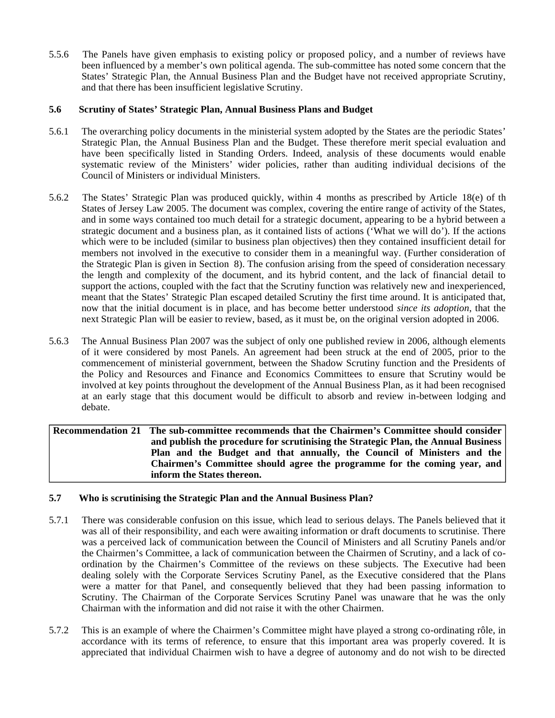5.5.6 The Panels have given emphasis to existing policy or proposed policy, and a number of reviews have been influenced by a member's own political agenda. The sub-committee has noted some concern that the States' Strategic Plan, the Annual Business Plan and the Budget have not received appropriate Scrutiny, and that there has been insufficient legislative Scrutiny.

# **5.6 Scrutiny of States' Strategic Plan, Annual Business Plans and Budget**

- 5.6.1 The overarching policy documents in the ministerial system adopted by the States are the periodic States' Strategic Plan, the Annual Business Plan and the Budget. These therefore merit special evaluation and have been specifically listed in Standing Orders. Indeed, analysis of these documents would enable systematic review of the Ministers' wider policies, rather than auditing individual decisions of the Council of Ministers or individual Ministers.
- 5.6.2 The States' Strategic Plan was produced quickly, within 4 months as prescribed by Article 18(e) of the States of Jersey Law 2005. The document was complex, covering the entire range of activity of the States, and in some ways contained too much detail for a strategic document, appearing to be a hybrid between a strategic document and a business plan, as it contained lists of actions ('What we will do'). If the actions which were to be included (similar to business plan objectives) then they contained insufficient detail for members not involved in the executive to consider them in a meaningful way. (Further consideration of the Strategic Plan is given in Section 8). The confusion arising from the speed of consideration necessary, the length and complexity of the document, and its hybrid content, and the lack of financial detail to support the actions, coupled with the fact that the Scrutiny function was relatively new and inexperienced, meant that the States' Strategic Plan escaped detailed Scrutiny the first time around. It is anticipated that, now that the initial document is in place, and has become better understood *since its adoption*, that the next Strategic Plan will be easier to review, based, as it must be, on the original version adopted in 2006.
- 5.6.3 The Annual Business Plan 2007 was the subject of only one published review in 2006, although elements of it were considered by most Panels. An agreement had been struck at the end of 2005, prior to the commencement of ministerial government, between the Shadow Scrutiny function and the Presidents of the Policy and Resources and Finance and Economics Committees to ensure that Scrutiny would be involved at key points throughout the development of the Annual Business Plan, as it had been recognised at an early stage that this document would be difficult to absorb and review in-between lodging and debate.

**Recommendation 21 The sub-committee recommends that the Chairmen's Committee should consider and publish the procedure for scrutinising the Strategic Plan, the Annual Business Plan and the Budget and that annually, the Council of Ministers and the Chairmen's Committee should agree the programme for the coming year, and inform the States thereon.**

# **5.7 Who is scrutinising the Strategic Plan and the Annual Business Plan?**

- 5.7.1 There was considerable confusion on this issue, which lead to serious delays. The Panels believed that it was all of their responsibility, and each were awaiting information or draft documents to scrutinise. There was a perceived lack of communication between the Council of Ministers and all Scrutiny Panels and/or the Chairmen's Committee, a lack of communication between the Chairmen of Scrutiny, and a lack of coordination by the Chairmen's Committee of the reviews on these subjects. The Executive had been dealing solely with the Corporate Services Scrutiny Panel, as the Executive considered that the Plans were a matter for that Panel, and consequently believed that they had been passing information to Scrutiny. The Chairman of the Corporate Services Scrutiny Panel was unaware that he was the only Chairman with the information and did not raise it with the other Chairmen.
- 5.7.2 This is an example of where the Chairmen's Committee might have played a strong co-ordinating rôle, in accordance with its terms of reference, to ensure that this important area was properly covered. It is appreciated that individual Chairmen wish to have a degree of autonomy and do not wish to be directed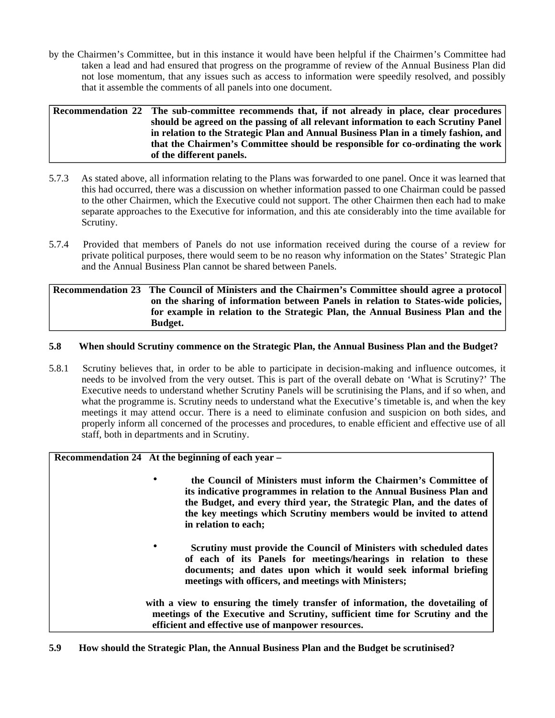by the Chairmen's Committee, but in this instance it would have been helpful if the Chairmen's Committee had taken a lead and had ensured that progress on the programme of review of the Annual Business Plan did not lose momentum, that any issues such as access to information were speedily resolved, and possibly that it assemble the comments of all panels into one document.

**Recommendation 22 The sub-committee recommends that, if not already in place, clear procedures should be agreed on the passing of all relevant information to each Scrutiny Panel in relation to the Strategic Plan and Annual Business Plan in a timely fashion, and that the Chairmen's Committee should be responsible for co-ordinating the work of the different panels.**

- 5.7.3 As stated above, all information relating to the Plans was forwarded to one panel. Once it was learned that this had occurred, there was a discussion on whether information passed to one Chairman could be passed to the other Chairmen, which the Executive could not support. The other Chairmen then each had to make separate approaches to the Executive for information, and this ate considerably into the time available for Scrutiny.
- 5.7.4 Provided that members of Panels do not use information received during the course of a review for private political purposes, there would seem to be no reason why information on the States' Strategic Plan and the Annual Business Plan cannot be shared between Panels.

# **Recommendation 23 The Council of Ministers and the Chairmen's Committee should agree a protocol on the sharing of information between Panels in relation to States-wide policies, for example in relation to the Strategic Plan, the Annual Business Plan and the Budget.**

# **5.8 When should Scrutiny commence on the Strategic Plan, the Annual Business Plan and the Budget?**

5.8.1 Scrutiny believes that, in order to be able to participate in decision-making and influence outcomes, it needs to be involved from the very outset. This is part of the overall debate on 'What is Scrutiny?' The Executive needs to understand whether Scrutiny Panels will be scrutinising the Plans, and if so when, and what the programme is. Scrutiny needs to understand what the Executive's timetable is, and when the key meetings it may attend occur. There is a need to eliminate confusion and suspicion on both sides, and properly inform all concerned of the processes and procedures, to enable efficient and effective use of all staff, both in departments and in Scrutiny.

# **Recommendation 24 At the beginning of each year –**

- **the Council of Ministers must inform the Chairmen's Committee of its indicative programmes in relation to the Annual Business Plan and the Budget, and every third year, the Strategic Plan, and the dates of the key meetings which Scrutiny members would be invited to attend in relation to each;**
- **Scrutiny must provide the Council of Ministers with scheduled dates of each of its Panels for meetings/hearings in relation to these documents; and dates upon which it would seek informal briefing meetings with officers, and meetings with Ministers;**

 **with a view to ensuring the timely transfer of information, the dovetailing of meetings of the Executive and Scrutiny, sufficient time for Scrutiny and the efficient and effective use of manpower resources.**

**5.9 How should the Strategic Plan, the Annual Business Plan and the Budget be scrutinised?**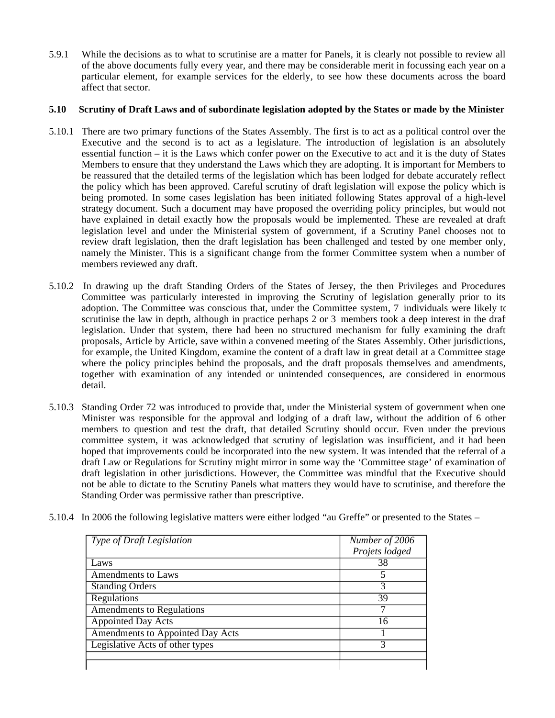5.9.1 While the decisions as to what to scrutinise are a matter for Panels, it is clearly not possible to review all of the above documents fully every year, and there may be considerable merit in focussing each year on a particular element, for example services for the elderly, to see how these documents across the board affect that sector.

# **5.10 Scrutiny of Draft Laws and of subordinate legislation adopted by the States or made by the Minister**

- 5.10.1 There are two primary functions of the States Assembly. The first is to act as a political control over the Executive and the second is to act as a legislature. The introduction of legislation is an absolutely essential function – it is the Laws which confer power on the Executive to act and it is the duty of States Members to ensure that they understand the Laws which they are adopting. It is important for Members to be reassured that the detailed terms of the legislation which has been lodged for debate accurately reflect the policy which has been approved. Careful scrutiny of draft legislation will expose the policy which is being promoted. In some cases legislation has been initiated following States approval of a high-level strategy document. Such a document may have proposed the overriding policy principles, but would not have explained in detail exactly how the proposals would be implemented. These are revealed at draft legislation level and under the Ministerial system of government, if a Scrutiny Panel chooses not to review draft legislation, then the draft legislation has been challenged and tested by one member only, namely the Minister. This is a significant change from the former Committee system when a number of members reviewed any draft.
- 5.10.2 In drawing up the draft Standing Orders of the States of Jersey, the then Privileges and Procedures Committee was particularly interested in improving the Scrutiny of legislation generally prior to its adoption. The Committee was conscious that, under the Committee system, 7 individuals were likely to scrutinise the law in depth, although in practice perhaps 2 or 3 members took a deep interest in the draft legislation. Under that system, there had been no structured mechanism for fully examining the draft proposals, Article by Article, save within a convened meeting of the States Assembly. Other jurisdictions, for example, the United Kingdom, examine the content of a draft law in great detail at a Committee stage where the policy principles behind the proposals, and the draft proposals themselves and amendments, together with examination of any intended or unintended consequences, are considered in enormous detail.
- 5.10.3 Standing Order 72 was introduced to provide that, under the Ministerial system of government when one Minister was responsible for the approval and lodging of a draft law, without the addition of 6 other members to question and test the draft, that detailed Scrutiny should occur. Even under the previous committee system, it was acknowledged that scrutiny of legislation was insufficient, and it had been hoped that improvements could be incorporated into the new system. It was intended that the referral of a draft Law or Regulations for Scrutiny might mirror in some way the 'Committee stage' of examination of draft legislation in other jurisdictions. However, the Committee was mindful that the Executive should not be able to dictate to the Scrutiny Panels what matters they would have to scrutinise, and therefore the Standing Order was permissive rather than prescriptive.
- 5.10.4 In 2006 the following legislative matters were either lodged "au Greffe" or presented to the States –

| Type of Draft Legislation        | Number of 2006 |
|----------------------------------|----------------|
|                                  | Projets lodged |
| Laws                             | 38             |
| Amendments to Laws               | 5              |
| <b>Standing Orders</b>           |                |
| Regulations                      | 39             |
| <b>Amendments to Regulations</b> |                |
| <b>Appointed Day Acts</b>        | 16             |
| Amendments to Appointed Day Acts |                |
| Legislative Acts of other types  |                |
|                                  |                |
|                                  |                |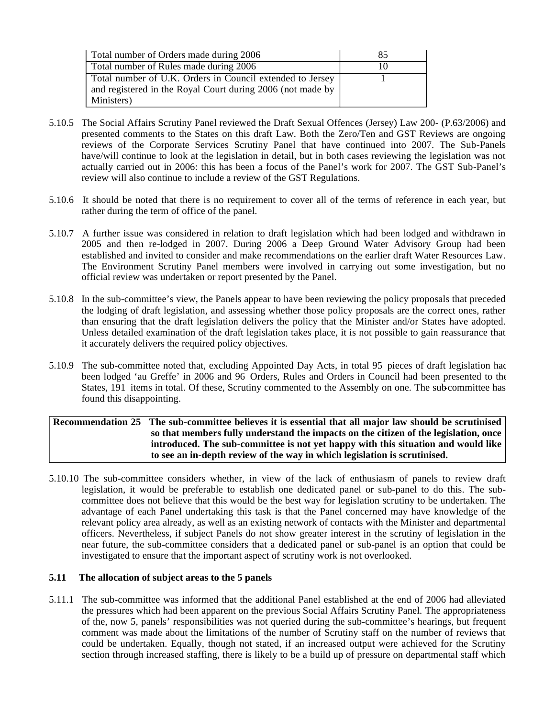| Total number of Orders made during 2006                    | 85 |
|------------------------------------------------------------|----|
| Total number of Rules made during 2006                     |    |
| Total number of U.K. Orders in Council extended to Jersey  |    |
| and registered in the Royal Court during 2006 (not made by |    |
| Ministers)                                                 |    |

- 5.10.5 The Social Affairs Scrutiny Panel reviewed the Draft Sexual Offences (Jersey) Law 200- (P.63/2006) and presented comments to the States on this draft Law. Both the Zero/Ten and GST Reviews are ongoing reviews of the Corporate Services Scrutiny Panel that have continued into 2007. The Sub-Panels have/will continue to look at the legislation in detail, but in both cases reviewing the legislation was not actually carried out in 2006: this has been a focus of the Panel's work for 2007. The GST Sub-Panel's review will also continue to include a review of the GST Regulations.
- 5.10.6 It should be noted that there is no requirement to cover all of the terms of reference in each year, but rather during the term of office of the panel.
- 5.10.7 A further issue was considered in relation to draft legislation which had been lodged and withdrawn in 2005 and then re-lodged in 2007. During 2006 a Deep Ground Water Advisory Group had been established and invited to consider and make recommendations on the earlier draft Water Resources Law. The Environment Scrutiny Panel members were involved in carrying out some investigation, but no official review was undertaken or report presented by the Panel.
- 5.10.8 In the sub-committee's view, the Panels appear to have been reviewing the policy proposals that preceded the lodging of draft legislation, and assessing whether those policy proposals are the correct ones, rather than ensuring that the draft legislation delivers the policy that the Minister and/or States have adopted. Unless detailed examination of the draft legislation takes place, it is not possible to gain reassurance that it accurately delivers the required policy objectives.
- 5.10.9 The sub-committee noted that, excluding Appointed Day Acts, in total 95 pieces of draft legislation had been lodged 'au Greffe' in 2006 and 96 Orders, Rules and Orders in Council had been presented to the States, 191 items in total. Of these, Scrutiny commented to the Assembly on one. The sub-committee has found this disappointing.

**Recommendation 25 The sub-committee believes it is essential that all major law should be scrutinised so that members fully understand the impacts on the citizen of the legislation, once introduced. The sub-committee is not yet happy with this situation and would like to see an in-depth review of the way in which legislation is scrutinised.**

5.10.10 The sub-committee considers whether, in view of the lack of enthusiasm of panels to review draft legislation, it would be preferable to establish one dedicated panel or sub-panel to do this. The subcommittee does not believe that this would be the best way for legislation scrutiny to be undertaken. The advantage of each Panel undertaking this task is that the Panel concerned may have knowledge of the relevant policy area already, as well as an existing network of contacts with the Minister and departmental officers. Nevertheless, if subject Panels do not show greater interest in the scrutiny of legislation in the near future, the sub-committee considers that a dedicated panel or sub-panel is an option that could be investigated to ensure that the important aspect of scrutiny work is not overlooked.

# **5.11 The allocation of subject areas to the 5 panels**

5.11.1 The sub-committee was informed that the additional Panel established at the end of 2006 had alleviated the pressures which had been apparent on the previous Social Affairs Scrutiny Panel. The appropriateness of the, now 5, panels' responsibilities was not queried during the sub-committee's hearings, but frequent comment was made about the limitations of the number of Scrutiny staff on the number of reviews that could be undertaken. Equally, though not stated, if an increased output were achieved for the Scrutiny section through increased staffing, there is likely to be a build up of pressure on departmental staff which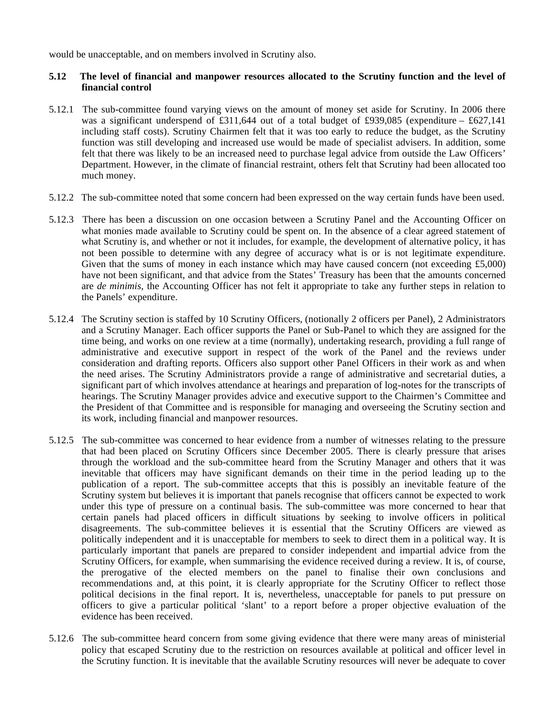would be unacceptable, and on members involved in Scrutiny also.

### **5.12 The level of financial and manpower resources allocated to the Scrutiny function and the level of financial control**

- 5.12.1 The sub-committee found varying views on the amount of money set aside for Scrutiny. In 2006 there was a significant underspend of £311,644 out of a total budget of £939,085 (expenditure – £627,141 including staff costs). Scrutiny Chairmen felt that it was too early to reduce the budget, as the Scrutiny function was still developing and increased use would be made of specialist advisers. In addition, some felt that there was likely to be an increased need to purchase legal advice from outside the Law Officers' Department. However, in the climate of financial restraint, others felt that Scrutiny had been allocated too much money.
- 5.12.2 The sub-committee noted that some concern had been expressed on the way certain funds have been used.
- 5.12.3 There has been a discussion on one occasion between a Scrutiny Panel and the Accounting Officer on what monies made available to Scrutiny could be spent on. In the absence of a clear agreed statement of what Scrutiny is, and whether or not it includes, for example, the development of alternative policy, it has not been possible to determine with any degree of accuracy what is or is not legitimate expenditure. Given that the sums of money in each instance which may have caused concern (not exceeding £5,000) have not been significant, and that advice from the States' Treasury has been that the amounts concerned are *de minimis,* the Accounting Officer has not felt it appropriate to take any further steps in relation to the Panels' expenditure.
- 5.12.4 The Scrutiny section is staffed by 10 Scrutiny Officers, (notionally 2 officers per Panel), 2 Administrators and a Scrutiny Manager. Each officer supports the Panel or Sub-Panel to which they are assigned for the time being, and works on one review at a time (normally), undertaking research, providing a full range of administrative and executive support in respect of the work of the Panel and the reviews under consideration and drafting reports. Officers also support other Panel Officers in their work as and when the need arises. The Scrutiny Administrators provide a range of administrative and secretarial duties, a significant part of which involves attendance at hearings and preparation of log-notes for the transcripts of hearings. The Scrutiny Manager provides advice and executive support to the Chairmen's Committee and the President of that Committee and is responsible for managing and overseeing the Scrutiny section and its work, including financial and manpower resources.
- 5.12.5 The sub-committee was concerned to hear evidence from a number of witnesses relating to the pressure that had been placed on Scrutiny Officers since December 2005. There is clearly pressure that arises through the workload and the sub-committee heard from the Scrutiny Manager and others that it was inevitable that officers may have significant demands on their time in the period leading up to the publication of a report. The sub-committee accepts that this is possibly an inevitable feature of the Scrutiny system but believes it is important that panels recognise that officers cannot be expected to work under this type of pressure on a continual basis. The sub-committee was more concerned to hear that certain panels had placed officers in difficult situations by seeking to involve officers in political disagreements. The sub-committee believes it is essential that the Scrutiny Officers are viewed as politically independent and it is unacceptable for members to seek to direct them in a political way. It is particularly important that panels are prepared to consider independent and impartial advice from the Scrutiny Officers, for example, when summarising the evidence received during a review. It is, of course, the prerogative of the elected members on the panel to finalise their own conclusions and recommendations and, at this point, it is clearly appropriate for the Scrutiny Officer to reflect those political decisions in the final report. It is, nevertheless, unacceptable for panels to put pressure on officers to give a particular political 'slant' to a report before a proper objective evaluation of the evidence has been received.
- 5.12.6 The sub-committee heard concern from some giving evidence that there were many areas of ministerial policy that escaped Scrutiny due to the restriction on resources available at political and officer level in the Scrutiny function. It is inevitable that the available Scrutiny resources will never be adequate to cover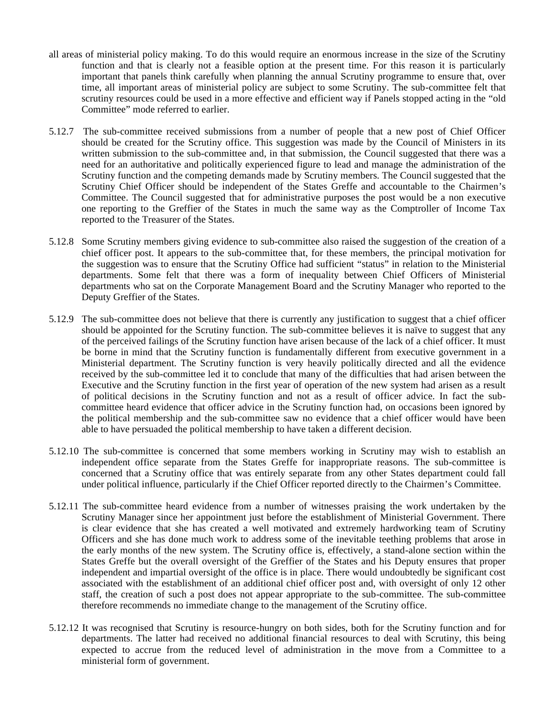- all areas of ministerial policy making. To do this would require an enormous increase in the size of the Scrutiny function and that is clearly not a feasible option at the present time. For this reason it is particularly important that panels think carefully when planning the annual Scrutiny programme to ensure that, over time, all important areas of ministerial policy are subject to some Scrutiny. The sub-committee felt that scrutiny resources could be used in a more effective and efficient way if Panels stopped acting in the "old Committee" mode referred to earlier.
- 5.12.7 The sub-committee received submissions from a number of people that a new post of Chief Officer should be created for the Scrutiny office. This suggestion was made by the Council of Ministers in its written submission to the sub-committee and, in that submission, the Council suggested that there was a need for an authoritative and politically experienced figure to lead and manage the administration of the Scrutiny function and the competing demands made by Scrutiny members. The Council suggested that the Scrutiny Chief Officer should be independent of the States Greffe and accountable to the Chairmen's Committee. The Council suggested that for administrative purposes the post would be a non executive one reporting to the Greffier of the States in much the same way as the Comptroller of Income Tax reported to the Treasurer of the States.
- 5.12.8 Some Scrutiny members giving evidence to sub-committee also raised the suggestion of the creation of a chief officer post. It appears to the sub-committee that, for these members, the principal motivation for the suggestion was to ensure that the Scrutiny Office had sufficient "status" in relation to the Ministerial departments. Some felt that there was a form of inequality between Chief Officers of Ministerial departments who sat on the Corporate Management Board and the Scrutiny Manager who reported to the Deputy Greffier of the States.
- 5.12.9 The sub-committee does not believe that there is currently any justification to suggest that a chief officer should be appointed for the Scrutiny function. The sub-committee believes it is naïve to suggest that any of the perceived failings of the Scrutiny function have arisen because of the lack of a chief officer. It must be borne in mind that the Scrutiny function is fundamentally different from executive government in a Ministerial department. The Scrutiny function is very heavily politically directed and all the evidence received by the sub-committee led it to conclude that many of the difficulties that had arisen between the Executive and the Scrutiny function in the first year of operation of the new system had arisen as a result of political decisions in the Scrutiny function and not as a result of officer advice. In fact the subcommittee heard evidence that officer advice in the Scrutiny function had, on occasions been ignored by the political membership and the sub-committee saw no evidence that a chief officer would have been able to have persuaded the political membership to have taken a different decision.
- 5.12.10 The sub-committee is concerned that some members working in Scrutiny may wish to establish an independent office separate from the States Greffe for inappropriate reasons. The sub-committee is concerned that a Scrutiny office that was entirely separate from any other States department could fall under political influence, particularly if the Chief Officer reported directly to the Chairmen's Committee.
- 5.12.11 The sub-committee heard evidence from a number of witnesses praising the work undertaken by the Scrutiny Manager since her appointment just before the establishment of Ministerial Government. There is clear evidence that she has created a well motivated and extremely hardworking team of Scrutiny Officers and she has done much work to address some of the inevitable teething problems that arose in the early months of the new system. The Scrutiny office is, effectively, a stand-alone section within the States Greffe but the overall oversight of the Greffier of the States and his Deputy ensures that proper independent and impartial oversight of the office is in place. There would undoubtedly be significant cost associated with the establishment of an additional chief officer post and, with oversight of only 12 other staff, the creation of such a post does not appear appropriate to the sub-committee. The sub-committee therefore recommends no immediate change to the management of the Scrutiny office.
- 5.12.12 It was recognised that Scrutiny is resource-hungry on both sides, both for the Scrutiny function and for departments. The latter had received no additional financial resources to deal with Scrutiny, this being expected to accrue from the reduced level of administration in the move from a Committee to a ministerial form of government.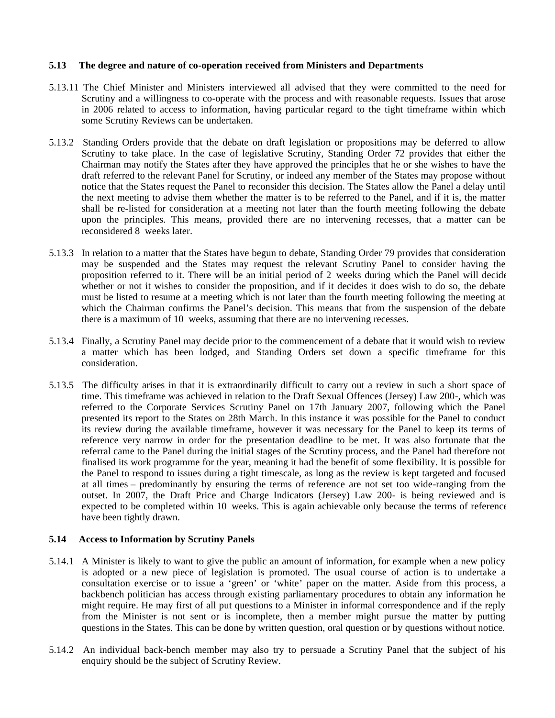## **5.13 The degree and nature of co-operation received from Ministers and Departments**

- 5.13.11 The Chief Minister and Ministers interviewed all advised that they were committed to the need for Scrutiny and a willingness to co-operate with the process and with reasonable requests. Issues that arose in 2006 related to access to information, having particular regard to the tight timeframe within which some Scrutiny Reviews can be undertaken.
- 5.13.2 Standing Orders provide that the debate on draft legislation or propositions may be deferred to allow Scrutiny to take place. In the case of legislative Scrutiny, Standing Order 72 provides that either the Chairman may notify the States after they have approved the principles that he or she wishes to have the draft referred to the relevant Panel for Scrutiny, or indeed any member of the States may propose without notice that the States request the Panel to reconsider this decision. The States allow the Panel a delay until the next meeting to advise them whether the matter is to be referred to the Panel, and if it is, the matter shall be re-listed for consideration at a meeting not later than the fourth meeting following the debate upon the principles. This means, provided there are no intervening recesses, that a matter can be reconsidered 8 weeks later.
- 5.13.3 In relation to a matter that the States have begun to debate, Standing Order 79 provides that consideration may be suspended and the States may request the relevant Scrutiny Panel to consider having the proposition referred to it. There will be an initial period of 2 weeks during which the Panel will decide whether or not it wishes to consider the proposition, and if it decides it does wish to do so, the debate must be listed to resume at a meeting which is not later than the fourth meeting following the meeting at which the Chairman confirms the Panel's decision. This means that from the suspension of the debate there is a maximum of 10 weeks, assuming that there are no intervening recesses.
- 5.13.4 Finally, a Scrutiny Panel may decide prior to the commencement of a debate that it would wish to review a matter which has been lodged, and Standing Orders set down a specific timeframe for this consideration.
- 5.13.5 The difficulty arises in that it is extraordinarily difficult to carry out a review in such a short space of time. This timeframe was achieved in relation to the Draft Sexual Offences (Jersey) Law 200-, which was referred to the Corporate Services Scrutiny Panel on 17th January 2007, following which the Panel presented its report to the States on 28th March. In this instance it was possible for the Panel to conduct its review during the available timeframe, however it was necessary for the Panel to keep its terms of reference very narrow in order for the presentation deadline to be met. It was also fortunate that the referral came to the Panel during the initial stages of the Scrutiny process, and the Panel had therefore not finalised its work programme for the year, meaning it had the benefit of some flexibility. It is possible for the Panel to respond to issues during a tight timescale, as long as the review is kept targeted and focused at all times – predominantly by ensuring the terms of reference are not set too wide-ranging from the outset. In 2007, the Draft Price and Charge Indicators (Jersey) Law 200- is being reviewed and is expected to be completed within 10 weeks. This is again achievable only because the terms of reference have been tightly drawn.

## **5.14 Access to Information by Scrutiny Panels**

- 5.14.1 A Minister is likely to want to give the public an amount of information, for example when a new policy is adopted or a new piece of legislation is promoted. The usual course of action is to undertake a consultation exercise or to issue a 'green' or 'white' paper on the matter. Aside from this process, a backbench politician has access through existing parliamentary procedures to obtain any information he might require. He may first of all put questions to a Minister in informal correspondence and if the reply from the Minister is not sent or is incomplete, then a member might pursue the matter by putting questions in the States. This can be done by written question, oral question or by questions without notice.
- 5.14.2 An individual back-bench member may also try to persuade a Scrutiny Panel that the subject of his enquiry should be the subject of Scrutiny Review.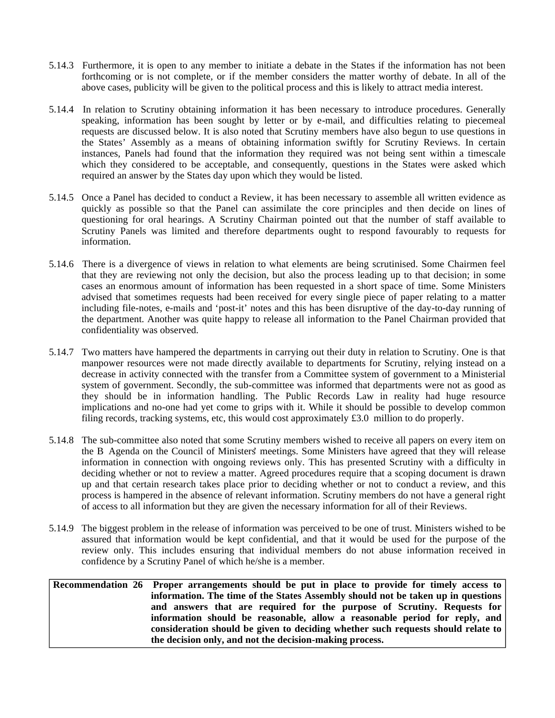- 5.14.3 Furthermore, it is open to any member to initiate a debate in the States if the information has not been forthcoming or is not complete, or if the member considers the matter worthy of debate. In all of the above cases, publicity will be given to the political process and this is likely to attract media interest.
- 5.14.4 In relation to Scrutiny obtaining information it has been necessary to introduce procedures. Generally speaking, information has been sought by letter or by e-mail, and difficulties relating to piecemeal requests are discussed below. It is also noted that Scrutiny members have also begun to use questions in the States' Assembly as a means of obtaining information swiftly for Scrutiny Reviews. In certain instances, Panels had found that the information they required was not being sent within a timescale which they considered to be acceptable, and consequently, questions in the States were asked which required an answer by the States day upon which they would be listed.
- 5.14.5 Once a Panel has decided to conduct a Review, it has been necessary to assemble all written evidence as quickly as possible so that the Panel can assimilate the core principles and then decide on lines of questioning for oral hearings. A Scrutiny Chairman pointed out that the number of staff available to Scrutiny Panels was limited and therefore departments ought to respond favourably to requests for information.
- 5.14.6 There is a divergence of views in relation to what elements are being scrutinised. Some Chairmen feel that they are reviewing not only the decision, but also the process leading up to that decision; in some cases an enormous amount of information has been requested in a short space of time. Some Ministers advised that sometimes requests had been received for every single piece of paper relating to a matter including file-notes, e-mails and 'post-it' notes and this has been disruptive of the day-to-day running of the department. Another was quite happy to release all information to the Panel Chairman provided that confidentiality was observed.
- 5.14.7 Two matters have hampered the departments in carrying out their duty in relation to Scrutiny. One is that manpower resources were not made directly available to departments for Scrutiny, relying instead on a decrease in activity connected with the transfer from a Committee system of government to a Ministerial system of government. Secondly, the sub-committee was informed that departments were not as good as they should be in information handling. The Public Records Law in reality had huge resource implications and no-one had yet come to grips with it. While it should be possible to develop common filing records, tracking systems, etc, this would cost approximately £3.0 million to do properly.
- 5.14.8 The sub-committee also noted that some Scrutiny members wished to receive all papers on every item on the B Agenda on the Council of Ministers' meetings. Some Ministers have agreed that they will release information in connection with ongoing reviews only. This has presented Scrutiny with a difficulty in deciding whether or not to review a matter. Agreed procedures require that a scoping document is drawn up and that certain research takes place prior to deciding whether or not to conduct a review, and this process is hampered in the absence of relevant information. Scrutiny members do not have a general right of access to all information but they are given the necessary information for all of their Reviews.
- 5.14.9 The biggest problem in the release of information was perceived to be one of trust. Ministers wished to be assured that information would be kept confidential, and that it would be used for the purpose of the review only. This includes ensuring that individual members do not abuse information received in confidence by a Scrutiny Panel of which he/she is a member.

# **Recommendation 26 Proper arrangements should be put in place to provide for timely access to information. The time of the States Assembly should not be taken up in questions and answers that are required for the purpose of Scrutiny. Requests for information should be reasonable, allow a reasonable period for reply, and consideration should be given to deciding whether such requests should relate to the decision only, and not the decision-making process.**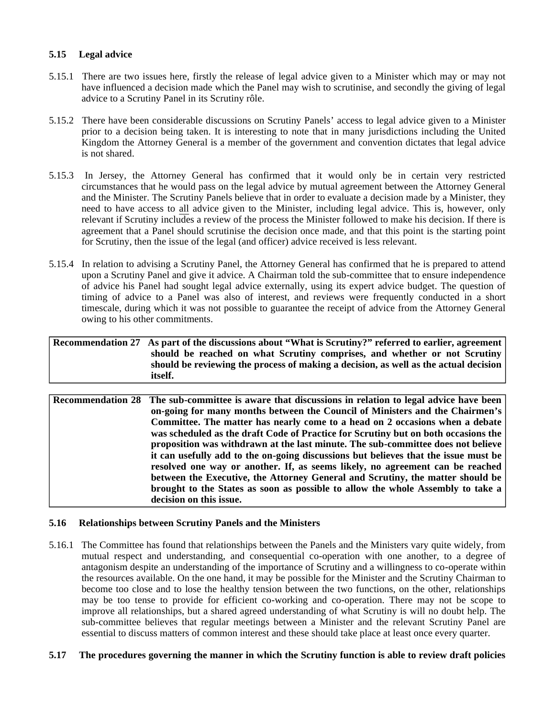# **5.15 Legal advice**

- 5.15.1 There are two issues here, firstly the release of legal advice given to a Minister which may or may not have influenced a decision made which the Panel may wish to scrutinise, and secondly the giving of legal advice to a Scrutiny Panel in its Scrutiny rôle.
- 5.15.2 There have been considerable discussions on Scrutiny Panels' access to legal advice given to a Minister prior to a decision being taken. It is interesting to note that in many jurisdictions including the United Kingdom the Attorney General is a member of the government and convention dictates that legal advice is not shared.
- 5.15.3 In Jersey, the Attorney General has confirmed that it would only be in certain very restricted circumstances that he would pass on the legal advice by mutual agreement between the Attorney General and the Minister. The Scrutiny Panels believe that in order to evaluate a decision made by a Minister, they need to have access to all advice given to the Minister, including legal advice. This is, however, only relevant if Scrutiny includes a review of the process the Minister followed to make his decision. If there is agreement that a Panel should scrutinise the decision once made, and that this point is the starting point for Scrutiny, then the issue of the legal (and officer) advice received is less relevant.
- 5.15.4 In relation to advising a Scrutiny Panel, the Attorney General has confirmed that he is prepared to attend upon a Scrutiny Panel and give it advice. A Chairman told the sub-committee that to ensure independence of advice his Panel had sought legal advice externally, using its expert advice budget. The question of timing of advice to a Panel was also of interest, and reviews were frequently conducted in a short timescale, during which it was not possible to guarantee the receipt of advice from the Attorney General owing to his other commitments.

**Recommendation 27 As part of the discussions about "What is Scrutiny?" referred to earlier, agreement should be reached on what Scrutiny comprises, and whether or not Scrutiny should be reviewing the process of making a decision, as well as the actual decision itself.**

**Recommendation 28 The sub-committee is aware that discussions in relation to legal advice have been on-going for many months between the Council of Ministers and the Chairmen's Committee. The matter has nearly come to a head on 2 occasions when a debate was scheduled as the draft Code of Practice for Scrutiny but on both occasions the proposition was withdrawn at the last minute. The sub-committee does not believe it can usefully add to the on-going discussions but believes that the issue must be resolved one way or another. If, as seems likely, no agreement can be reached between the Executive, the Attorney General and Scrutiny, the matter should be brought to the States as soon as possible to allow the whole Assembly to take a decision on this issue.**

# **5.16 Relationships between Scrutiny Panels and the Ministers**

- 5.16.1 The Committee has found that relationships between the Panels and the Ministers vary quite widely, from mutual respect and understanding, and consequential co-operation with one another, to a degree of antagonism despite an understanding of the importance of Scrutiny and a willingness to co-operate within the resources available. On the one hand, it may be possible for the Minister and the Scrutiny Chairman to become too close and to lose the healthy tension between the two functions, on the other, relationships may be too tense to provide for efficient co-working and co-operation. There may not be scope to improve all relationships, but a shared agreed understanding of what Scrutiny is will no doubt help. The sub-committee believes that regular meetings between a Minister and the relevant Scrutiny Panel are essential to discuss matters of common interest and these should take place at least once every quarter.
- **5.17 The procedures governing the manner in which the Scrutiny function is able to review draft policies**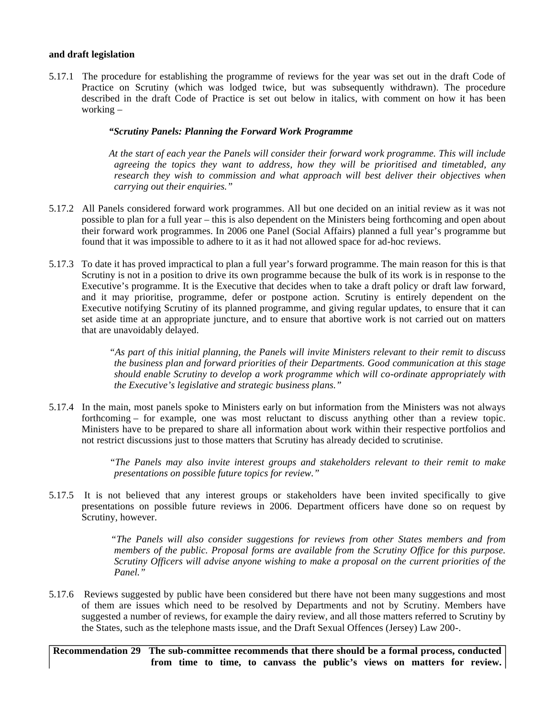#### **and draft legislation**

5.17.1 The procedure for establishing the programme of reviews for the year was set out in the draft Code of Practice on Scrutiny (which was lodged twice, but was subsequently withdrawn). The procedure described in the draft Code of Practice is set out below in italics, with comment on how it has been working –

### *"Scrutiny Panels: Planning the Forward Work Programme*

 *At the start of each year the Panels will consider their forward work programme. This will include agreeing the topics they want to address, how they will be prioritised and timetabled, any research they wish to commission and what approach will best deliver their objectives when carrying out their enquiries."*

- 5.17.2 All Panels considered forward work programmes. All but one decided on an initial review as it was not possible to plan for a full year – this is also dependent on the Ministers being forthcoming and open about their forward work programmes. In 2006 one Panel (Social Affairs) planned a full year's programme but found that it was impossible to adhere to it as it had not allowed space for ad-hoc reviews.
- 5.17.3 To date it has proved impractical to plan a full year's forward programme. The main reason for this is that Scrutiny is not in a position to drive its own programme because the bulk of its work is in response to the Executive's programme. It is the Executive that decides when to take a draft policy or draft law forward, and it may prioritise, programme, defer or postpone action. Scrutiny is entirely dependent on the Executive notifying Scrutiny of its planned programme, and giving regular updates, to ensure that it can set aside time at an appropriate juncture, and to ensure that abortive work is not carried out on matters that are unavoidably delayed.

 *"As part of this initial planning, the Panels will invite Ministers relevant to their remit to discuss the business plan and forward priorities of their Departments. Good communication at this stage should enable Scrutiny to develop a work programme which will co-ordinate appropriately with the Executive's legislative and strategic business plans."*

5.17.4 In the main, most panels spoke to Ministers early on but information from the Ministers was not always forthcoming – for example, one was most reluctant to discuss anything other than a review topic. Ministers have to be prepared to share all information about work within their respective portfolios and not restrict discussions just to those matters that Scrutiny has already decided to scrutinise.

> "*The Panels may also invite interest groups and stakeholders relevant to their remit to make presentations on possible future topics for review."*

5.17.5 It is not believed that any interest groups or stakeholders have been invited specifically to give presentations on possible future reviews in 2006. Department officers have done so on request by Scrutiny, however.

> *"The Panels will also consider suggestions for reviews from other States members and from members of the public. Proposal forms are available from the Scrutiny Office for this purpose. Scrutiny Officers will advise anyone wishing to make a proposal on the current priorities of the Panel."*

5.17.6 Reviews suggested by public have been considered but there have not been many suggestions and most of them are issues which need to be resolved by Departments and not by Scrutiny. Members have suggested a number of reviews, for example the dairy review, and all those matters referred to Scrutiny by the States, such as the telephone masts issue, and the Draft Sexual Offences (Jersey) Law 200-.

**Recommendation 29 The sub-committee recommends that there should be a formal process, conducted from time to time, to canvass the public's views on matters for review.**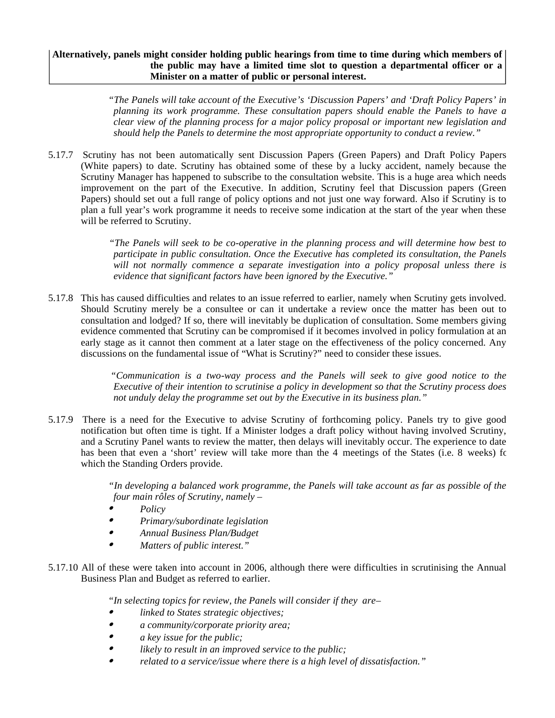### **Alternatively, panels might consider holding public hearings from time to time during which members of the public may have a limited time slot to question a departmental officer or a Minister on a matter of public or personal interest.**

 *"The Panels will take account of the Executive's 'Discussion Papers' and 'Draft Policy Papers' in planning its work programme. These consultation papers should enable the Panels to have a clear view of the planning process for a major policy proposal or important new legislation and should help the Panels to determine the most appropriate opportunity to conduct a review."*

5.17.7 Scrutiny has not been automatically sent Discussion Papers (Green Papers) and Draft Policy Papers (White papers) to date. Scrutiny has obtained some of these by a lucky accident, namely because the Scrutiny Manager has happened to subscribe to the consultation website. This is a huge area which needs improvement on the part of the Executive. In addition, Scrutiny feel that Discussion papers (Green Papers) should set out a full range of policy options and not just one way forward. Also if Scrutiny is to plan a full year's work programme it needs to receive some indication at the start of the year when these will be referred to Scrutiny.

> *"The Panels will seek to be co-operative in the planning process and will determine how best to participate in public consultation. Once the Executive has completed its consultation, the Panels will not normally commence a separate investigation into a policy proposal unless there is evidence that significant factors have been ignored by the Executive."*

5.17.8 This has caused difficulties and relates to an issue referred to earlier, namely when Scrutiny gets involved. Should Scrutiny merely be a consultee or can it undertake a review once the matter has been out to consultation and lodged? If so, there will inevitably be duplication of consultation. Some members giving evidence commented that Scrutiny can be compromised if it becomes involved in policy formulation at an early stage as it cannot then comment at a later stage on the effectiveness of the policy concerned. Any discussions on the fundamental issue of "What is Scrutiny?" need to consider these issues.

> *"Communication is a two-way process and the Panels will seek to give good notice to the Executive of their intention to scrutinise a policy in development so that the Scrutiny process does not unduly delay the programme set out by the Executive in its business plan."*

5.17.9 There is a need for the Executive to advise Scrutiny of forthcoming policy. Panels try to give good notification but often time is tight. If a Minister lodges a draft policy without having involved Scrutiny, and a Scrutiny Panel wants to review the matter, then delays will inevitably occur. The experience to date has been that even a 'short' review will take more than the 4 meetings of the States (i.e. 8 weeks) for which the Standing Orders provide.

> *"In developing a balanced work programme, the Panels will take account as far as possible of the four main rôles of Scrutiny, namely –*

- *Policy*
- *Primary/subordinate legislation*
- *Annual Business Plan/Budget*
- *Matters of public interest."*
- 5.17.10 All of these were taken into account in 2006, although there were difficulties in scrutinising the Annual Business Plan and Budget as referred to earlier.

 *"In selecting topics for review, the Panels will consider if they are –*

- *linked to States strategic objectives;*
- *a community/corporate priority area;*
- *a key issue for the public;*
- *likely to result in an improved service to the public;*
- *related to a service/issue where there is a high level of dissatisfaction."*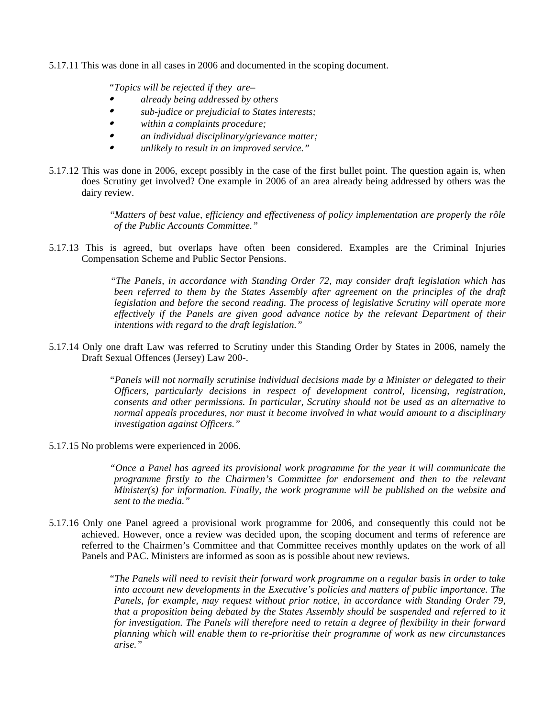5.17.11 This was done in all cases in 2006 and documented in the scoping document.

 *"Topics will be rejected if they are –*

- *already being addressed by others*
- *sub-judice or prejudicial to States interests;*
- *within a complaints procedure;*
- *an individual disciplinary/grievance matter;*
- *unlikely to result in an improved service."*
- 5.17.12 This was done in 2006, except possibly in the case of the first bullet point. The question again is, when does Scrutiny get involved? One example in 2006 of an area already being addressed by others was the dairy review.

 *"Matters of best value, efficiency and effectiveness of policy implementation are properly the rôle of the Public Accounts Committee."*

5.17.13 This is agreed, but overlaps have often been considered. Examples are the Criminal Injuries Compensation Scheme and Public Sector Pensions.

> *"The Panels, in accordance with Standing Order 72, may consider draft legislation which has been referred to them by the States Assembly after agreement on the principles of the draft legislation and before the second reading. The process of legislative Scrutiny will operate more effectively if the Panels are given good advance notice by the relevant Department of their intentions with regard to the draft legislation."*

5.17.14 Only one draft Law was referred to Scrutiny under this Standing Order by States in 2006, namely the Draft Sexual Offences (Jersey) Law 200-.

> *"Panels will not normally scrutinise individual decisions made by a Minister or delegated to their Officers, particularly decisions in respect of development control, licensing, registration, consents and other permissions. In particular, Scrutiny should not be used as an alternative to normal appeals procedures, nor must it become involved in what would amount to a disciplinary investigation against Officers."*

5.17.15 No problems were experienced in 2006.

 *"Once a Panel has agreed its provisional work programme for the year it will communicate the programme firstly to the Chairmen's Committee for endorsement and then to the relevant Minister(s) for information. Finally, the work programme will be published on the website and sent to the media."*

5.17.16 Only one Panel agreed a provisional work programme for 2006, and consequently this could not be achieved. However, once a review was decided upon, the scoping document and terms of reference are referred to the Chairmen's Committee and that Committee receives monthly updates on the work of all Panels and PAC. Ministers are informed as soon as is possible about new reviews.

> *"The Panels will need to revisit their forward work programme on a regular basis in order to take into account new developments in the Executive's policies and matters of public importance. The Panels, for example, may request without prior notice, in accordance with Standing Order 79, that a proposition being debated by the States Assembly should be suspended and referred to it for investigation. The Panels will therefore need to retain a degree of flexibility in their forward planning which will enable them to re-prioritise their programme of work as new circumstances arise."*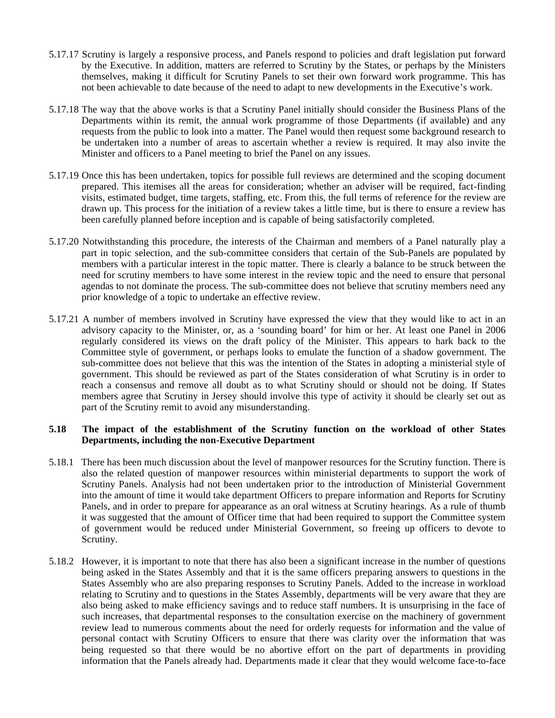- 5.17.17 Scrutiny is largely a responsive process, and Panels respond to policies and draft legislation put forward by the Executive. In addition, matters are referred to Scrutiny by the States, or perhaps by the Ministers themselves, making it difficult for Scrutiny Panels to set their own forward work programme. This has not been achievable to date because of the need to adapt to new developments in the Executive's work.
- 5.17.18 The way that the above works is that a Scrutiny Panel initially should consider the Business Plans of the Departments within its remit, the annual work programme of those Departments (if available) and any requests from the public to look into a matter. The Panel would then request some background research to be undertaken into a number of areas to ascertain whether a review is required. It may also invite the Minister and officers to a Panel meeting to brief the Panel on any issues.
- 5.17.19 Once this has been undertaken, topics for possible full reviews are determined and the scoping document prepared. This itemises all the areas for consideration; whether an adviser will be required, fact-finding visits, estimated budget, time targets, staffing, etc. From this, the full terms of reference for the review are drawn up. This process for the initiation of a review takes a little time, but is there to ensure a review has been carefully planned before inception and is capable of being satisfactorily completed.
- 5.17.20 Notwithstanding this procedure, the interests of the Chairman and members of a Panel naturally play a part in topic selection, and the sub-committee considers that certain of the Sub-Panels are populated by members with a particular interest in the topic matter. There is clearly a balance to be struck between the need for scrutiny members to have some interest in the review topic and the need to ensure that personal agendas to not dominate the process. The sub-committee does not believe that scrutiny members need any prior knowledge of a topic to undertake an effective review.
- 5.17.21 A number of members involved in Scrutiny have expressed the view that they would like to act in an advisory capacity to the Minister, or, as a 'sounding board' for him or her. At least one Panel in 2006 regularly considered its views on the draft policy of the Minister. This appears to hark back to the Committee style of government, or perhaps looks to emulate the function of a shadow government. The sub-committee does not believe that this was the intention of the States in adopting a ministerial style of government. This should be reviewed as part of the States consideration of what Scrutiny is in order to reach a consensus and remove all doubt as to what Scrutiny should or should not be doing. If States members agree that Scrutiny in Jersey should involve this type of activity it should be clearly set out as part of the Scrutiny remit to avoid any misunderstanding.

### **5.18 The impact of the establishment of the Scrutiny function on the workload of other States Departments, including the non-Executive Department**

- 5.18.1 There has been much discussion about the level of manpower resources for the Scrutiny function. There is also the related question of manpower resources within ministerial departments to support the work of Scrutiny Panels. Analysis had not been undertaken prior to the introduction of Ministerial Government into the amount of time it would take department Officers to prepare information and Reports for Scrutiny Panels, and in order to prepare for appearance as an oral witness at Scrutiny hearings. As a rule of thumb it was suggested that the amount of Officer time that had been required to support the Committee system of government would be reduced under Ministerial Government, so freeing up officers to devote to Scrutiny.
- 5.18.2 However, it is important to note that there has also been a significant increase in the number of questions being asked in the States Assembly and that it is the same officers preparing answers to questions in the States Assembly who are also preparing responses to Scrutiny Panels. Added to the increase in workload relating to Scrutiny and to questions in the States Assembly, departments will be very aware that they are also being asked to make efficiency savings and to reduce staff numbers. It is unsurprising in the face of such increases, that departmental responses to the consultation exercise on the machinery of government review lead to numerous comments about the need for orderly requests for information and the value of personal contact with Scrutiny Officers to ensure that there was clarity over the information that was being requested so that there would be no abortive effort on the part of departments in providing information that the Panels already had. Departments made it clear that they would welcome face-to-face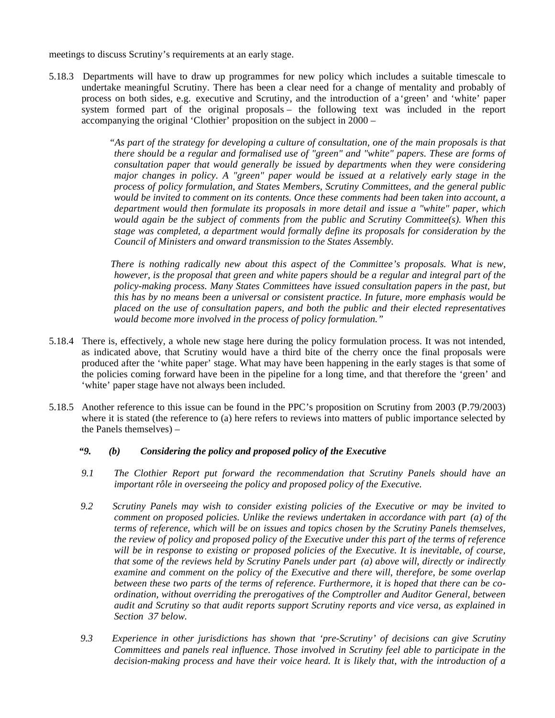meetings to discuss Scrutiny's requirements at an early stage.

5.18.3 Departments will have to draw up programmes for new policy which includes a suitable timescale to undertake meaningful Scrutiny. There has been a clear need for a change of mentality and probably of process on both sides, e.g. executive and Scrutiny, and the introduction of a 'green' and 'white' paper system formed part of the original proposals – the following text was included in the report accompanying the original 'Clothier' proposition on the subject in 2000 –

> *"As part of the strategy for developing a culture of consultation, one of the main proposals is that there should be a regular and formalised use of "green" and "white" papers. These are forms of consultation paper that would generally be issued by departments when they were considering major changes in policy. A "green" paper would be issued at a relatively early stage in the process of policy formulation, and States Members, Scrutiny Committees, and the general public would be invited to comment on its contents. Once these comments had been taken into account, a department would then formulate its proposals in more detail and issue a "white" paper, which would again be the subject of comments from the public and Scrutiny Committee(s). When this stage was completed, a department would formally define its proposals for consideration by the Council of Ministers and onward transmission to the States Assembly.*

> *There is nothing radically new about this aspect of the Committee's proposals. What is new, however, is the proposal that green and white papers should be a regular and integral part of the policy-making process. Many States Committees have issued consultation papers in the past, but this has by no means been a universal or consistent practice. In future, more emphasis would be placed on the use of consultation papers, and both the public and their elected representatives would become more involved in the process of policy formulation."*

- 5.18.4 There is, effectively, a whole new stage here during the policy formulation process. It was not intended, as indicated above, that Scrutiny would have a third bite of the cherry once the final proposals were produced after the 'white paper' stage. What may have been happening in the early stages is that some of the policies coming forward have been in the pipeline for a long time, and that therefore the 'green' and 'white' paper stage have not always been included.
- 5.18.5 Another reference to this issue can be found in the PPC's proposition on Scrutiny from 2003 (P.79/2003) where it is stated (the reference to (a) here refers to reviews into matters of public importance selected by the Panels themselves) –

# *"9. (b) Considering the policy and proposed policy of the Executive*

- *9.1 The Clothier Report put forward the recommendation that Scrutiny Panels should have an important rôle in overseeing the policy and proposed policy of the Executive.*
- *9.2 Scrutiny Panels may wish to consider existing policies of the Executive or may be invited to comment on proposed policies. Unlike the reviews undertaken in accordance with part (a) of the terms of reference, which will be on issues and topics chosen by the Scrutiny Panels themselves, the review of policy and proposed policy of the Executive under this part of the terms of reference will be in response to existing or proposed policies of the Executive. It is inevitable, of course, that some of the reviews held by Scrutiny Panels under part (a) above will, directly or indirectly, examine and comment on the policy of the Executive and there will, therefore, be some overlap between these two parts of the terms of reference. Furthermore, it is hoped that there can be coordination, without overriding the prerogatives of the Comptroller and Auditor General, between audit and Scrutiny so that audit reports support Scrutiny reports and vice versa, as explained in Section 37 below.*
- *9.3 Experience in other jurisdictions has shown that 'pre-Scrutiny' of decisions can give Scrutiny Committees and panels real influence. Those involved in Scrutiny feel able to participate in the decision-making process and have their voice heard. It is likely that, with the introduction of a*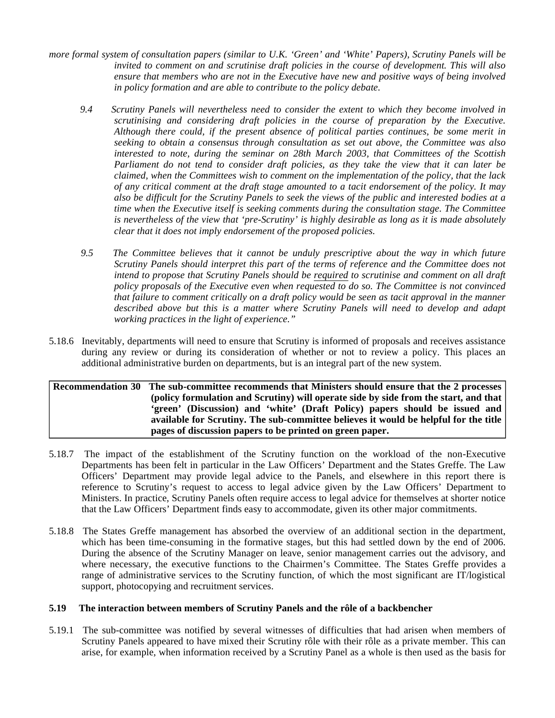- *more formal system of consultation papers (similar to U.K. 'Green' and 'White' Papers), Scrutiny Panels will be invited to comment on and scrutinise draft policies in the course of development. This will also ensure that members who are not in the Executive have new and positive ways of being involved in policy formation and are able to contribute to the policy debate.*
	- *9.4 Scrutiny Panels will nevertheless need to consider the extent to which they become involved in scrutinising and considering draft policies in the course of preparation by the Executive. Although there could, if the present absence of political parties continues, be some merit in seeking to obtain a consensus through consultation as set out above, the Committee was also interested to note, during the seminar on 28th March 2003, that Committees of the Scottish Parliament do not tend to consider draft policies, as they take the view that it can later be claimed, when the Committees wish to comment on the implementation of the policy, that the lack of any critical comment at the draft stage amounted to a tacit endorsement of the policy. It may also be difficult for the Scrutiny Panels to seek the views of the public and interested bodies at a time when the Executive itself is seeking comments during the consultation stage. The Committee is nevertheless of the view that 'pre-Scrutiny' is highly desirable as long as it is made absolutely clear that it does not imply endorsement of the proposed policies.*
	- *9.5 The Committee believes that it cannot be unduly prescriptive about the way in which future Scrutiny Panels should interpret this part of the terms of reference and the Committee does not intend to propose that Scrutiny Panels should be required to scrutinise and comment on all draft policy proposals of the Executive even when requested to do so. The Committee is not convinced that failure to comment critically on a draft policy would be seen as tacit approval in the manner described above but this is a matter where Scrutiny Panels will need to develop and adapt working practices in the light of experience."*
- 5.18.6 Inevitably, departments will need to ensure that Scrutiny is informed of proposals and receives assistance during any review or during its consideration of whether or not to review a policy. This places an additional administrative burden on departments, but is an integral part of the new system.

# **Recommendation 30 The sub-committee recommends that Ministers should ensure that the 2 processes (policy formulation and Scrutiny) will operate side by side from the start, and that 'green' (Discussion) and 'white' (Draft Policy) papers should be issued and available for Scrutiny. The sub-committee believes it would be helpful for the title pages of discussion papers to be printed on green paper.**

- 5.18.7 The impact of the establishment of the Scrutiny function on the workload of the non-Executive Departments has been felt in particular in the Law Officers' Department and the States Greffe. The Law Officers' Department may provide legal advice to the Panels, and elsewhere in this report there is reference to Scrutiny's request to access to legal advice given by the Law Officers' Department to Ministers. In practice, Scrutiny Panels often require access to legal advice for themselves at shorter notice that the Law Officers' Department finds easy to accommodate, given its other major commitments.
- 5.18.8 The States Greffe management has absorbed the overview of an additional section in the department, which has been time-consuming in the formative stages, but this had settled down by the end of 2006. During the absence of the Scrutiny Manager on leave, senior management carries out the advisory, and where necessary, the executive functions to the Chairmen's Committee. The States Greffe provides a range of administrative services to the Scrutiny function, of which the most significant are IT/logistical support, photocopying and recruitment services.

# **5.19 The interaction between members of Scrutiny Panels and the rôle of a backbencher**

5.19.1 The sub-committee was notified by several witnesses of difficulties that had arisen when members of Scrutiny Panels appeared to have mixed their Scrutiny rôle with their rôle as a private member. This can arise, for example, when information received by a Scrutiny Panel as a whole is then used as the basis for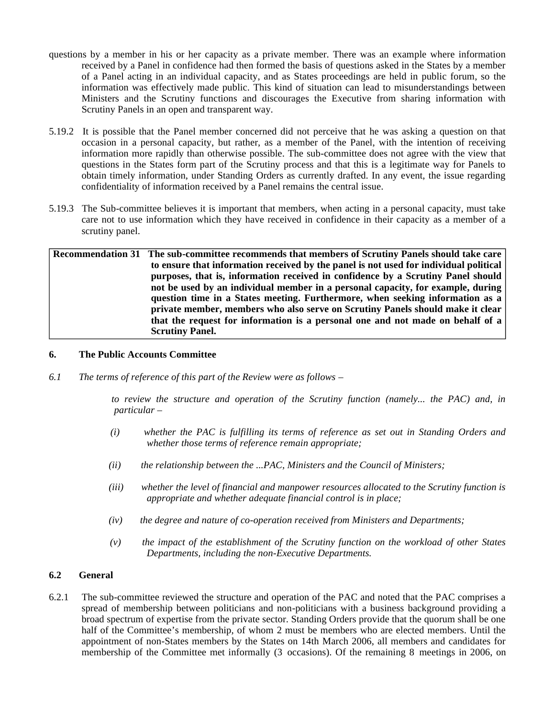- questions by a member in his or her capacity as a private member. There was an example where information received by a Panel in confidence had then formed the basis of questions asked in the States by a member of a Panel acting in an individual capacity, and as States proceedings are held in public forum, so the information was effectively made public. This kind of situation can lead to misunderstandings between Ministers and the Scrutiny functions and discourages the Executive from sharing information with Scrutiny Panels in an open and transparent way.
- 5.19.2 It is possible that the Panel member concerned did not perceive that he was asking a question on that occasion in a personal capacity, but rather, as a member of the Panel, with the intention of receiving information more rapidly than otherwise possible. The sub-committee does not agree with the view that questions in the States form part of the Scrutiny process and that this is a legitimate way for Panels to obtain timely information, under Standing Orders as currently drafted. In any event, the issue regarding confidentiality of information received by a Panel remains the central issue.
- 5.19.3 The Sub-committee believes it is important that members, when acting in a personal capacity, must take care not to use information which they have received in confidence in their capacity as a member of a scrutiny panel.

**Recommendation 31 The sub-committee recommends that members of Scrutiny Panels should take care to ensure that information received by the panel is not used for individual political purposes, that is, information received in confidence by a Scrutiny Panel should not be used by an individual member in a personal capacity, for example, during question time in a States meeting. Furthermore, when seeking information as a private member, members who also serve on Scrutiny Panels should make it clear that the request for information is a personal one and not made on behalf of a Scrutiny Panel.**

# **6. The Public Accounts Committee**

*6.1 The terms of reference of this part of the Review were as follows –*

 *to review the structure and operation of the Scrutiny function (namely... the PAC) and, in particular –*

- *(i) whether the PAC is fulfilling its terms of reference as set out in Standing Orders and whether those terms of reference remain appropriate;*
- *(ii) the relationship between the ...PAC, Ministers and the Council of Ministers;*
- *(iii) whether the level of financial and manpower resources allocated to the Scrutiny function is appropriate and whether adequate financial control is in place;*
- *(iv) the degree and nature of co-operation received from Ministers and Departments;*
- *(v) the impact of the establishment of the Scrutiny function on the workload of other States Departments, including the non-Executive Departments.*

# **6.2 General**

6.2.1 The sub-committee reviewed the structure and operation of the PAC and noted that the PAC comprises a spread of membership between politicians and non-politicians with a business background providing a broad spectrum of expertise from the private sector. Standing Orders provide that the quorum shall be one half of the Committee's membership, of whom 2 must be members who are elected members. Until the appointment of non-States members by the States on 14th March 2006, all members and candidates for membership of the Committee met informally (3 occasions). Of the remaining 8 meetings in 2006, on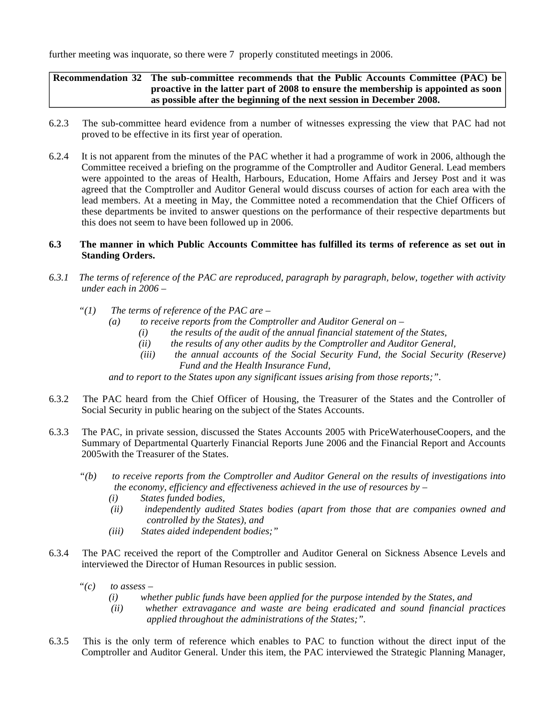further meeting was inquorate, so there were 7 properly constituted meetings in 2006.

**Recommendation 32 The sub-committee recommends that the Public Accounts Committee (PAC) be proactive in the latter part of 2008 to ensure the membership is appointed as soon as possible after the beginning of the next session in December 2008.**

- 6.2.3 The sub-committee heard evidence from a number of witnesses expressing the view that PAC had not proved to be effective in its first year of operation.
- 6.2.4 It is not apparent from the minutes of the PAC whether it had a programme of work in 2006, although the Committee received a briefing on the programme of the Comptroller and Auditor General. Lead members were appointed to the areas of Health, Harbours, Education, Home Affairs and Jersey Post and it was agreed that the Comptroller and Auditor General would discuss courses of action for each area with the lead members. At a meeting in May, the Committee noted a recommendation that the Chief Officers of these departments be invited to answer questions on the performance of their respective departments but this does not seem to have been followed up in 2006.

## **6.3 The manner in which Public Accounts Committee has fulfilled its terms of reference as set out in Standing Orders.**

- *6.3.1 The terms of reference of the PAC are reproduced, paragraph by paragraph, below, together with activity under each in 2006 –*
	- *"(1) The terms of reference of the PAC are –*
		- *(a) to receive reports from the Comptroller and Auditor General on –*
			- *(i) the results of the audit of the annual financial statement of the States,*
			- *(ii) the results of any other audits by the Comptroller and Auditor General,*
			- *(iii) the annual accounts of the Social Security Fund, the Social Security (Reserve) Fund and the Health Insurance Fund,*

 *and to report to the States upon any significant issues arising from those reports;".*

- 6.3.2 The PAC heard from the Chief Officer of Housing, the Treasurer of the States and the Controller of Social Security in public hearing on the subject of the States Accounts.
- 6.3.3 The PAC, in private session, discussed the States Accounts 2005 with PriceWaterhouseCoopers, and the Summary of Departmental Quarterly Financial Reports June 2006 and the Financial Report and Accounts 2005with the Treasurer of the States.
	- *"(b) to receive reports from the Comptroller and Auditor General on the results of investigations into the economy, efficiency and effectiveness achieved in the use of resources by –*
		- *(i) States funded bodies,*
		- *(ii) independently audited States bodies (apart from those that are companies owned and controlled by the States), and*
		- *(iii) States aided independent bodies;"*
- 6.3.4 The PAC received the report of the Comptroller and Auditor General on Sickness Absence Levels and interviewed the Director of Human Resources in public session.
	- *"(c) to assess –*
		- *(i) whether public funds have been applied for the purpose intended by the States, and*
		- *(ii) whether extravagance and waste are being eradicated and sound financial practices applied throughout the administrations of the States;".*
- 6.3.5 This is the only term of reference which enables to PAC to function without the direct input of the Comptroller and Auditor General. Under this item, the PAC interviewed the Strategic Planning Manager,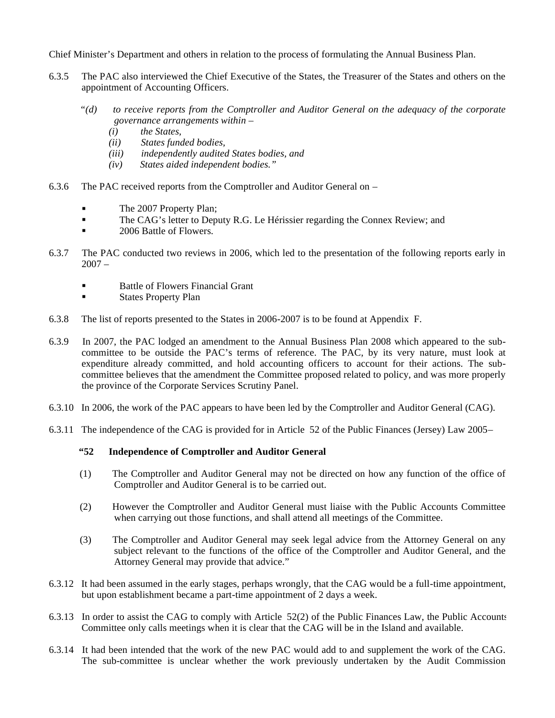Chief Minister's Department and others in relation to the process of formulating the Annual Business Plan.

- 6.3.5 The PAC also interviewed the Chief Executive of the States, the Treasurer of the States and others on the appointment of Accounting Officers.
	- *"(d) to receive reports from the Comptroller and Auditor General on the adequacy of the corporate governance arrangements within –*
		- *(i) the States,*
		- *(ii) States funded bodies,*
		- *(iii) independently audited States bodies, and*
		- *(iv) States aided independent bodies."*
- 6.3.6 The PAC received reports from the Comptroller and Auditor General on
	- The 2007 Property Plan;
	- The CAG's letter to Deputy R.G. Le Hérissier regarding the Connex Review; and
	- 2006 Battle of Flowers.
- 6.3.7 The PAC conducted two reviews in 2006, which led to the presentation of the following reports early in  $2007 -$ 
	- Battle of Flowers Financial Grant
	- States Property Plan
- 6.3.8 The list of reports presented to the States in 2006-2007 is to be found at Appendix F.
- 6.3.9 In 2007, the PAC lodged an amendment to the Annual Business Plan 2008 which appeared to the subcommittee to be outside the PAC's terms of reference. The PAC, by its very nature, must look at expenditure already committed, and hold accounting officers to account for their actions. The subcommittee believes that the amendment the Committee proposed related to policy, and was more properly the province of the Corporate Services Scrutiny Panel.
- 6.3.10 In 2006, the work of the PAC appears to have been led by the Comptroller and Auditor General (CAG).
- 6.3.11 The independence of the CAG is provided for in Article 52 of the Public Finances (Jersey) Law 2005 –

# **"52 Independence of Comptroller and Auditor General**

- (1) The Comptroller and Auditor General may not be directed on how any function of the office of Comptroller and Auditor General is to be carried out.
- (2) However the Comptroller and Auditor General must liaise with the Public Accounts Committee when carrying out those functions, and shall attend all meetings of the Committee.
- (3) The Comptroller and Auditor General may seek legal advice from the Attorney General on any subject relevant to the functions of the office of the Comptroller and Auditor General, and the Attorney General may provide that advice."
- 6.3.12 It had been assumed in the early stages, perhaps wrongly, that the CAG would be a full-time appointment, but upon establishment became a part-time appointment of 2 days a week.
- 6.3.13 In order to assist the CAG to comply with Article 52(2) of the Public Finances Law, the Public Accounts Committee only calls meetings when it is clear that the CAG will be in the Island and available.
- 6.3.14 It had been intended that the work of the new PAC would add to and supplement the work of the CAG. The sub-committee is unclear whether the work previously undertaken by the Audit Commission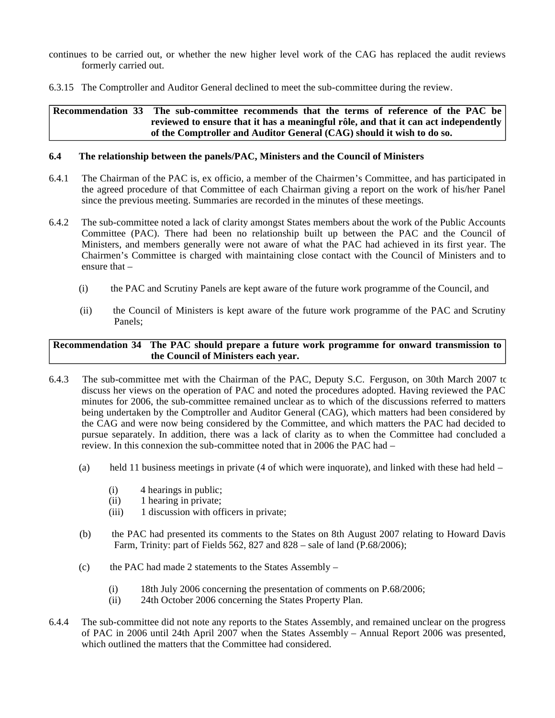continues to be carried out, or whether the new higher level work of the CAG has replaced the audit reviews formerly carried out.

6.3.15 The Comptroller and Auditor General declined to meet the sub-committee during the review.

**Recommendation 33 The sub-committee recommends that the terms of reference of the PAC be reviewed to ensure that it has a meaningful rôle, and that it can act independently of the Comptroller and Auditor General (CAG) should it wish to do so.**

### **6.4 The relationship between the panels/PAC, Ministers and the Council of Ministers**

- 6.4.1 The Chairman of the PAC is, ex officio, a member of the Chairmen's Committee, and has participated in the agreed procedure of that Committee of each Chairman giving a report on the work of his/her Panel since the previous meeting. Summaries are recorded in the minutes of these meetings.
- 6.4.2 The sub-committee noted a lack of clarity amongst States members about the work of the Public Accounts Committee (PAC). There had been no relationship built up between the PAC and the Council of Ministers, and members generally were not aware of what the PAC had achieved in its first year. The Chairmen's Committee is charged with maintaining close contact with the Council of Ministers and to ensure that –
	- (i) the PAC and Scrutiny Panels are kept aware of the future work programme of the Council, and
	- (ii) the Council of Ministers is kept aware of the future work programme of the PAC and Scrutiny Panels;

## **Recommendation 34 The PAC should prepare a future work programme for onward transmission to the Council of Ministers each year.**

- 6.4.3 The sub-committee met with the Chairman of the PAC, Deputy S.C. Ferguson, on 30th March 2007 to discuss her views on the operation of PAC and noted the procedures adopted. Having reviewed the PAC minutes for 2006, the sub-committee remained unclear as to which of the discussions referred to matters being undertaken by the Comptroller and Auditor General (CAG), which matters had been considered by the CAG and were now being considered by the Committee, and which matters the PAC had decided to pursue separately. In addition, there was a lack of clarity as to when the Committee had concluded a review. In this connexion the sub-committee noted that in 2006 the PAC had –
	- (a) held 11 business meetings in private (4 of which were inquorate), and linked with these had held
		- (i) 4 hearings in public;
		- (ii) 1 hearing in private;
		- (iii) 1 discussion with officers in private;
	- (b) the PAC had presented its comments to the States on 8th August 2007 relating to Howard Davis Farm, Trinity: part of Fields 562, 827 and 828 – sale of land (P.68/2006);
	- (c) the PAC had made 2 statements to the States Assembly
		- (i) 18th July 2006 concerning the presentation of comments on P.68/2006;
		- (ii) 24th October 2006 concerning the States Property Plan.
- 6.4.4 The sub-committee did not note any reports to the States Assembly, and remained unclear on the progress of PAC in 2006 until 24th April 2007 when the States Assembly – Annual Report 2006 was presented, which outlined the matters that the Committee had considered.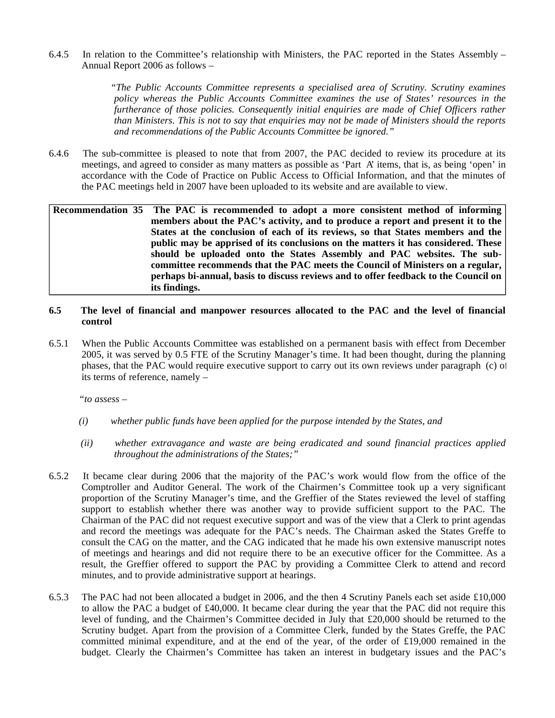6.4.5 In relation to the Committee's relationship with Ministers, the PAC reported in the States Assembly – Annual Report 2006 as follows –

> *"The Public Accounts Committee represents a specialised area of Scrutiny. Scrutiny examines policy whereas the Public Accounts Committee examines the use of States' resources in the furtherance of those policies. Consequently initial enquiries are made of Chief Officers rather than Ministers. This is not to say that enquiries may not be made of Ministers should the reports and recommendations of the Public Accounts Committee be ignored."*

6.4.6 The sub-committee is pleased to note that from 2007, the PAC decided to review its procedure at its meetings, and agreed to consider as many matters as possible as 'Part A' items, that is, as being 'open' in accordance with the Code of Practice on Public Access to Official Information, and that the minutes of the PAC meetings held in 2007 have been uploaded to its website and are available to view.

**Recommendation 35 The PAC is recommended to adopt a more consistent method of informing members about the PAC's activity, and to produce a report and present it to the States at the conclusion of each of its reviews, so that States members and the public may be apprised of its conclusions on the matters it has considered. These should be uploaded onto the States Assembly and PAC websites. The subcommittee recommends that the PAC meets the Council of Ministers on a regular, perhaps bi-annual, basis to discuss reviews and to offer feedback to the Council on its findings.**

#### **6.5 The level of financial and manpower resources allocated to the PAC and the level of financial control**

6.5.1 When the Public Accounts Committee was established on a permanent basis with effect from December 2005, it was served by 0.5 FTE of the Scrutiny Manager's time. It had been thought, during the planning phases, that the PAC would require executive support to carry out its own reviews under paragraph (c) of its terms of reference, namely –

 *"to assess –*

- *(i) whether public funds have been applied for the purpose intended by the States, and*
- *(ii) whether extravagance and waste are being eradicated and sound financial practices applied throughout the administrations of the States;"*
- 6.5.2 It became clear during 2006 that the majority of the PAC's work would flow from the office of the Comptroller and Auditor General. The work of the Chairmen's Committee took up a very significant proportion of the Scrutiny Manager's time, and the Greffier of the States reviewed the level of staffing support to establish whether there was another way to provide sufficient support to the PAC. The Chairman of the PAC did not request executive support and was of the view that a Clerk to print agendas and record the meetings was adequate for the PAC's needs. The Chairman asked the States Greffe to consult the CAG on the matter, and the CAG indicated that he made his own extensive manuscript notes of meetings and hearings and did not require there to be an executive officer for the Committee. As a result, the Greffier offered to support the PAC by providing a Committee Clerk to attend and record minutes, and to provide administrative support at hearings.
- 6.5.3 The PAC had not been allocated a budget in 2006, and the then 4 Scrutiny Panels each set aside £10,000 to allow the PAC a budget of £40,000. It became clear during the year that the PAC did not require this level of funding, and the Chairmen's Committee decided in July that £20,000 should be returned to the Scrutiny budget. Apart from the provision of a Committee Clerk, funded by the States Greffe, the PAC committed minimal expenditure, and at the end of the year, of the order of  $£19,000$  remained in the budget. Clearly the Chairmen's Committee has taken an interest in budgetary issues and the PAC's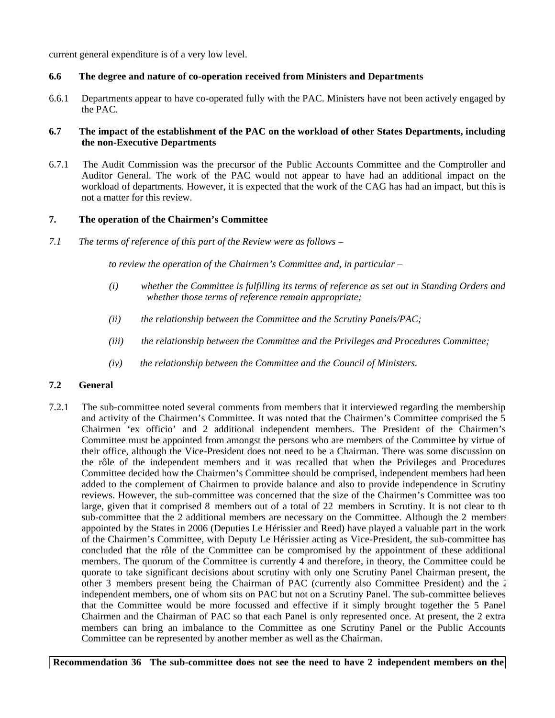current general expenditure is of a very low level.

### **6.6 The degree and nature of co-operation received from Ministers and Departments**

6.6.1 Departments appear to have co-operated fully with the PAC. Ministers have not been actively engaged by the PAC.

# **6.7 The impact of the establishment of the PAC on the workload of other States Departments, including the non-Executive Departments**

6.7.1 The Audit Commission was the precursor of the Public Accounts Committee and the Comptroller and Auditor General. The work of the PAC would not appear to have had an additional impact on the workload of departments. However, it is expected that the work of the CAG has had an impact, but this is not a matter for this review.

# **7. The operation of the Chairmen's Committee**

*7.1 The terms of reference of this part of the Review were as follows –*

 *to review the operation of the Chairmen's Committee and, in particular –*

- *(i) whether the Committee is fulfilling its terms of reference as set out in Standing Orders and whether those terms of reference remain appropriate;*
- *(ii) the relationship between the Committee and the Scrutiny Panels/PAC;*
- *(iii) the relationship between the Committee and the Privileges and Procedures Committee;*
- *(iv) the relationship between the Committee and the Council of Ministers.*

# **7.2 General**

7.2.1 The sub-committee noted several comments from members that it interviewed regarding the membership and activity of the Chairmen's Committee. It was noted that the Chairmen's Committee comprised the 5 Chairmen 'ex officio' and 2 additional independent members. The President of the Chairmen's Committee must be appointed from amongst the persons who are members of the Committee by virtue of their office, although the Vice-President does not need to be a Chairman. There was some discussion on the rôle of the independent members and it was recalled that when the Privileges and Procedures Committee decided how the Chairmen's Committee should be comprised, independent members had been added to the complement of Chairmen to provide balance and also to provide independence in Scrutiny reviews. However, the sub-committee was concerned that the size of the Chairmen's Committee was too large, given that it comprised 8 members out of a total of 22 members in Scrutiny. It is not clear to the sub-committee that the 2 additional members are necessary on the Committee. Although the 2 members appointed by the States in 2006 (Deputies Le Hérissier and Reed) have played a valuable part in the work of the Chairmen's Committee, with Deputy Le Hérissier acting as Vice-President, the sub-committee has concluded that the rôle of the Committee can be compromised by the appointment of these additional members. The quorum of the Committee is currently 4 and therefore, in theory, the Committee could be quorate to take significant decisions about scrutiny with only one Scrutiny Panel Chairman present, the other 3 members present being the Chairman of PAC (currently also Committee President) and the 2 independent members, one of whom sits on PAC but not on a Scrutiny Panel. The sub-committee believes that the Committee would be more focussed and effective if it simply brought together the 5 Panel Chairmen and the Chairman of PAC so that each Panel is only represented once. At present, the 2 extra members can bring an imbalance to the Committee as one Scrutiny Panel or the Public Accounts Committee can be represented by another member as well as the Chairman.

**Recommendation 36 The sub-committee does not see the need to have 2 independent members on the**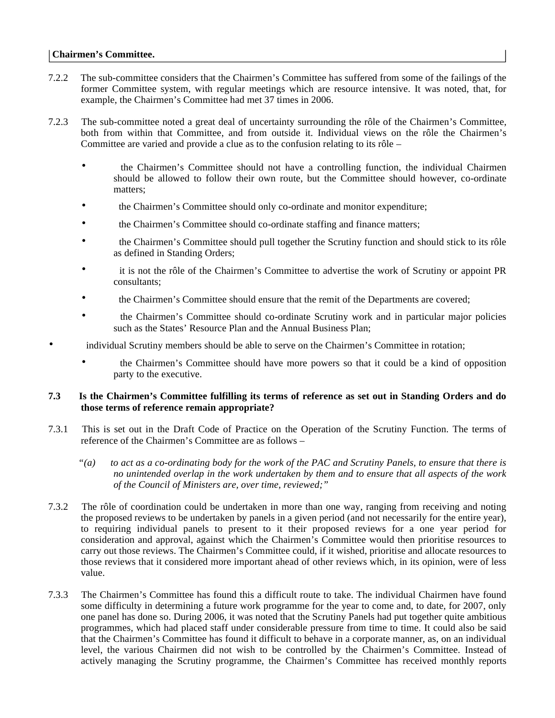## **Chairmen's Committee.**

- 7.2.2 The sub-committee considers that the Chairmen's Committee has suffered from some of the failings of the former Committee system, with regular meetings which are resource intensive. It was noted, that, for example, the Chairmen's Committee had met 37 times in 2006.
- 7.2.3 The sub-committee noted a great deal of uncertainty surrounding the rôle of the Chairmen's Committee, both from within that Committee, and from outside it. Individual views on the rôle the Chairmen's Committee are varied and provide a clue as to the confusion relating to its rôle –
	- the Chairmen's Committee should not have a controlling function, the individual Chairmen should be allowed to follow their own route, but the Committee should however, co-ordinate matters;
	- the Chairmen's Committee should only co-ordinate and monitor expenditure;
	- the Chairmen's Committee should co-ordinate staffing and finance matters;
	- the Chairmen's Committee should pull together the Scrutiny function and should stick to its rôle as defined in Standing Orders;
	- it is not the rôle of the Chairmen's Committee to advertise the work of Scrutiny or appoint PR consultants;
	- the Chairmen's Committee should ensure that the remit of the Departments are covered;
	- the Chairmen's Committee should co-ordinate Scrutiny work and in particular major policies such as the States' Resource Plan and the Annual Business Plan;
- individual Scrutiny members should be able to serve on the Chairmen's Committee in rotation;
	- the Chairmen's Committee should have more powers so that it could be a kind of opposition party to the executive.

# **7.3 Is the Chairmen's Committee fulfilling its terms of reference as set out in Standing Orders and do those terms of reference remain appropriate?**

- 7.3.1 This is set out in the Draft Code of Practice on the Operation of the Scrutiny Function. The terms of reference of the Chairmen's Committee are as follows –
	- *"(a) to act as a co-ordinating body for the work of the PAC and Scrutiny Panels, to ensure that there is no unintended overlap in the work undertaken by them and to ensure that all aspects of the work of the Council of Ministers are, over time, reviewed;"*
- 7.3.2 The rôle of coordination could be undertaken in more than one way, ranging from receiving and noting the proposed reviews to be undertaken by panels in a given period (and not necessarily for the entire year), to requiring individual panels to present to it their proposed reviews for a one year period for consideration and approval, against which the Chairmen's Committee would then prioritise resources to carry out those reviews. The Chairmen's Committee could, if it wished, prioritise and allocate resources to those reviews that it considered more important ahead of other reviews which, in its opinion, were of less value.
- 7.3.3 The Chairmen's Committee has found this a difficult route to take. The individual Chairmen have found some difficulty in determining a future work programme for the year to come and, to date, for 2007, only one panel has done so. During 2006, it was noted that the Scrutiny Panels had put together quite ambitious programmes, which had placed staff under considerable pressure from time to time. It could also be said that the Chairmen's Committee has found it difficult to behave in a corporate manner, as, on an individual level, the various Chairmen did not wish to be controlled by the Chairmen's Committee. Instead of actively managing the Scrutiny programme, the Chairmen's Committee has received monthly reports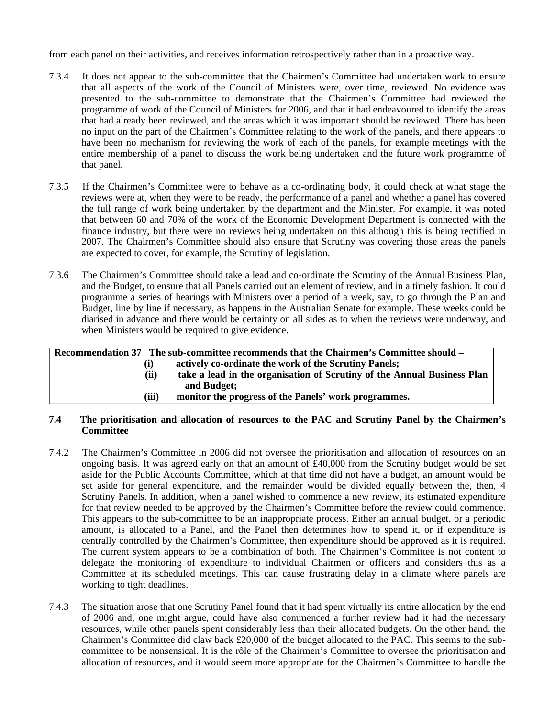from each panel on their activities, and receives information retrospectively rather than in a proactive way.

- 7.3.4 It does not appear to the sub-committee that the Chairmen's Committee had undertaken work to ensure that all aspects of the work of the Council of Ministers were, over time, reviewed. No evidence was presented to the sub-committee to demonstrate that the Chairmen's Committee had reviewed the programme of work of the Council of Ministers for 2006, and that it had endeavoured to identify the areas that had already been reviewed, and the areas which it was important should be reviewed. There has been no input on the part of the Chairmen's Committee relating to the work of the panels, and there appears to have been no mechanism for reviewing the work of each of the panels, for example meetings with the entire membership of a panel to discuss the work being undertaken and the future work programme of that panel.
- 7.3.5 If the Chairmen's Committee were to behave as a co-ordinating body, it could check at what stage the reviews were at, when they were to be ready, the performance of a panel and whether a panel has covered the full range of work being undertaken by the department and the Minister. For example, it was noted that between 60 and 70% of the work of the Economic Development Department is connected with the finance industry, but there were no reviews being undertaken on this although this is being rectified in 2007. The Chairmen's Committee should also ensure that Scrutiny was covering those areas the panels are expected to cover, for example, the Scrutiny of legislation.
- 7.3.6 The Chairmen's Committee should take a lead and co-ordinate the Scrutiny of the Annual Business Plan, and the Budget, to ensure that all Panels carried out an element of review, and in a timely fashion. It could programme a series of hearings with Ministers over a period of a week, say, to go through the Plan and Budget, line by line if necessary, as happens in the Australian Senate for example. These weeks could be diarised in advance and there would be certainty on all sides as to when the reviews were underway, and when Ministers would be required to give evidence.

|       | Recommendation 37 The sub-committee recommends that the Chairmen's Committee should – |
|-------|---------------------------------------------------------------------------------------|
|       | actively co-ordinate the work of the Scrutiny Panels;                                 |
| (ii)  | take a lead in the organisation of Scrutiny of the Annual Business Plan               |
|       | and Budget:                                                                           |
| (iii) | monitor the progress of the Panels' work programmes.                                  |

### **7.4 The prioritisation and allocation of resources to the PAC and Scrutiny Panel by the Chairmen's Committee**

- 7.4.2 The Chairmen's Committee in 2006 did not oversee the prioritisation and allocation of resources on an ongoing basis. It was agreed early on that an amount of  $\hat{\mathfrak{t}}40,000$  from the Scrutiny budget would be set aside for the Public Accounts Committee, which at that time did not have a budget, an amount would be set aside for general expenditure, and the remainder would be divided equally between the, then, 4 Scrutiny Panels. In addition, when a panel wished to commence a new review, its estimated expenditure for that review needed to be approved by the Chairmen's Committee before the review could commence. This appears to the sub-committee to be an inappropriate process. Either an annual budget, or a periodic amount, is allocated to a Panel, and the Panel then determines how to spend it, or if expenditure is centrally controlled by the Chairmen's Committee, then expenditure should be approved as it is required. The current system appears to be a combination of both. The Chairmen's Committee is not content to delegate the monitoring of expenditure to individual Chairmen or officers and considers this as a Committee at its scheduled meetings. This can cause frustrating delay in a climate where panels are working to tight deadlines.
- 7.4.3 The situation arose that one Scrutiny Panel found that it had spent virtually its entire allocation by the end of 2006 and, one might argue, could have also commenced a further review had it had the necessary resources, while other panels spent considerably less than their allocated budgets. On the other hand, the Chairmen's Committee did claw back £20,000 of the budget allocated to the PAC. This seems to the subcommittee to be nonsensical. It is the rôle of the Chairmen's Committee to oversee the prioritisation and allocation of resources, and it would seem more appropriate for the Chairmen's Committee to handle the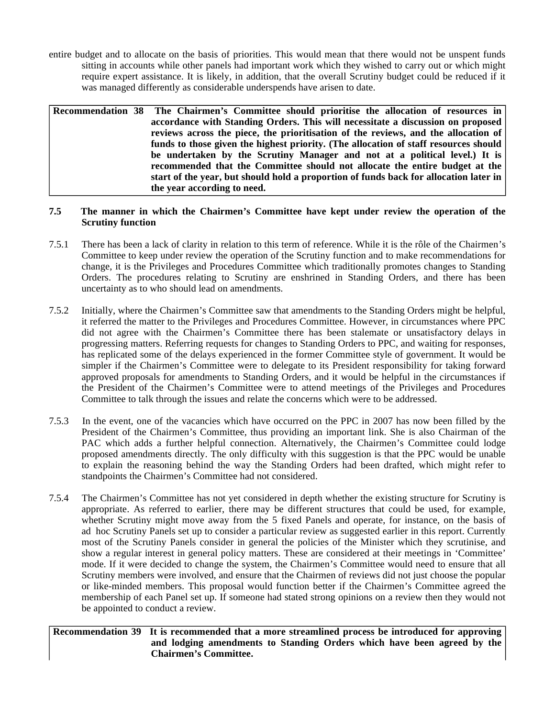entire budget and to allocate on the basis of priorities. This would mean that there would not be unspent funds sitting in accounts while other panels had important work which they wished to carry out or which might require expert assistance. It is likely, in addition, that the overall Scrutiny budget could be reduced if it was managed differently as considerable underspends have arisen to date.

**Recommendation 38 The Chairmen's Committee should prioritise the allocation of resources in accordance with Standing Orders. This will necessitate a discussion on proposed reviews across the piece, the prioritisation of the reviews, and the allocation of funds to those given the highest priority. (The allocation of staff resources should be undertaken by the Scrutiny Manager and not at a political level.) It is recommended that the Committee should not allocate the entire budget at the start of the year, but should hold a proportion of funds back for allocation later in the year according to need.**

## **7.5 The manner in which the Chairmen's Committee have kept under review the operation of the Scrutiny function**

- 7.5.1 There has been a lack of clarity in relation to this term of reference. While it is the rôle of the Chairmen's Committee to keep under review the operation of the Scrutiny function and to make recommendations for change, it is the Privileges and Procedures Committee which traditionally promotes changes to Standing Orders. The procedures relating to Scrutiny are enshrined in Standing Orders, and there has been uncertainty as to who should lead on amendments.
- 7.5.2 Initially, where the Chairmen's Committee saw that amendments to the Standing Orders might be helpful, it referred the matter to the Privileges and Procedures Committee. However, in circumstances where PPC did not agree with the Chairmen's Committee there has been stalemate or unsatisfactory delays in progressing matters. Referring requests for changes to Standing Orders to PPC, and waiting for responses, has replicated some of the delays experienced in the former Committee style of government. It would be simpler if the Chairmen's Committee were to delegate to its President responsibility for taking forward approved proposals for amendments to Standing Orders, and it would be helpful in the circumstances if the President of the Chairmen's Committee were to attend meetings of the Privileges and Procedures Committee to talk through the issues and relate the concerns which were to be addressed.
- 7.5.3 In the event, one of the vacancies which have occurred on the PPC in 2007 has now been filled by the President of the Chairmen's Committee, thus providing an important link. She is also Chairman of the PAC which adds a further helpful connection. Alternatively, the Chairmen's Committee could lodge proposed amendments directly. The only difficulty with this suggestion is that the PPC would be unable to explain the reasoning behind the way the Standing Orders had been drafted, which might refer to standpoints the Chairmen's Committee had not considered.
- 7.5.4 The Chairmen's Committee has not yet considered in depth whether the existing structure for Scrutiny is appropriate. As referred to earlier, there may be different structures that could be used, for example, whether Scrutiny might move away from the 5 fixed Panels and operate, for instance, on the basis of ad hoc Scrutiny Panels set up to consider a particular review as suggested earlier in this report. Currently, most of the Scrutiny Panels consider in general the policies of the Minister which they scrutinise, and show a regular interest in general policy matters. These are considered at their meetings in 'Committee' mode. If it were decided to change the system, the Chairmen's Committee would need to ensure that all Scrutiny members were involved, and ensure that the Chairmen of reviews did not just choose the popular or like-minded members. This proposal would function better if the Chairmen's Committee agreed the membership of each Panel set up. If someone had stated strong opinions on a review then they would not be appointed to conduct a review.

**Recommendation 39 It is recommended that a more streamlined process be introduced for approving and lodging amendments to Standing Orders which have been agreed by the Chairmen's Committee.**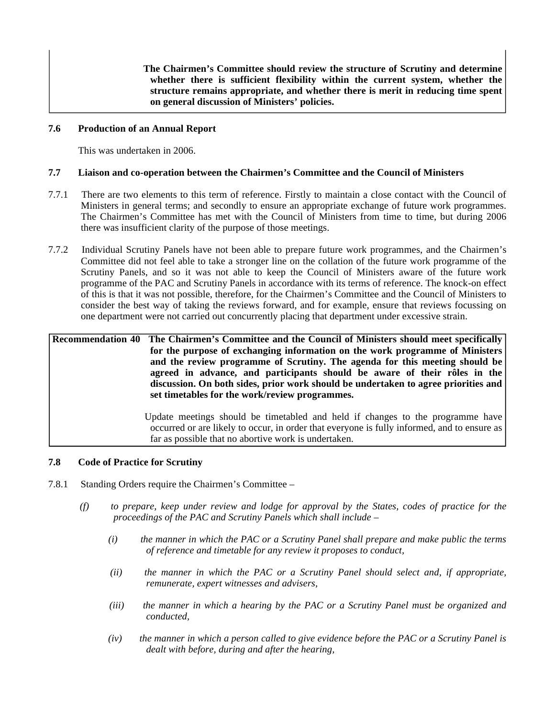**The Chairmen's Committee should review the structure of Scrutiny and determine whether there is sufficient flexibility within the current system, whether the structure remains appropriate, and whether there is merit in reducing time spent on general discussion of Ministers' policies.**

### **7.6 Production of an Annual Report**

This was undertaken in 2006.

## **7.7****Liaison and co-operation between the Chairmen's Committee and the Council of Ministers**

- 7.7.1 There are two elements to this term of reference. Firstly to maintain a close contact with the Council of Ministers in general terms; and secondly to ensure an appropriate exchange of future work programmes. The Chairmen's Committee has met with the Council of Ministers from time to time, but during 2006 there was insufficient clarity of the purpose of those meetings.
- 7.7.2 Individual Scrutiny Panels have not been able to prepare future work programmes, and the Chairmen's Committee did not feel able to take a stronger line on the collation of the future work programme of the Scrutiny Panels, and so it was not able to keep the Council of Ministers aware of the future work programme of the PAC and Scrutiny Panels in accordance with its terms of reference. The knock-on effect of this is that it was not possible, therefore, for the Chairmen's Committee and the Council of Ministers to consider the best way of taking the reviews forward, and for example, ensure that reviews focussing on one department were not carried out concurrently placing that department under excessive strain.

**Recommendation 40 The Chairmen's Committee and the Council of Ministers should meet specifically for the purpose of exchanging information on the work programme of Ministers and the review programme of Scrutiny. The agenda for this meeting should be agreed in advance, and participants should be aware of their rôles in the discussion. On both sides, prior work should be undertaken to agree priorities and set timetables for the work/review programmes.**

> Update meetings should be timetabled and held if changes to the programme have occurred or are likely to occur, in order that everyone is fully informed, and to ensure as far as possible that no abortive work is undertaken.

# **7.8 Code of Practice for Scrutiny**

- 7.8.1 Standing Orders require the Chairmen's Committee
	- *(f) to prepare, keep under review and lodge for approval by the States, codes of practice for the proceedings of the PAC and Scrutiny Panels which shall include –*
		- *(i) the manner in which the PAC or a Scrutiny Panel shall prepare and make public the terms of reference and timetable for any review it proposes to conduct,*
		- *(ii) the manner in which the PAC or a Scrutiny Panel should select and, if appropriate, remunerate, expert witnesses and advisers,*
		- *(iii) the manner in which a hearing by the PAC or a Scrutiny Panel must be organized and conducted,*
		- *(iv) the manner in which a person called to give evidence before the PAC or a Scrutiny Panel is dealt with before, during and after the hearing,*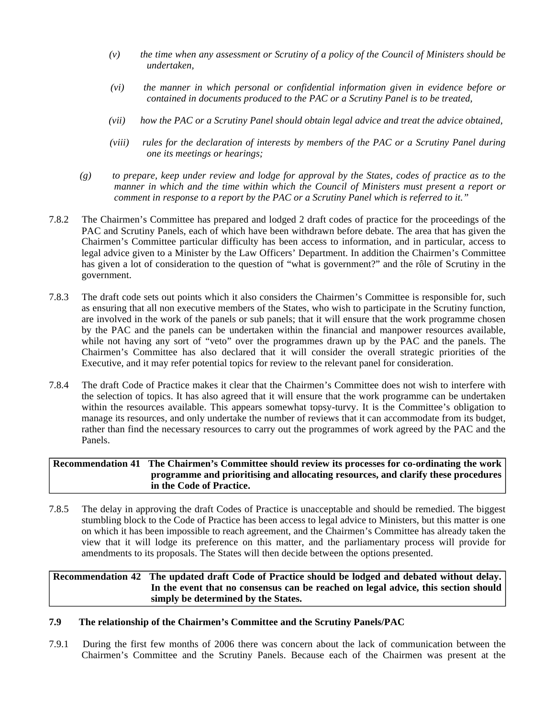- *(v) the time when any assessment or Scrutiny of a policy of the Council of Ministers should be undertaken,*
- *(vi) the manner in which personal or confidential information given in evidence before or contained in documents produced to the PAC or a Scrutiny Panel is to be treated,*
- *(vii) how the PAC or a Scrutiny Panel should obtain legal advice and treat the advice obtained,*
- *(viii) rules for the declaration of interests by members of the PAC or a Scrutiny Panel during one its meetings or hearings;*
- *(g) to prepare, keep under review and lodge for approval by the States, codes of practice as to the manner in which and the time within which the Council of Ministers must present a report or comment in response to a report by the PAC or a Scrutiny Panel which is referred to it."*
- 7.8.2 The Chairmen's Committee has prepared and lodged 2 draft codes of practice for the proceedings of the PAC and Scrutiny Panels, each of which have been withdrawn before debate. The area that has given the Chairmen's Committee particular difficulty has been access to information, and in particular, access to legal advice given to a Minister by the Law Officers' Department. In addition the Chairmen's Committee has given a lot of consideration to the question of "what is government?" and the rôle of Scrutiny in the government.
- 7.8.3 The draft code sets out points which it also considers the Chairmen's Committee is responsible for, such as ensuring that all non executive members of the States, who wish to participate in the Scrutiny function, are involved in the work of the panels or sub panels; that it will ensure that the work programme chosen by the PAC and the panels can be undertaken within the financial and manpower resources available, while not having any sort of "veto" over the programmes drawn up by the PAC and the panels. The Chairmen's Committee has also declared that it will consider the overall strategic priorities of the Executive, and it may refer potential topics for review to the relevant panel for consideration.
- 7.8.4 The draft Code of Practice makes it clear that the Chairmen's Committee does not wish to interfere with the selection of topics. It has also agreed that it will ensure that the work programme can be undertaken within the resources available. This appears somewhat topsy-turvy. It is the Committee's obligation to manage its resources, and only undertake the number of reviews that it can accommodate from its budget, rather than find the necessary resources to carry out the programmes of work agreed by the PAC and the Panels.

### **Recommendation 41 The Chairmen's Committee should review its processes for co-ordinating the work programme and prioritising and allocating resources, and clarify these procedures in the Code of Practice.**

7.8.5 The delay in approving the draft Codes of Practice is unacceptable and should be remedied. The biggest stumbling block to the Code of Practice has been access to legal advice to Ministers, but this matter is one on which it has been impossible to reach agreement, and the Chairmen's Committee has already taken the view that it will lodge its preference on this matter, and the parliamentary process will provide for amendments to its proposals. The States will then decide between the options presented.

**Recommendation 42 The updated draft Code of Practice should be lodged and debated without delay. In the event that no consensus can be reached on legal advice, this section should simply be determined by the States.**

# **7.9 The relationship of the Chairmen's Committee and the Scrutiny Panels/PAC**

7.9.1 During the first few months of 2006 there was concern about the lack of communication between the Chairmen's Committee and the Scrutiny Panels. Because each of the Chairmen was present at the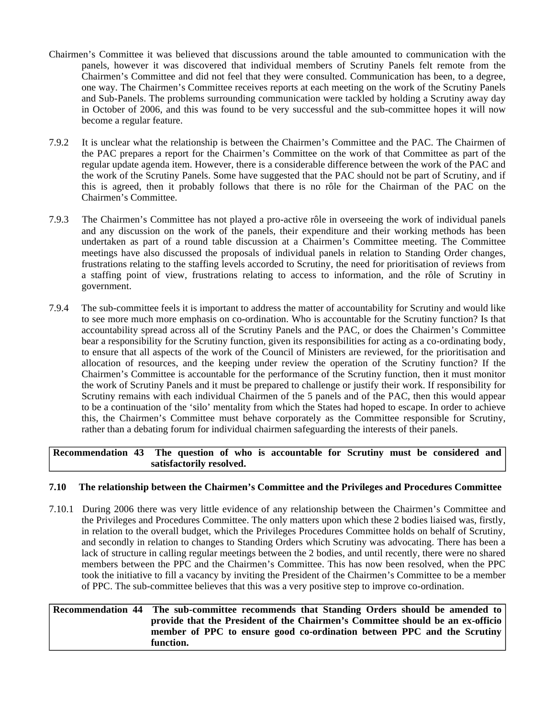- Chairmen's Committee it was believed that discussions around the table amounted to communication with the panels, however it was discovered that individual members of Scrutiny Panels felt remote from the Chairmen's Committee and did not feel that they were consulted. Communication has been, to a degree, one way. The Chairmen's Committee receives reports at each meeting on the work of the Scrutiny Panels and Sub-Panels. The problems surrounding communication were tackled by holding a Scrutiny away day in October of 2006, and this was found to be very successful and the sub-committee hopes it will now become a regular feature.
- 7.9.2 It is unclear what the relationship is between the Chairmen's Committee and the PAC. The Chairmen of the PAC prepares a report for the Chairmen's Committee on the work of that Committee as part of the regular update agenda item. However, there is a considerable difference between the work of the PAC and the work of the Scrutiny Panels. Some have suggested that the PAC should not be part of Scrutiny, and if this is agreed, then it probably follows that there is no rôle for the Chairman of the PAC on the Chairmen's Committee.
- 7.9.3 The Chairmen's Committee has not played a pro-active rôle in overseeing the work of individual panels and any discussion on the work of the panels, their expenditure and their working methods has been undertaken as part of a round table discussion at a Chairmen's Committee meeting. The Committee meetings have also discussed the proposals of individual panels in relation to Standing Order changes, frustrations relating to the staffing levels accorded to Scrutiny, the need for prioritisation of reviews from a staffing point of view, frustrations relating to access to information, and the rôle of Scrutiny in government.
- 7.9.4 The sub-committee feels it is important to address the matter of accountability for Scrutiny and would like to see more much more emphasis on co-ordination. Who is accountable for the Scrutiny function? Is that accountability spread across all of the Scrutiny Panels and the PAC, or does the Chairmen's Committee bear a responsibility for the Scrutiny function, given its responsibilities for acting as a co-ordinating body, to ensure that all aspects of the work of the Council of Ministers are reviewed, for the prioritisation and allocation of resources, and the keeping under review the operation of the Scrutiny function? If the Chairmen's Committee is accountable for the performance of the Scrutiny function, then it must monitor the work of Scrutiny Panels and it must be prepared to challenge or justify their work. If responsibility for Scrutiny remains with each individual Chairmen of the 5 panels and of the PAC, then this would appear to be a continuation of the 'silo' mentality from which the States had hoped to escape. In order to achieve this, the Chairmen's Committee must behave corporately as the Committee responsible for Scrutiny, rather than a debating forum for individual chairmen safeguarding the interests of their panels.

**Recommendation 43 The question of who is accountable for Scrutiny must be considered and satisfactorily resolved.**

# **7.10 The relationship between the Chairmen's Committee and the Privileges and Procedures Committee**

7.10.1 During 2006 there was very little evidence of any relationship between the Chairmen's Committee and the Privileges and Procedures Committee. The only matters upon which these 2 bodies liaised was, firstly, in relation to the overall budget, which the Privileges Procedures Committee holds on behalf of Scrutiny, and secondly in relation to changes to Standing Orders which Scrutiny was advocating. There has been a lack of structure in calling regular meetings between the 2 bodies, and until recently, there were no shared members between the PPC and the Chairmen's Committee. This has now been resolved, when the PPC took the initiative to fill a vacancy by inviting the President of the Chairmen's Committee to be a member of PPC. The sub-committee believes that this was a very positive step to improve co-ordination.

# **Recommendation 44 The sub-committee recommends that Standing Orders should be amended to provide that the President of the Chairmen's Committee should be an ex-officio member of PPC to ensure good co-ordination between PPC and the Scrutiny function.**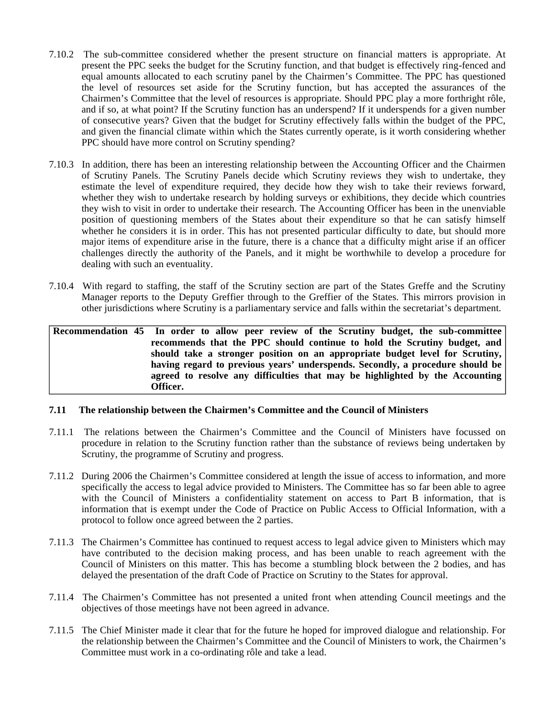- 7.10.2 The sub-committee considered whether the present structure on financial matters is appropriate. At present the PPC seeks the budget for the Scrutiny function, and that budget is effectively ring-fenced and equal amounts allocated to each scrutiny panel by the Chairmen's Committee. The PPC has questioned the level of resources set aside for the Scrutiny function, but has accepted the assurances of the Chairmen's Committee that the level of resources is appropriate. Should PPC play a more forthright rôle, and if so, at what point? If the Scrutiny function has an underspend? If it underspends for a given number of consecutive years? Given that the budget for Scrutiny effectively falls within the budget of the PPC, and given the financial climate within which the States currently operate, is it worth considering whether PPC should have more control on Scrutiny spending?
- 7.10.3 In addition, there has been an interesting relationship between the Accounting Officer and the Chairmen of Scrutiny Panels. The Scrutiny Panels decide which Scrutiny reviews they wish to undertake, they estimate the level of expenditure required, they decide how they wish to take their reviews forward, whether they wish to undertake research by holding surveys or exhibitions, they decide which countries they wish to visit in order to undertake their research. The Accounting Officer has been in the unenviable position of questioning members of the States about their expenditure so that he can satisfy himself whether he considers it is in order. This has not presented particular difficulty to date, but should more major items of expenditure arise in the future, there is a chance that a difficulty might arise if an officer challenges directly the authority of the Panels, and it might be worthwhile to develop a procedure for dealing with such an eventuality.
- 7.10.4 With regard to staffing, the staff of the Scrutiny section are part of the States Greffe and the Scrutiny Manager reports to the Deputy Greffier through to the Greffier of the States. This mirrors provision in other jurisdictions where Scrutiny is a parliamentary service and falls within the secretariat's department.

**Recommendation 45 In order to allow peer review of the Scrutiny budget, the sub-committee recommends that the PPC should continue to hold the Scrutiny budget, and should take a stronger position on an appropriate budget level for Scrutiny, having regard to previous years' underspends. Secondly, a procedure should be agreed to resolve any difficulties that may be highlighted by the Accounting Officer.**

# **7.11 The relationship between the Chairmen's Committee and the Council of Ministers**

- 7.11.1 The relations between the Chairmen's Committee and the Council of Ministers have focussed on procedure in relation to the Scrutiny function rather than the substance of reviews being undertaken by Scrutiny, the programme of Scrutiny and progress.
- 7.11.2 During 2006 the Chairmen's Committee considered at length the issue of access to information, and more specifically the access to legal advice provided to Ministers. The Committee has so far been able to agree with the Council of Ministers a confidentiality statement on access to Part B information, that is information that is exempt under the Code of Practice on Public Access to Official Information, with a protocol to follow once agreed between the 2 parties.
- 7.11.3 The Chairmen's Committee has continued to request access to legal advice given to Ministers which may have contributed to the decision making process, and has been unable to reach agreement with the Council of Ministers on this matter. This has become a stumbling block between the 2 bodies, and has delayed the presentation of the draft Code of Practice on Scrutiny to the States for approval.
- 7.11.4 The Chairmen's Committee has not presented a united front when attending Council meetings and the objectives of those meetings have not been agreed in advance.
- 7.11.5 The Chief Minister made it clear that for the future he hoped for improved dialogue and relationship. For the relationship between the Chairmen's Committee and the Council of Ministers to work, the Chairmen's Committee must work in a co-ordinating rôle and take a lead.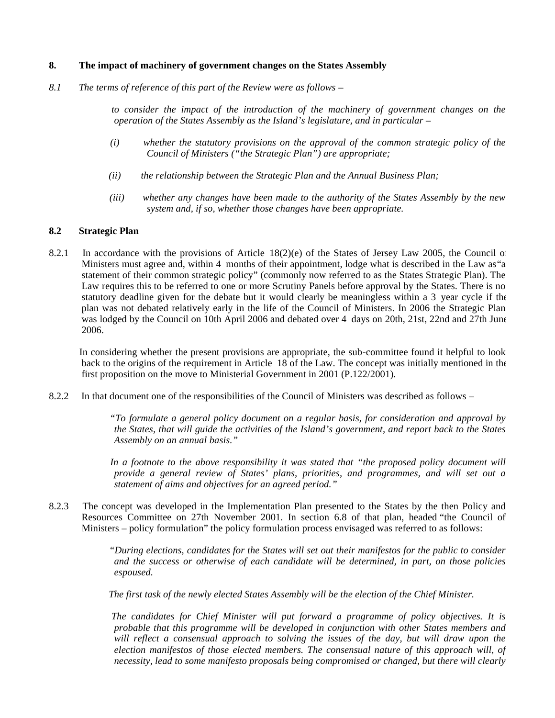### **8. The impact of machinery of government changes on the States Assembly**

*8.1 The terms of reference of this part of the Review were as follows –*

 *to consider the impact of the introduction of the machinery of government changes on the operation of the States Assembly as the Island's legislature, and in particular –*

- *(i) whether the statutory provisions on the approval of the common strategic policy of the Council of Ministers ("the Strategic Plan") are appropriate;*
- *(ii) the relationship between the Strategic Plan and the Annual Business Plan;*
- *(iii) whether any changes have been made to the authority of the States Assembly by the new system and, if so, whether those changes have been appropriate.*

### **8.2 Strategic Plan**

8.2.1 In accordance with the provisions of Article 18(2)(e) of the States of Jersey Law 2005, the Council of Ministers must agree and, within 4 months of their appointment, lodge what is described in the Law as"a statement of their common strategic policy" (commonly now referred to as the States Strategic Plan). The Law requires this to be referred to one or more Scrutiny Panels before approval by the States. There is no statutory deadline given for the debate but it would clearly be meaningless within a 3 year cycle if the plan was not debated relatively early in the life of the Council of Ministers. In 2006 the Strategic Plan was lodged by the Council on 10th April 2006 and debated over 4 days on 20th, 21st, 22nd and 27th June 2006.

 In considering whether the present provisions are appropriate, the sub-committee found it helpful to look back to the origins of the requirement in Article 18 of the Law. The concept was initially mentioned in the first proposition on the move to Ministerial Government in 2001 (P.122/2001).

8.2.2 In that document one of the responsibilities of the Council of Ministers was described as follows –

 *"To formulate a general policy document on a regular basis, for consideration and approval by the States, that will guide the activities of the Island's government, and report back to the States Assembly on an annual basis."*

 *In a footnote to the above responsibility it was stated that "the proposed policy document will provide a general review of States' plans, priorities, and programmes, and will set out a statement of aims and objectives for an agreed period."*

8.2.3 The concept was developed in the Implementation Plan presented to the States by the then Policy and Resources Committee on 27th November 2001. In section 6.8 of that plan, headed "the Council of Ministers – policy formulation" the policy formulation process envisaged was referred to as follows:

> *"During elections, candidates for the States will set out their manifestos for the public to consider and the success or otherwise of each candidate will be determined, in part, on those policies espoused.*

 *The first task of the newly elected States Assembly will be the election of the Chief Minister.*

 *The candidates for Chief Minister will put forward a programme of policy objectives. It is probable that this programme will be developed in conjunction with other States members and will reflect a consensual approach to solving the issues of the day, but will draw upon the election manifestos of those elected members. The consensual nature of this approach will, of necessity, lead to some manifesto proposals being compromised or changed, but there will clearly*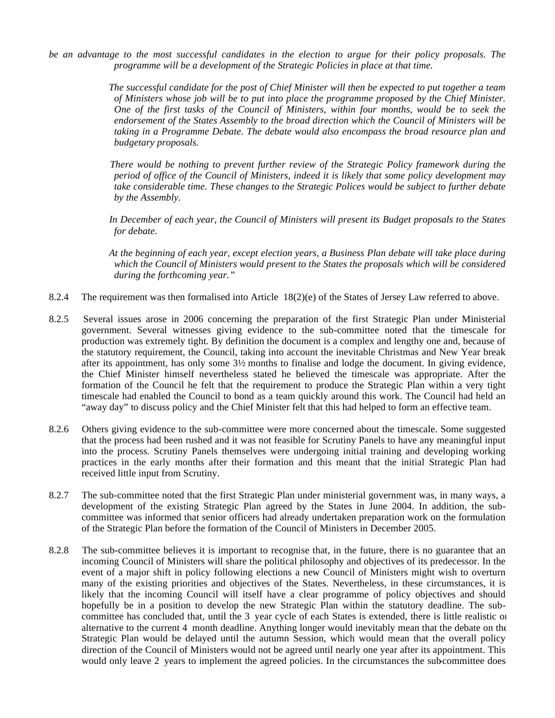*be an advantage to the most successful candidates in the election to argue for their policy proposals. The programme will be a development of the Strategic Policies in place at that time.*

> *The successful candidate for the post of Chief Minister will then be expected to put together a team of Ministers whose job will be to put into place the programme proposed by the Chief Minister. One of the first tasks of the Council of Ministers, within four months, would be to seek the endorsement of the States Assembly to the broad direction which the Council of Ministers will be taking in a Programme Debate. The debate would also encompass the broad resource plan and budgetary proposals.*

> *There would be nothing to prevent further review of the Strategic Policy framework during the period of office of the Council of Ministers, indeed it is likely that some policy development may take considerable time. These changes to the Strategic Polices would be subject to further debate by the Assembly.*

> *In December of each year, the Council of Ministers will present its Budget proposals to the States for debate.*

> *At the beginning of each year, except election years, a Business Plan debate will take place during which the Council of Ministers would present to the States the proposals which will be considered during the forthcoming year."*

- 8.2.4 The requirement was then formalised into Article 18(2)(e) of the States of Jersey Law referred to above.
- 8.2.5 Several issues arose in 2006 concerning the preparation of the first Strategic Plan under Ministerial government. Several witnesses giving evidence to the sub-committee noted that the timescale for production was extremely tight. By definition the document is a complex and lengthy one and, because of the statutory requirement, the Council, taking into account the inevitable Christmas and New Year break after its appointment, has only some 3½ months to finalise and lodge the document. In giving evidence, the Chief Minister himself nevertheless stated he believed the timescale was appropriate. After the formation of the Council he felt that the requirement to produce the Strategic Plan within a very tight timescale had enabled the Council to bond as a team quickly around this work. The Council had held an "away day" to discuss policy and the Chief Minister felt that this had helped to form an effective team.
- 8.2.6 Others giving evidence to the sub-committee were more concerned about the timescale. Some suggested that the process had been rushed and it was not feasible for Scrutiny Panels to have any meaningful input into the process. Scrutiny Panels themselves were undergoing initial training and developing working practices in the early months after their formation and this meant that the initial Strategic Plan had received little input from Scrutiny.
- 8.2.7 The sub-committee noted that the first Strategic Plan under ministerial government was, in many ways, a development of the existing Strategic Plan agreed by the States in June 2004. In addition, the subcommittee was informed that senior officers had already undertaken preparation work on the formulation of the Strategic Plan before the formation of the Council of Ministers in December 2005.
- 8.2.8 The sub-committee believes it is important to recognise that, in the future, there is no guarantee that an incoming Council of Ministers will share the political philosophy and objectives of its predecessor. In the event of a major shift in policy following elections a new Council of Ministers might wish to overturn many of the existing priorities and objectives of the States. Nevertheless, in these circumstances, it is likely that the incoming Council will itself have a clear programme of policy objectives and should hopefully be in a position to develop the new Strategic Plan within the statutory deadline. The subcommittee has concluded that, until the 3 year cycle of each States is extended, there is little realistic or alternative to the current 4 month deadline. Anything longer would inevitably mean that the debate on the Strategic Plan would be delayed until the autumn Session, which would mean that the overall policy direction of the Council of Ministers would not be agreed until nearly one year after its appointment. This would only leave 2 years to implement the agreed policies. In the circumstances the sub-committee does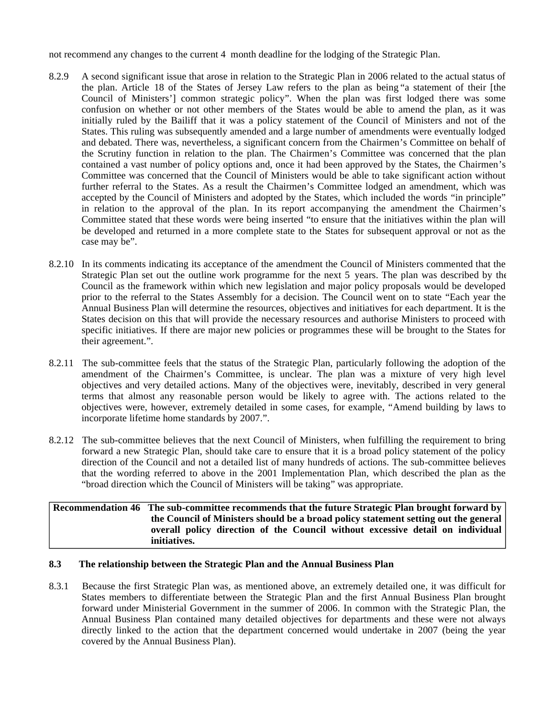not recommend any changes to the current 4 month deadline for the lodging of the Strategic Plan.

- 8.2.9 A second significant issue that arose in relation to the Strategic Plan in 2006 related to the actual status of the plan. Article 18 of the States of Jersey Law refers to the plan as being "a statement of their [the Council of Ministers'] common strategic policy". When the plan was first lodged there was some confusion on whether or not other members of the States would be able to amend the plan, as it was initially ruled by the Bailiff that it was a policy statement of the Council of Ministers and not of the States. This ruling was subsequently amended and a large number of amendments were eventually lodged and debated. There was, nevertheless, a significant concern from the Chairmen's Committee on behalf of the Scrutiny function in relation to the plan. The Chairmen's Committee was concerned that the plan contained a vast number of policy options and, once it had been approved by the States, the Chairmen's Committee was concerned that the Council of Ministers would be able to take significant action without further referral to the States. As a result the Chairmen's Committee lodged an amendment, which was accepted by the Council of Ministers and adopted by the States, which included the words "in principle" in relation to the approval of the plan. In its report accompanying the amendment the Chairmen's Committee stated that these words were being inserted "to ensure that the initiatives within the plan will be developed and returned in a more complete state to the States for subsequent approval or not as the case may be".
- 8.2.10 In its comments indicating its acceptance of the amendment the Council of Ministers commented that the Strategic Plan set out the outline work programme for the next 5 years. The plan was described by the Council as the framework within which new legislation and major policy proposals would be developed prior to the referral to the States Assembly for a decision. The Council went on to state "Each year the Annual Business Plan will determine the resources, objectives and initiatives for each department. It is the States decision on this that will provide the necessary resources and authorise Ministers to proceed with specific initiatives. If there are major new policies or programmes these will be brought to the States for their agreement.".
- 8.2.11 The sub-committee feels that the status of the Strategic Plan, particularly following the adoption of the amendment of the Chairmen's Committee, is unclear. The plan was a mixture of very high level objectives and very detailed actions. Many of the objectives were, inevitably, described in very general terms that almost any reasonable person would be likely to agree with. The actions related to the objectives were, however, extremely detailed in some cases, for example, "Amend building by laws to incorporate lifetime home standards by 2007.".
- 8.2.12 The sub-committee believes that the next Council of Ministers, when fulfilling the requirement to bring forward a new Strategic Plan, should take care to ensure that it is a broad policy statement of the policy direction of the Council and not a detailed list of many hundreds of actions. The sub-committee believes that the wording referred to above in the 2001 Implementation Plan, which described the plan as the "broad direction which the Council of Ministers will be taking" was appropriate.

### **Recommendation 46 The sub-committee recommends that the future Strategic Plan brought forward by the Council of Ministers should be a broad policy statement setting out the general overall policy direction of the Council without excessive detail on individual initiatives.**

## **8.3 The relationship between the Strategic Plan and the Annual Business Plan**

8.3.1 Because the first Strategic Plan was, as mentioned above, an extremely detailed one, it was difficult for States members to differentiate between the Strategic Plan and the first Annual Business Plan brought forward under Ministerial Government in the summer of 2006. In common with the Strategic Plan, the Annual Business Plan contained many detailed objectives for departments and these were not always directly linked to the action that the department concerned would undertake in 2007 (being the year covered by the Annual Business Plan).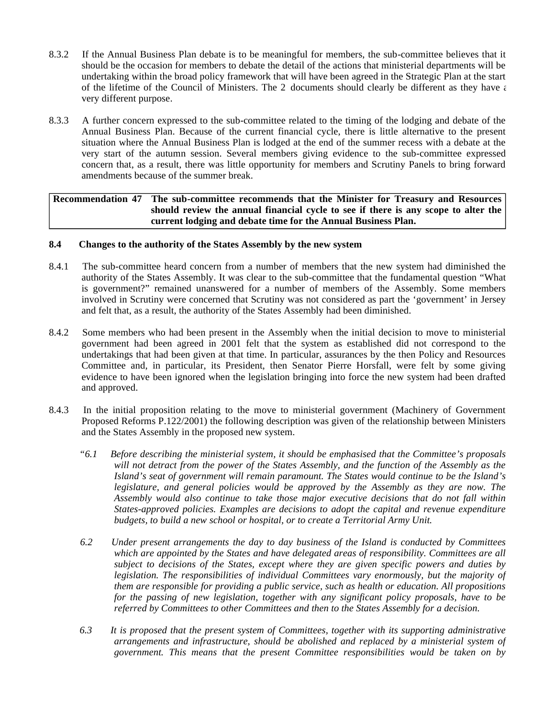- 8.3.2 If the Annual Business Plan debate is to be meaningful for members, the sub-committee believes that it should be the occasion for members to debate the detail of the actions that ministerial departments will be undertaking within the broad policy framework that will have been agreed in the Strategic Plan at the start of the lifetime of the Council of Ministers. The 2 documents should clearly be different as they have  $\epsilon$ very different purpose.
- 8.3.3 A further concern expressed to the sub-committee related to the timing of the lodging and debate of the Annual Business Plan. Because of the current financial cycle, there is little alternative to the present situation where the Annual Business Plan is lodged at the end of the summer recess with a debate at the very start of the autumn session. Several members giving evidence to the sub-committee expressed concern that, as a result, there was little opportunity for members and Scrutiny Panels to bring forward amendments because of the summer break.

**Recommendation 47 The sub-committee recommends that the Minister for Treasury and Resources should review the annual financial cycle to see if there is any scope to alter the current lodging and debate time for the Annual Business Plan.**

## **8.4 Changes to the authority of the States Assembly by the new system**

- 8.4.1The sub-committee heard concern from a number of members that the new system had diminished the authority of the States Assembly. It was clear to the sub-committee that the fundamental question "What is government?" remained unanswered for a number of members of the Assembly. Some members involved in Scrutiny were concerned that Scrutiny was not considered as part the 'government' in Jersey and felt that, as a result, the authority of the States Assembly had been diminished.
- 8.4.2 Some members who had been present in the Assembly when the initial decision to move to ministerial government had been agreed in 2001 felt that the system as established did not correspond to the undertakings that had been given at that time. In particular, assurances by the then Policy and Resources Committee and, in particular, its President, then Senator Pierre Horsfall, were felt by some giving evidence to have been ignored when the legislation bringing into force the new system had been drafted and approved.
- 8.4.3 In the initial proposition relating to the move to ministerial government (Machinery of Government Proposed Reforms P.122/2001) the following description was given of the relationship between Ministers and the States Assembly in the proposed new system.
	- *"6.1 Before describing the ministerial system, it should be emphasised that the Committee's proposals will not detract from the power of the States Assembly, and the function of the Assembly as the Island's seat of government will remain paramount. The States would continue to be the Island's legislature, and general policies would be approved by the Assembly as they are now. The Assembly would also continue to take those major executive decisions that do not fall within States-approved policies. Examples are decisions to adopt the capital and revenue expenditure budgets, to build a new school or hospital, or to create a Territorial Army Unit.*
	- *6.2 Under present arrangements the day to day business of the Island is conducted by Committees which are appointed by the States and have delegated areas of responsibility. Committees are all subject to decisions of the States, except where they are given specific powers and duties by legislation. The responsibilities of individual Committees vary enormously, but the majority of them are responsible for providing a public service, such as health or education. All propositions for the passing of new legislation, together with any significant policy proposals, have to be referred by Committees to other Committees and then to the States Assembly for a decision.*
	- *6.3 It is proposed that the present system of Committees, together with its supporting administrative arrangements and infrastructure, should be abolished and replaced by a ministerial system of government. This means that the present Committee responsibilities would be taken on by*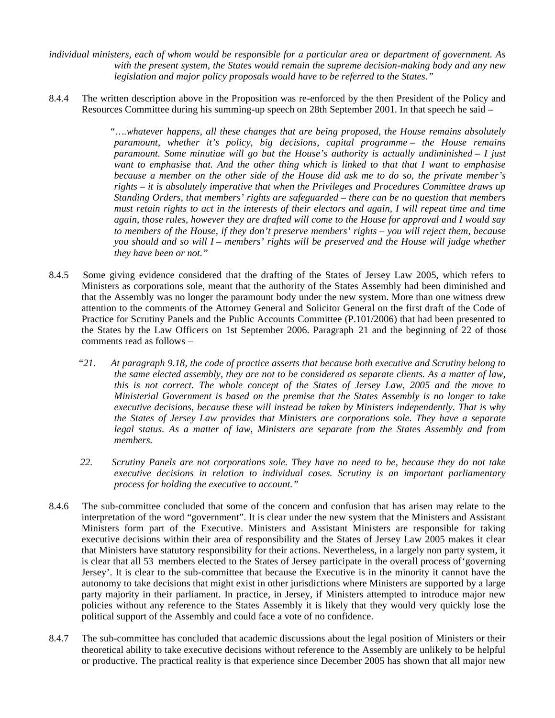- *individual ministers, each of whom would be responsible for a particular area or department of government. As with the present system, the States would remain the supreme decision-making body and any new legislation and major policy proposals would have to be referred to the States."*
- 8.4.4 The written description above in the Proposition was re-enforced by the then President of the Policy and Resources Committee during his summing-up speech on 28th September 2001. In that speech he said –

 *"….whatever happens, all these changes that are being proposed, the House remains absolutely paramount, whether it's policy, big decisions, capital programme – the House remains paramount. Some minutiae will go but the House's authority is actually undiminished – I just want to emphasise that. And the other thing which is linked to that that I want to emphasise because a member on the other side of the House did ask me to do so, the private member's rights – it is absolutely imperative that when the Privileges and Procedures Committee draws up Standing Orders, that members' rights are safeguarded – there can be no question that members must retain rights to act in the interests of their electors and again, I will repeat time and time again, those rules, however they are drafted will come to the House for approval and I would say to members of the House, if they don't preserve members' rights – you will reject them, because you should and so will I – members' rights will be preserved and the House will judge whether they have been or not."*

- 8.4.5 Some giving evidence considered that the drafting of the States of Jersey Law 2005, which refers to Ministers as corporations sole, meant that the authority of the States Assembly had been diminished and that the Assembly was no longer the paramount body under the new system. More than one witness drew attention to the comments of the Attorney General and Solicitor General on the first draft of the Code of Practice for Scrutiny Panels and the Public Accounts Committee (P.101/2006) that had been presented to the States by the Law Officers on 1st September 2006. Paragraph 21 and the beginning of 22 of those comments read as follows –
	- "*21. At paragraph 9.18, the code of practice asserts that because both executive and Scrutiny belong to the same elected assembly, they are not to be considered as separate clients. As a matter of law, this is not correct. The whole concept of the States of Jersey Law, 2005 and the move to Ministerial Government is based on the premise that the States Assembly is no longer to take executive decisions, because these will instead be taken by Ministers independently. That is why the States of Jersey Law provides that Ministers are corporations sole. They have a separate legal status. As a matter of law, Ministers are separate from the States Assembly and from members.*
	- *22. Scrutiny Panels are not corporations sole. They have no need to be, because they do not take executive decisions in relation to individual cases. Scrutiny is an important parliamentary process for holding the executive to account."*
- 8.4.6 The sub-committee concluded that some of the concern and confusion that has arisen may relate to the interpretation of the word "government". It is clear under the new system that the Ministers and Assistant Ministers form part of the Executive. Ministers and Assistant Ministers are responsible for taking executive decisions within their area of responsibility and the States of Jersey Law 2005 makes it clear that Ministers have statutory responsibility for their actions. Nevertheless, in a largely non party system, it is clear that all 53 members elected to the States of Jersey participate in the overall process of'governing Jersey'. It is clear to the sub-committee that because the Executive is in the minority it cannot have the autonomy to take decisions that might exist in other jurisdictions where Ministers are supported by a large party majority in their parliament. In practice, in Jersey, if Ministers attempted to introduce major new policies without any reference to the States Assembly it is likely that they would very quickly lose the political support of the Assembly and could face a vote of no confidence.
- 8.4.7 The sub-committee has concluded that academic discussions about the legal position of Ministers or their theoretical ability to take executive decisions without reference to the Assembly are unlikely to be helpful or productive. The practical reality is that experience since December 2005 has shown that all major new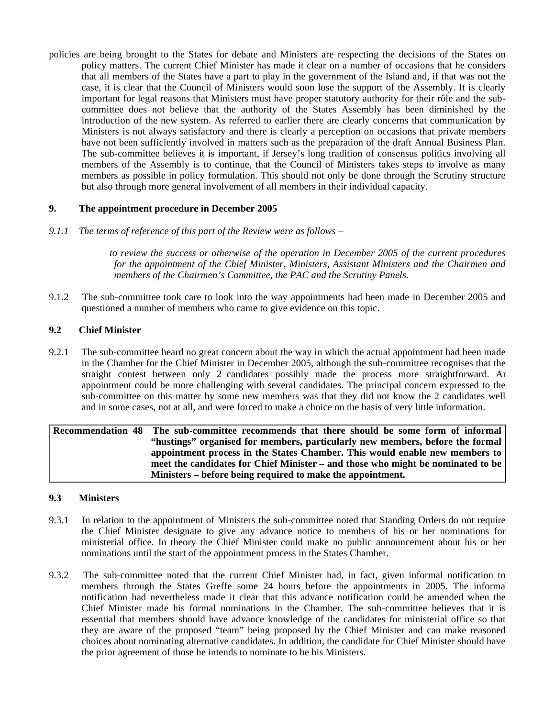policies are being brought to the States for debate and Ministers are respecting the decisions of the States on policy matters. The current Chief Minister has made it clear on a number of occasions that he considers that all members of the States have a part to play in the government of the Island and, if that was not the case, it is clear that the Council of Ministers would soon lose the support of the Assembly. It is clearly important for legal reasons that Ministers must have proper statutory authority for their rôle and the subcommittee does not believe that the authority of the States Assembly has been diminished by the introduction of the new system. As referred to earlier there are clearly concerns that communication by Ministers is not always satisfactory and there is clearly a perception on occasions that private members have not been sufficiently involved in matters such as the preparation of the draft Annual Business Plan. The sub-committee believes it is important, if Jersey's long tradition of consensus politics involving all members of the Assembly is to continue, that the Council of Ministers takes steps to involve as many members as possible in policy formulation. This should not only be done through the Scrutiny structure but also through more general involvement of all members in their individual capacity.

## **9. The appointment procedure in December 2005**

*9.1.1 The terms of reference of this part of the Review were as follows –*

 *to review the success or otherwise of the operation in December 2005 of the current procedures for the appointment of the Chief Minister, Ministers, Assistant Ministers and the Chairmen and members of the Chairmen's Committee, the PAC and the Scrutiny Panels.*

9.1.2 The sub-committee took care to look into the way appointments had been made in December 2005 and questioned a number of members who came to give evidence on this topic.

### **9.2 Chief Minister**

9.2.1 The sub-committee heard no great concern about the way in which the actual appointment had been made in the Chamber for the Chief Minister in December 2005, although the sub-committee recognises that the straight contest between only 2 candidates possibly made the process more straightforward. An appointment could be more challenging with several candidates. The principal concern expressed to the sub-committee on this matter by some new members was that they did not know the 2 candidates well and in some cases, not at all, and were forced to make a choice on the basis of very little information.

**Recommendation 48 The sub-committee recommends that there should be some form of informal "hustings" organised for members, particularly new members, before the formal appointment process in the States Chamber. This would enable new members to meet the candidates for Chief Minister – and those who might be nominated to be Ministers – before being required to make the appointment.**

#### **9.3 Ministers**

- 9.3.1 In relation to the appointment of Ministers the sub-committee noted that Standing Orders do not require the Chief Minister designate to give any advance notice to members of his or her nominations for ministerial office. In theory the Chief Minister could make no public announcement about his or her nominations until the start of the appointment process in the States Chamber.
- 9.3.2 The sub-committee noted that the current Chief Minister had, in fact, given informal notification to members through the States Greffe some 24 hours before the appointments in 2005. The informal notification had nevertheless made it clear that this advance notification could be amended when the Chief Minister made his formal nominations in the Chamber. The sub-committee believes that it is essential that members should have advance knowledge of the candidates for ministerial office so that they are aware of the proposed "team" being proposed by the Chief Minister and can make reasoned choices about nominating alternative candidates. In addition, the candidate for Chief Minister should have the prior agreement of those he intends to nominate to be his Ministers.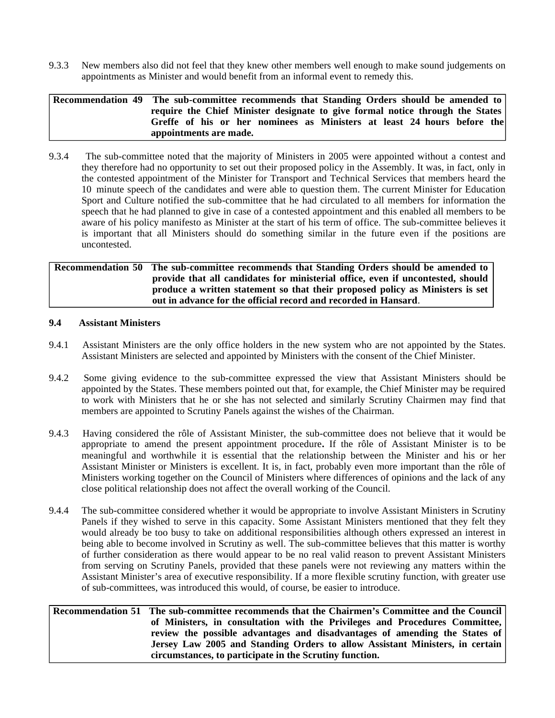9.3.3 New members also did not feel that they knew other members well enough to make sound judgements on appointments as Minister and would benefit from an informal event to remedy this.

**Recommendation 49 The sub-committee recommends that Standing Orders should be amended to require the Chief Minister designate to give formal notice through the States Greffe of his or her nominees as Ministers at least 24 hours before the appointments are made.**

9.3.4 The sub-committee noted that the majority of Ministers in 2005 were appointed without a contest and they therefore had no opportunity to set out their proposed policy in the Assembly. It was, in fact, only in the contested appointment of the Minister for Transport and Technical Services that members heard the 10 minute speech of the candidates and were able to question them. The current Minister for Education, Sport and Culture notified the sub-committee that he had circulated to all members for information the speech that he had planned to give in case of a contested appointment and this enabled all members to be aware of his policy manifesto as Minister at the start of his term of office. The sub-committee believes it is important that all Ministers should do something similar in the future even if the positions are uncontested.

**Recommendation 50 The sub-committee recommends that Standing Orders should be amended to provide that all candidates for ministerial office, even if uncontested, should produce a written statement so that their proposed policy as Ministers is set out in advance for the official record and recorded in Hansard**.

### **9.4 Assistant Ministers**

- 9.4.1 Assistant Ministers are the only office holders in the new system who are not appointed by the States. Assistant Ministers are selected and appointed by Ministers with the consent of the Chief Minister.
- 9.4.2 Some giving evidence to the sub-committee expressed the view that Assistant Ministers should be appointed by the States. These members pointed out that, for example, the Chief Minister may be required to work with Ministers that he or she has not selected and similarly Scrutiny Chairmen may find that members are appointed to Scrutiny Panels against the wishes of the Chairman.
- 9.4.3 Having considered the rôle of Assistant Minister, the sub-committee does not believe that it would be appropriate to amend the present appointment procedure**.** If the rôle of Assistant Minister is to be meaningful and worthwhile it is essential that the relationship between the Minister and his or her Assistant Minister or Ministers is excellent. It is, in fact, probably even more important than the rôle of Ministers working together on the Council of Ministers where differences of opinions and the lack of any close political relationship does not affect the overall working of the Council.
- 9.4.4 The sub-committee considered whether it would be appropriate to involve Assistant Ministers in Scrutiny Panels if they wished to serve in this capacity. Some Assistant Ministers mentioned that they felt they would already be too busy to take on additional responsibilities although others expressed an interest in being able to become involved in Scrutiny as well. The sub-committee believes that this matter is worthy of further consideration as there would appear to be no real valid reason to prevent Assistant Ministers from serving on Scrutiny Panels, provided that these panels were not reviewing any matters within the Assistant Minister's area of executive responsibility. If a more flexible scrutiny function, with greater use of sub-committees, was introduced this would, of course, be easier to introduce.

### **Recommendation 51 The sub-committee recommends that the Chairmen's Committee and the Council of Ministers, in consultation with the Privileges and Procedures Committee, review the possible advantages and disadvantages of amending the States of Jersey Law 2005 and Standing Orders to allow Assistant Ministers, in certain circumstances, to participate in the Scrutiny function.**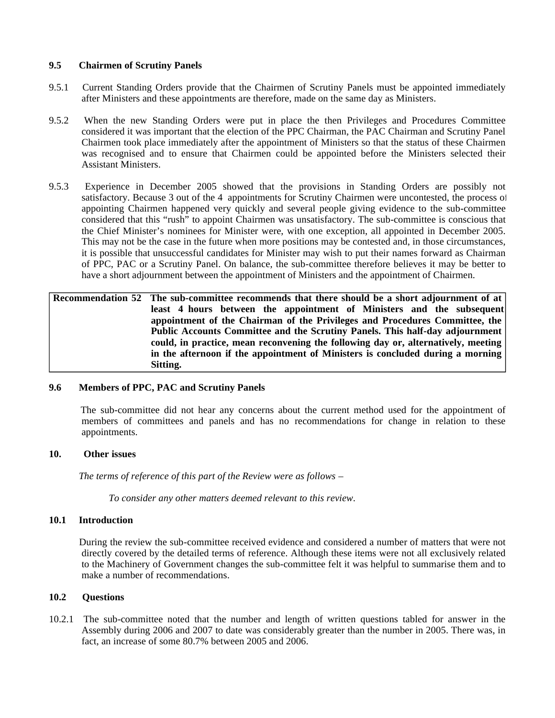### **9.5 Chairmen of Scrutiny Panels**

- 9.5.1 Current Standing Orders provide that the Chairmen of Scrutiny Panels must be appointed immediately after Ministers and these appointments are therefore, made on the same day as Ministers.
- 9.5.2 When the new Standing Orders were put in place the then Privileges and Procedures Committee considered it was important that the election of the PPC Chairman, the PAC Chairman and Scrutiny Panel Chairmen took place immediately after the appointment of Ministers so that the status of these Chairmen was recognised and to ensure that Chairmen could be appointed before the Ministers selected their Assistant Ministers.
- 9.5.3 Experience in December 2005 showed that the provisions in Standing Orders are possibly not satisfactory. Because 3 out of the 4 appointments for Scrutiny Chairmen were uncontested, the process of appointing Chairmen happened very quickly and several people giving evidence to the sub-committee considered that this "rush" to appoint Chairmen was unsatisfactory. The sub-committee is conscious that the Chief Minister's nominees for Minister were, with one exception, all appointed in December 2005. This may not be the case in the future when more positions may be contested and, in those circumstances, it is possible that unsuccessful candidates for Minister may wish to put their names forward as Chairman of PPC, PAC or a Scrutiny Panel. On balance, the sub-committee therefore believes it may be better to have a short adjournment between the appointment of Ministers and the appointment of Chairmen.

**Recommendation 52 The sub-committee recommends that there should be a short adjournment of at least 4 hours between the appointment of Ministers and the subsequent appointment of the Chairman of the Privileges and Procedures Committee, the Public Accounts Committee and the Scrutiny Panels. This half-day adjournment could, in practice, mean reconvening the following day or, alternatively, meeting in the afternoon if the appointment of Ministers is concluded during a morning Sitting.**

## **9.6 Members of PPC, PAC and Scrutiny Panels**

 The sub-committee did not hear any concerns about the current method used for the appointment of members of committees and panels and has no recommendations for change in relation to these appointments.

## **10. Other issues**

 *The terms of reference of this part of the Review were as follows –*

 *To consider any other matters deemed relevant to this review.*

### **10.1 Introduction**

 During the review the sub-committee received evidence and considered a number of matters that were not directly covered by the detailed terms of reference. Although these items were not all exclusively related to the Machinery of Government changes the sub-committee felt it was helpful to summarise them and to make a number of recommendations.

#### **10.2 Questions**

10.2.1 The sub-committee noted that the number and length of written questions tabled for answer in the Assembly during 2006 and 2007 to date was considerably greater than the number in 2005. There was, in fact, an increase of some 80.7% between 2005 and 2006.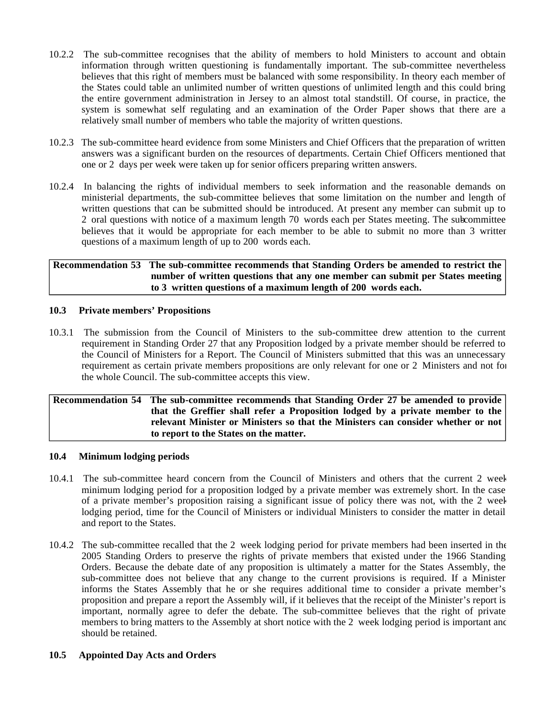- 10.2.2 The sub-committee recognises that the ability of members to hold Ministers to account and obtain information through written questioning is fundamentally important. The sub-committee nevertheless believes that this right of members must be balanced with some responsibility. In theory each member of the States could table an unlimited number of written questions of unlimited length and this could bring the entire government administration in Jersey to an almost total standstill. Of course, in practice, the system is somewhat self regulating and an examination of the Order Paper shows that there are a relatively small number of members who table the majority of written questions.
- 10.2.3 The sub-committee heard evidence from some Ministers and Chief Officers that the preparation of written answers was a significant burden on the resources of departments. Certain Chief Officers mentioned that one or 2 days per week were taken up for senior officers preparing written answers.
- 10.2.4 In balancing the rights of individual members to seek information and the reasonable demands on ministerial departments, the sub-committee believes that some limitation on the number and length of written questions that can be submitted should be introduced. At present any member can submit up to 2 oral questions with notice of a maximum length 70 words each per States meeting. The subcommittee believes that it would be appropriate for each member to be able to submit no more than 3 writter questions of a maximum length of up to 200 words each.

## **Recommendation 53 The sub-committee recommends that Standing Orders be amended to restrict the number of written questions that any one member can submit per States meeting to 3 written questions of a maximum length of 200 words each.**

## **10.3 Private members' Propositions**

10.3.1 The submission from the Council of Ministers to the sub-committee drew attention to the current requirement in Standing Order 27 that any Proposition lodged by a private member should be referred to the Council of Ministers for a Report. The Council of Ministers submitted that this was an unnecessary requirement as certain private members propositions are only relevant for one or 2 Ministers and not for the whole Council. The sub-committee accepts this view.

## **Recommendation 54 The sub-committee recommends that Standing Order 27 be amended to provide that the Greffier shall refer a Proposition lodged by a private member to the relevant Minister or Ministers so that the Ministers can consider whether or not to report to the States on the matter.**

## **10.4 Minimum lodging periods**

- 10.4.1 The sub-committee heard concern from the Council of Ministers and others that the current 2 week minimum lodging period for a proposition lodged by a private member was extremely short. In the case of a private member's proposition raising a significant issue of policy there was not, with the 2 week lodging period, time for the Council of Ministers or individual Ministers to consider the matter in detail and report to the States.
- 10.4.2 The sub-committee recalled that the 2 week lodging period for private members had been inserted in the 2005 Standing Orders to preserve the rights of private members that existed under the 1966 Standing Orders. Because the debate date of any proposition is ultimately a matter for the States Assembly, the sub-committee does not believe that any change to the current provisions is required. If a Minister informs the States Assembly that he or she requires additional time to consider a private member's proposition and prepare a report the Assembly will, if it believes that the receipt of the Minister's report is important, normally agree to defer the debate. The sub-committee believes that the right of private members to bring matters to the Assembly at short notice with the 2 week lodging period is important and should be retained.

## **10.5 Appointed Day Acts and Orders**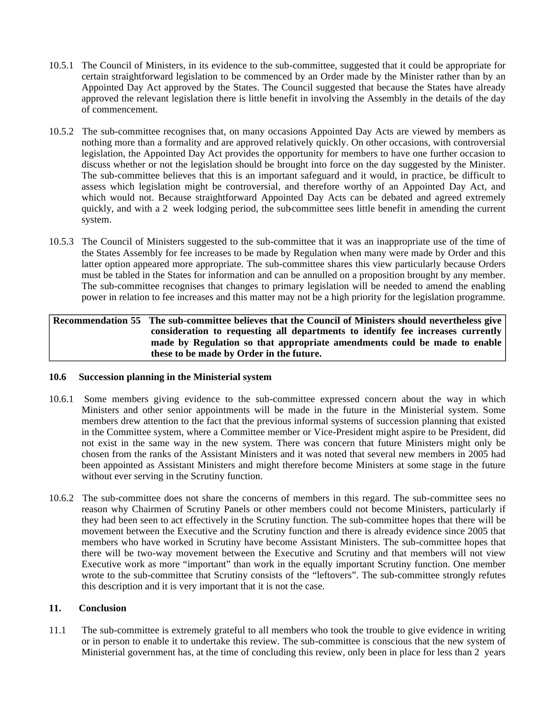- 10.5.1 The Council of Ministers, in its evidence to the sub-committee, suggested that it could be appropriate for certain straightforward legislation to be commenced by an Order made by the Minister rather than by an Appointed Day Act approved by the States. The Council suggested that because the States have already approved the relevant legislation there is little benefit in involving the Assembly in the details of the day of commencement.
- 10.5.2 The sub-committee recognises that, on many occasions Appointed Day Acts are viewed by members as nothing more than a formality and are approved relatively quickly. On other occasions, with controversial legislation, the Appointed Day Act provides the opportunity for members to have one further occasion to discuss whether or not the legislation should be brought into force on the day suggested by the Minister. The sub-committee believes that this is an important safeguard and it would, in practice, be difficult to assess which legislation might be controversial, and therefore worthy of an Appointed Day Act, and which would not. Because straightforward Appointed Day Acts can be debated and agreed extremely quickly, and with a 2 week lodging period, the sub-committee sees little benefit in amending the current system.
- 10.5.3 The Council of Ministers suggested to the sub-committee that it was an inappropriate use of the time of the States Assembly for fee increases to be made by Regulation when many were made by Order and this latter option appeared more appropriate. The sub-committee shares this view particularly because Orders must be tabled in the States for information and can be annulled on a proposition brought by any member. The sub-committee recognises that changes to primary legislation will be needed to amend the enabling power in relation to fee increases and this matter may not be a high priority for the legislation programme.

**Recommendation 55 The sub-committee believes that the Council of Ministers should nevertheless give consideration to requesting all departments to identify fee increases currently made by Regulation so that appropriate amendments could be made to enable these to be made by Order in the future.**

## **10.6 Succession planning in the Ministerial system**

- 10.6.1 Some members giving evidence to the sub-committee expressed concern about the way in which Ministers and other senior appointments will be made in the future in the Ministerial system. Some members drew attention to the fact that the previous informal systems of succession planning that existed in the Committee system, where a Committee member or Vice-President might aspire to be President, did not exist in the same way in the new system. There was concern that future Ministers might only be chosen from the ranks of the Assistant Ministers and it was noted that several new members in 2005 had been appointed as Assistant Ministers and might therefore become Ministers at some stage in the future without ever serving in the Scrutiny function.
- 10.6.2 The sub-committee does not share the concerns of members in this regard. The sub-committee sees no reason why Chairmen of Scrutiny Panels or other members could not become Ministers, particularly if they had been seen to act effectively in the Scrutiny function. The sub-committee hopes that there will be movement between the Executive and the Scrutiny function and there is already evidence since 2005 that members who have worked in Scrutiny have become Assistant Ministers. The sub-committee hopes that there will be two-way movement between the Executive and Scrutiny and that members will not view Executive work as more "important" than work in the equally important Scrutiny function. One member wrote to the sub-committee that Scrutiny consists of the "leftovers". The sub-committee strongly refutes this description and it is very important that it is not the case.

## **11. Conclusion**

11.1 The sub-committee is extremely grateful to all members who took the trouble to give evidence in writing or in person to enable it to undertake this review. The sub-committee is conscious that the new system of Ministerial government has, at the time of concluding this review, only been in place for less than 2 years.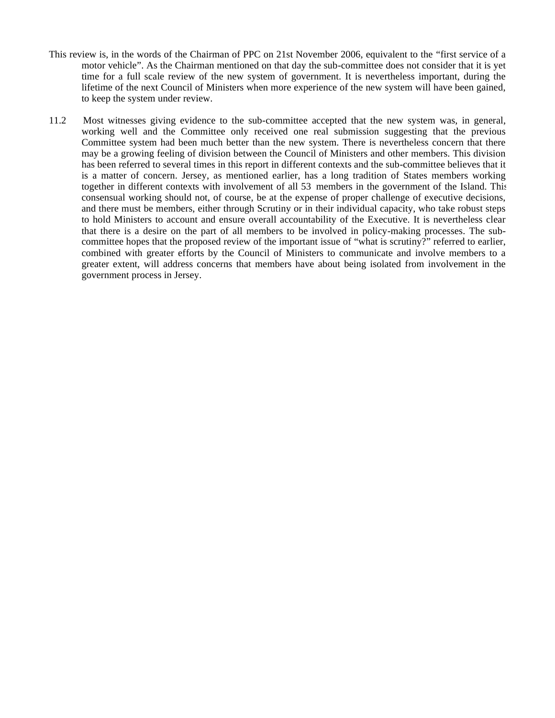- This review is, in the words of the Chairman of PPC on 21st November 2006, equivalent to the "first service of a motor vehicle". As the Chairman mentioned on that day the sub-committee does not consider that it is yet time for a full scale review of the new system of government. It is nevertheless important, during the lifetime of the next Council of Ministers when more experience of the new system will have been gained, to keep the system under review.
- 11.2 Most witnesses giving evidence to the sub-committee accepted that the new system was, in general, working well and the Committee only received one real submission suggesting that the previous Committee system had been much better than the new system. There is nevertheless concern that there may be a growing feeling of division between the Council of Ministers and other members. This division has been referred to several times in this report in different contexts and the sub-committee believes that it is a matter of concern. Jersey, as mentioned earlier, has a long tradition of States members working together in different contexts with involvement of all 53 members in the government of the Island. This consensual working should not, of course, be at the expense of proper challenge of executive decisions, and there must be members, either through Scrutiny or in their individual capacity, who take robust steps to hold Ministers to account and ensure overall accountability of the Executive. It is nevertheless clear that there is a desire on the part of all members to be involved in policy-making processes. The subcommittee hopes that the proposed review of the important issue of "what is scrutiny?" referred to earlier, combined with greater efforts by the Council of Ministers to communicate and involve members to a greater extent, will address concerns that members have about being isolated from involvement in the government process in Jersey.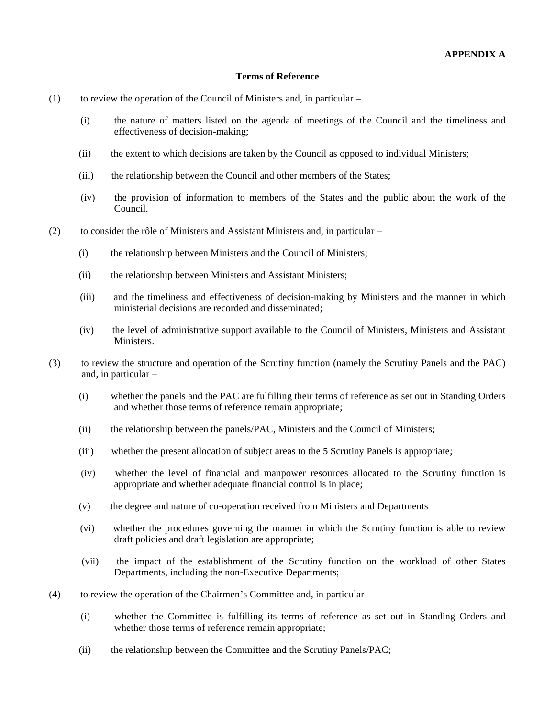#### **Terms of Reference**

- $(1)$  to review the operation of the Council of Ministers and, in particular
	- (i) the nature of matters listed on the agenda of meetings of the Council and the timeliness and effectiveness of decision-making;
	- (ii) the extent to which decisions are taken by the Council as opposed to individual Ministers;
	- (iii) the relationship between the Council and other members of the States;
	- (iv) the provision of information to members of the States and the public about the work of the Council.
- (2) to consider the rôle of Ministers and Assistant Ministers and, in particular
	- (i) the relationship between Ministers and the Council of Ministers;
	- (ii) the relationship between Ministers and Assistant Ministers;
	- (iii) and the timeliness and effectiveness of decision-making by Ministers and the manner in which ministerial decisions are recorded and disseminated;
	- (iv) the level of administrative support available to the Council of Ministers, Ministers and Assistant Ministers.
- (3) to review the structure and operation of the Scrutiny function (namely the Scrutiny Panels and the PAC) and, in particular –
	- (i) whether the panels and the PAC are fulfilling their terms of reference as set out in Standing Orders and whether those terms of reference remain appropriate;
	- (ii) the relationship between the panels/PAC, Ministers and the Council of Ministers;
	- (iii) whether the present allocation of subject areas to the 5 Scrutiny Panels is appropriate;
	- (iv) whether the level of financial and manpower resources allocated to the Scrutiny function is appropriate and whether adequate financial control is in place;
	- (v) the degree and nature of co-operation received from Ministers and Departments
	- (vi) whether the procedures governing the manner in which the Scrutiny function is able to review draft policies and draft legislation are appropriate;
	- (vii) the impact of the establishment of the Scrutiny function on the workload of other States Departments, including the non-Executive Departments;
- (4) to review the operation of the Chairmen's Committee and, in particular
	- (i) whether the Committee is fulfilling its terms of reference as set out in Standing Orders and whether those terms of reference remain appropriate;
	- (ii) the relationship between the Committee and the Scrutiny Panels/PAC;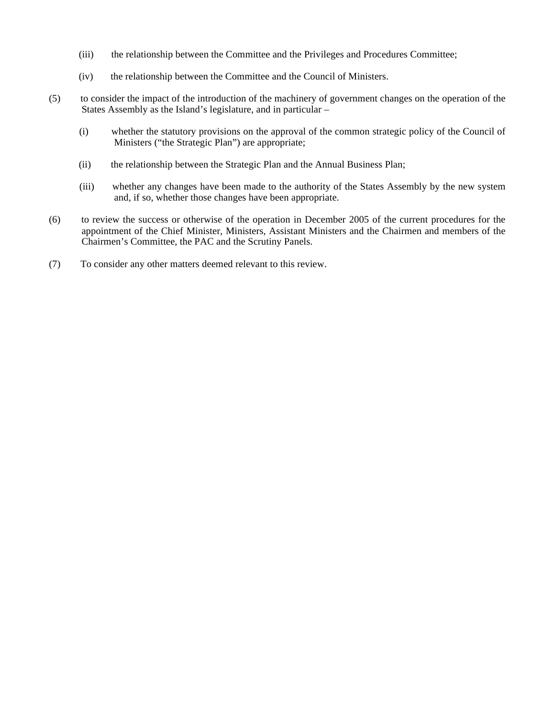- (iii) the relationship between the Committee and the Privileges and Procedures Committee;
- (iv) the relationship between the Committee and the Council of Ministers.
- (5) to consider the impact of the introduction of the machinery of government changes on the operation of the States Assembly as the Island's legislature, and in particular –
	- (i) whether the statutory provisions on the approval of the common strategic policy of the Council of Ministers ("the Strategic Plan") are appropriate;
	- (ii) the relationship between the Strategic Plan and the Annual Business Plan;
	- (iii) whether any changes have been made to the authority of the States Assembly by the new system and, if so, whether those changes have been appropriate.
- (6) to review the success or otherwise of the operation in December 2005 of the current procedures for the appointment of the Chief Minister, Ministers, Assistant Ministers and the Chairmen and members of the Chairmen's Committee, the PAC and the Scrutiny Panels.
- (7) To consider any other matters deemed relevant to this review.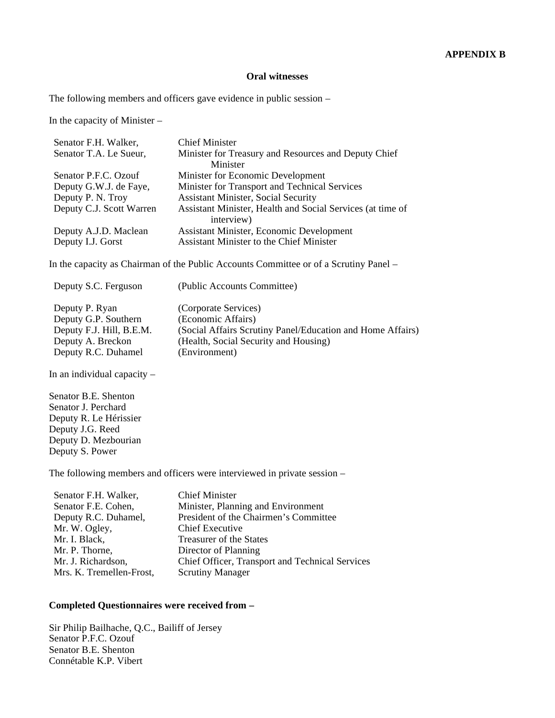#### **Oral witnesses**

The following members and officers gave evidence in public session –

In the capacity of Minister –

| Senator F.H. Walker,     | <b>Chief Minister</b>                                      |
|--------------------------|------------------------------------------------------------|
| Senator T.A. Le Sueur,   | Minister for Treasury and Resources and Deputy Chief       |
|                          | Minister                                                   |
| Senator P.F.C. Ozouf     | Minister for Economic Development                          |
| Deputy G.W.J. de Faye,   | Minister for Transport and Technical Services              |
| Deputy P. N. Troy        | <b>Assistant Minister, Social Security</b>                 |
| Deputy C.J. Scott Warren | Assistant Minister, Health and Social Services (at time of |
|                          | interview)                                                 |
| Deputy A.J.D. Maclean    | <b>Assistant Minister, Economic Development</b>            |
| Deputy I.J. Gorst        | <b>Assistant Minister to the Chief Minister</b>            |

In the capacity as Chairman of the Public Accounts Committee or of a Scrutiny Panel –

| (Public Accounts Committee)                                |
|------------------------------------------------------------|
| (Corporate Services)                                       |
| (Economic Affairs)                                         |
| (Social Affairs Scrutiny Panel/Education and Home Affairs) |
| (Health, Social Security and Housing)                      |
| (Environment)                                              |
|                                                            |

In an individual capacity –

Senator B.E. Shenton Senator J. Perchard Deputy R. Le Hérissier Deputy J.G. Reed Deputy D. Mezbourian Deputy S. Power

The following members and officers were interviewed in private session –

| Senator F.H. Walker,     | <b>Chief Minister</b>                           |
|--------------------------|-------------------------------------------------|
| Senator F.E. Cohen,      | Minister, Planning and Environment              |
| Deputy R.C. Duhamel,     | President of the Chairmen's Committee           |
| Mr. W. Ogley,            | Chief Executive                                 |
| Mr. I. Black,            | Treasurer of the States                         |
| Mr. P. Thorne,           | Director of Planning                            |
| Mr. J. Richardson,       | Chief Officer, Transport and Technical Services |
| Mrs. K. Tremellen-Frost, | <b>Scrutiny Manager</b>                         |

### **Completed Questionnaires were received from –**

Sir Philip Bailhache, Q.C., Bailiff of Jersey Senator P.F.C. Ozouf Senator B.E. Shenton Connétable K.P. Vibert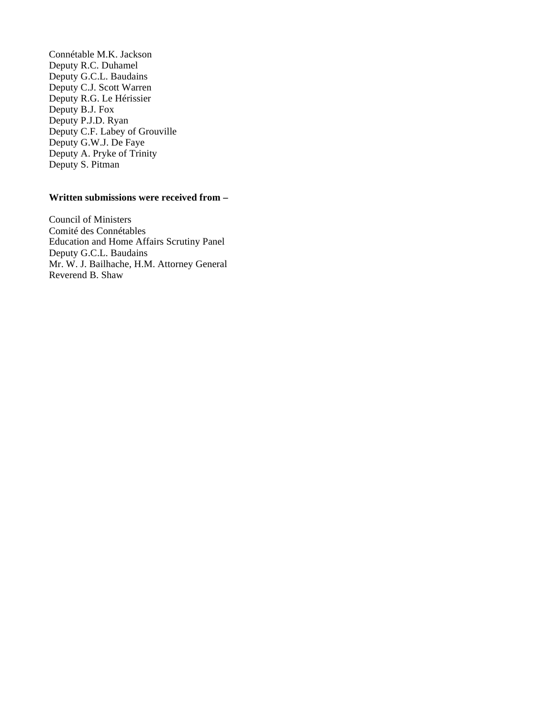Connétable M.K. Jackson Deputy R.C. Duhamel Deputy G.C.L. Baudains Deputy C.J. Scott Warren Deputy R.G. Le Hérissier Deputy B.J. Fox Deputy P.J.D. Ryan Deputy C.F. Labey of Grouville Deputy G.W.J. De Faye Deputy A. Pryke of Trinity Deputy S. Pitman

### **Written submissions were received from –**

Council of Ministers Comité des Connétables Education and Home Affairs Scrutiny Panel Deputy G.C.L. Baudains Mr. W. J. Bailhache, H.M. Attorney General Reverend B. Shaw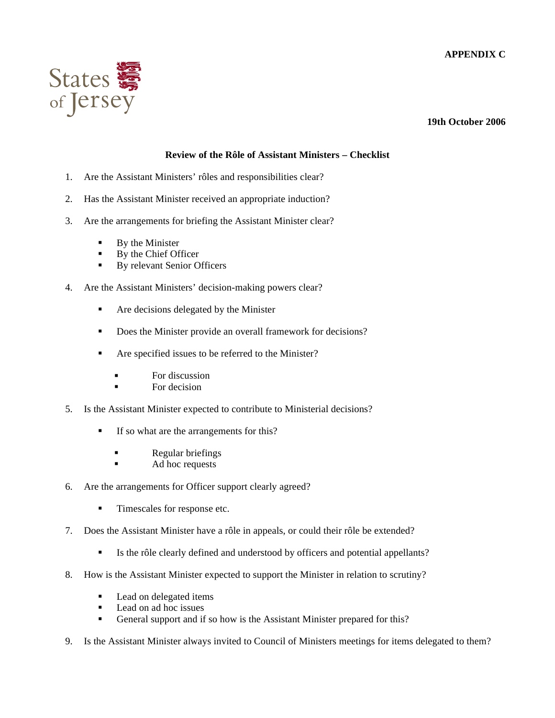## **APPENDIX C**



### **19th October 2006**

## **Review of the Rôle of Assistant Ministers – Checklist**

- 1. Are the Assistant Ministers' rôles and responsibilities clear?
- 2. Has the Assistant Minister received an appropriate induction?
- 3. Are the arrangements for briefing the Assistant Minister clear?
	- By the Minister
	- By the Chief Officer<br>By relevant Senior O
	- By relevant Senior Officers
- 4. Are the Assistant Ministers' decision-making powers clear?
	- **Are decisions delegated by the Minister**
	- Does the Minister provide an overall framework for decisions?
	- Are specified issues to be referred to the Minister?
		- For discussion
		- For decision
- 5. Is the Assistant Minister expected to contribute to Ministerial decisions?
	- If so what are the arrangements for this?
		- Regular briefings<br>Ad hoc requests
		- Ad hoc requests
- 6. Are the arrangements for Officer support clearly agreed?
	- **Timescales for response etc.**
- 7. Does the Assistant Minister have a rôle in appeals, or could their rôle be extended?
	- Is the rôle clearly defined and understood by officers and potential appellants?
- 8. How is the Assistant Minister expected to support the Minister in relation to scrutiny?
	- **Lead on delegated items**
	- Lead on ad hoc issues<br>• General support and if
	- General support and if so how is the Assistant Minister prepared for this?
- 9. Is the Assistant Minister always invited to Council of Ministers meetings for items delegated to them?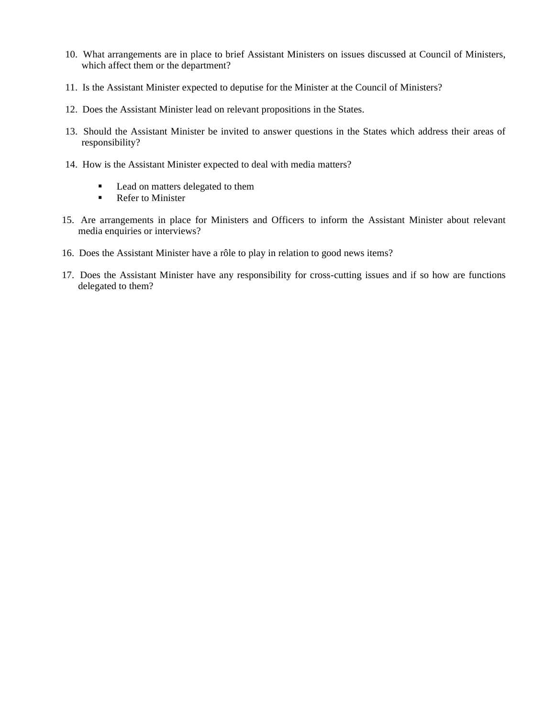- 10. What arrangements are in place to brief Assistant Ministers on issues discussed at Council of Ministers, which affect them or the department?
- 11. Is the Assistant Minister expected to deputise for the Minister at the Council of Ministers?
- 12. Does the Assistant Minister lead on relevant propositions in the States.
- 13. Should the Assistant Minister be invited to answer questions in the States which address their areas of responsibility?
- 14. How is the Assistant Minister expected to deal with media matters?
	- Lead on matters delegated to them<br>• Refer to Minister
	- Refer to Minister
- 15. Are arrangements in place for Ministers and Officers to inform the Assistant Minister about relevant media enquiries or interviews?
- 16. Does the Assistant Minister have a rôle to play in relation to good news items?
- 17. Does the Assistant Minister have any responsibility for cross-cutting issues and if so how are functions delegated to them?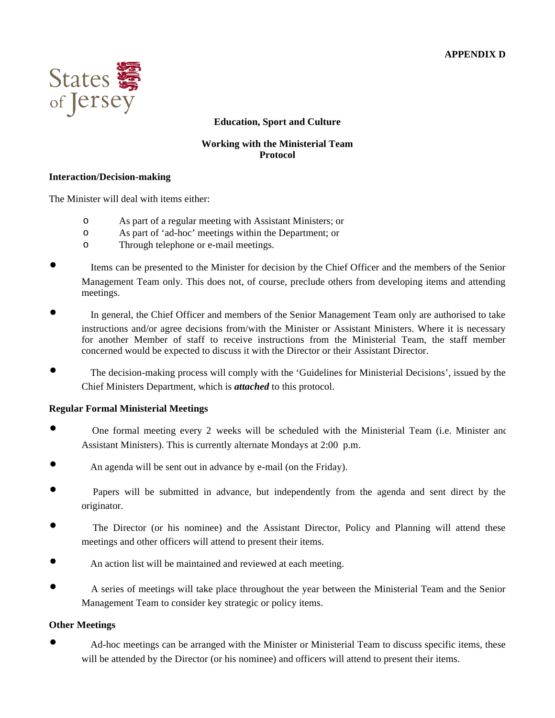

# **Education, Sport and Culture**

## **Working with the Ministerial Team Protocol**

### **Interaction/Decision-making**

The Minister will deal with items either:

- o As part of a regular meeting with Assistant Ministers; or
- o As part of 'ad-hoc' meetings within the Department; or
- o Through telephone or e-mail meetings.
- Items can be presented to the Minister for decision by the Chief Officer and the members of the Senior Management Team only. This does not, of course, preclude others from developing items and attending meetings.
- In general, the Chief Officer and members of the Senior Management Team only are authorised to take instructions and/or agree decisions from/with the Minister or Assistant Ministers. Where it is necessary for another Member of staff to receive instructions from the Ministerial Team, the staff member concerned would be expected to discuss it with the Director or their Assistant Director.
- The decision-making process will comply with the 'Guidelines for Ministerial Decisions', issued by the Chief Ministers Department, which is *attached* to this protocol.

## **Regular Formal Ministerial Meetings**

- One formal meeting every 2 weeks will be scheduled with the Ministerial Team (i.e. Minister and Assistant Ministers). This is currently alternate Mondays at 2:00 p.m.
- An agenda will be sent out in advance by e-mail (on the Friday).
- Papers will be submitted in advance, but independently from the agenda and sent direct by the originator.
- The Director (or his nominee) and the Assistant Director, Policy and Planning will attend these meetings and other officers will attend to present their items.
- An action list will be maintained and reviewed at each meeting.
- A series of meetings will take place throughout the year between the Ministerial Team and the Senior Management Team to consider key strategic or policy items.

## **Other Meetings**

Ad-hoc meetings can be arranged with the Minister or Ministerial Team to discuss specific items, these will be attended by the Director (or his nominee) and officers will attend to present their items.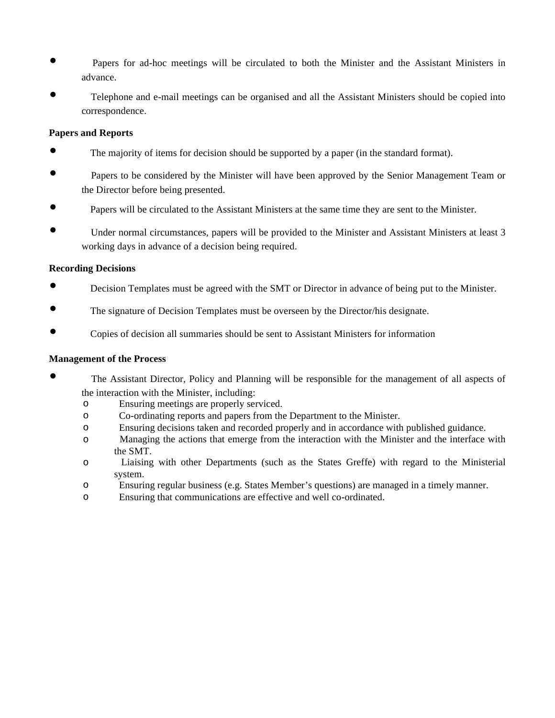- Papers for ad-hoc meetings will be circulated to both the Minister and the Assistant Ministers in advance.
- Telephone and e-mail meetings can be organised and all the Assistant Ministers should be copied into correspondence.

## **Papers and Reports**

- The majority of items for decision should be supported by a paper (in the standard format).
- Papers to be considered by the Minister will have been approved by the Senior Management Team or the Director before being presented.
- Papers will be circulated to the Assistant Ministers at the same time they are sent to the Minister.
- Under normal circumstances, papers will be provided to the Minister and Assistant Ministers at least 3 working days in advance of a decision being required.

## **Recording Decisions**

- **•** Decision Templates must be agreed with the SMT or Director in advance of being put to the Minister.
- The signature of Decision Templates must be overseen by the Director/his designate.
- Copies of decision all summaries should be sent to Assistant Ministers for information

## **Management of the Process**

- The Assistant Director, Policy and Planning will be responsible for the management of all aspects of the interaction with the Minister, including:
	- o Ensuring meetings are properly serviced.
	- o Co-ordinating reports and papers from the Department to the Minister.
	- o Ensuring decisions taken and recorded properly and in accordance with published guidance.
	- o Managing the actions that emerge from the interaction with the Minister and the interface with the SMT.
	- o Liaising with other Departments (such as the States Greffe) with regard to the Ministerial system.
	- o Ensuring regular business (e.g. States Member's questions) are managed in a timely manner.
	- o Ensuring that communications are effective and well co-ordinated.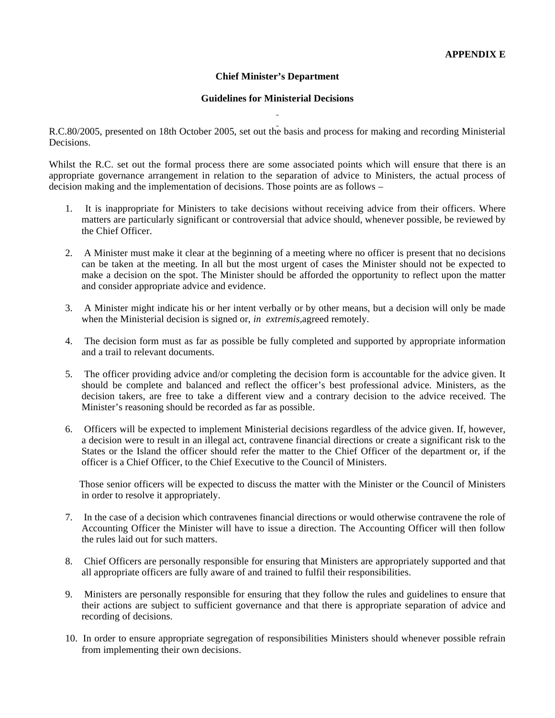### **Chief Minister's Department**

#### **Guidelines for Ministerial Decisions**

R.C.80/2005, presented on 18th October 2005, set out the basis and process for making and recording Ministerial Decisions.

Whilst the R.C. set out the formal process there are some associated points which will ensure that there is an appropriate governance arrangement in relation to the separation of advice to Ministers, the actual process of decision making and the implementation of decisions. Those points are as follows –

- 1. It is inappropriate for Ministers to take decisions without receiving advice from their officers. Where matters are particularly significant or controversial that advice should, whenever possible, be reviewed by the Chief Officer.
- 2. A Minister must make it clear at the beginning of a meeting where no officer is present that no decisions can be taken at the meeting. In all but the most urgent of cases the Minister should not be expected to make a decision on the spot. The Minister should be afforded the opportunity to reflect upon the matter and consider appropriate advice and evidence.
- 3. A Minister might indicate his or her intent verbally or by other means, but a decision will only be made when the Ministerial decision is signed or, *in extremis,* agreed remotely.
- 4. The decision form must as far as possible be fully completed and supported by appropriate information and a trail to relevant documents.
- 5. The officer providing advice and/or completing the decision form is accountable for the advice given. It should be complete and balanced and reflect the officer's best professional advice. Ministers, as the decision takers, are free to take a different view and a contrary decision to the advice received. The Minister's reasoning should be recorded as far as possible.
- 6. Officers will be expected to implement Ministerial decisions regardless of the advice given. If, however, a decision were to result in an illegal act, contravene financial directions or create a significant risk to the States or the Island the officer should refer the matter to the Chief Officer of the department or, if the officer is a Chief Officer, to the Chief Executive to the Council of Ministers.

 Those senior officers will be expected to discuss the matter with the Minister or the Council of Ministers in order to resolve it appropriately.

- 7. In the case of a decision which contravenes financial directions or would otherwise contravene the role of Accounting Officer the Minister will have to issue a direction. The Accounting Officer will then follow the rules laid out for such matters.
- 8. Chief Officers are personally responsible for ensuring that Ministers are appropriately supported and that all appropriate officers are fully aware of and trained to fulfil their responsibilities.
- 9. Ministers are personally responsible for ensuring that they follow the rules and guidelines to ensure that their actions are subject to sufficient governance and that there is appropriate separation of advice and recording of decisions.
- 10. In order to ensure appropriate segregation of responsibilities Ministers should whenever possible refrain from implementing their own decisions.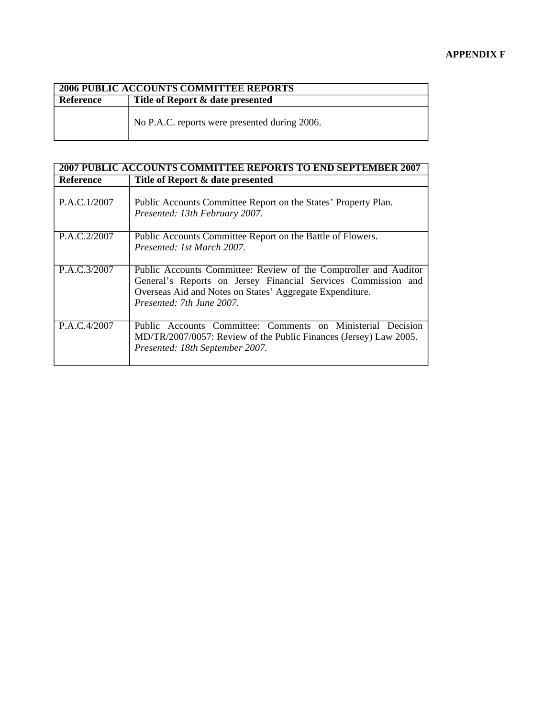٦

# **2006 PUBLIC ACCOUNTS COMMITTEE REPORTS**

| Reference | Title of Report & date presented              |
|-----------|-----------------------------------------------|
|           | No P.A.C. reports were presented during 2006. |

| 2007 PUBLIC ACCOUNTS COMMITTEE REPORTS TO END SEPTEMBER 2007 |                                                                                                                                                                                                                            |  |
|--------------------------------------------------------------|----------------------------------------------------------------------------------------------------------------------------------------------------------------------------------------------------------------------------|--|
| <b>Reference</b>                                             | Title of Report & date presented                                                                                                                                                                                           |  |
| P.A.C.1/2007                                                 | Public Accounts Committee Report on the States' Property Plan.<br>Presented: 13th February 2007.                                                                                                                           |  |
| P.A.C.2/2007                                                 | Public Accounts Committee Report on the Battle of Flowers.<br>Presented: 1st March 2007.                                                                                                                                   |  |
| P.A.C.3/2007                                                 | Public Accounts Committee: Review of the Comptroller and Auditor<br>General's Reports on Jersey Financial Services Commission and<br>Overseas Aid and Notes on States' Aggregate Expenditure.<br>Presented: 7th June 2007. |  |
| P.A.C.4/2007                                                 | Public Accounts Committee: Comments on Ministerial Decision<br>MD/TR/2007/0057: Review of the Public Finances (Jersey) Law 2005.<br>Presented: 18th September 2007.                                                        |  |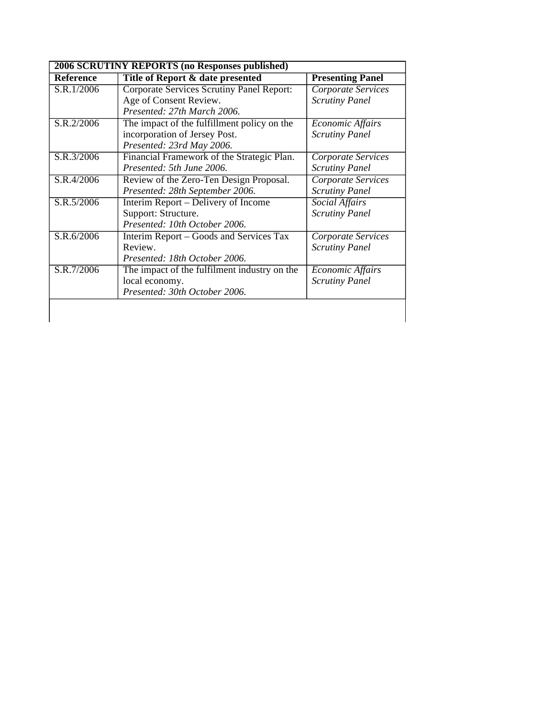| 2006 SCRUTINY REPORTS (no Responses published) |                                                  |                         |
|------------------------------------------------|--------------------------------------------------|-------------------------|
| <b>Reference</b>                               | Title of Report & date presented                 | <b>Presenting Panel</b> |
| S.R.1/2006                                     | <b>Corporate Services Scrutiny Panel Report:</b> | Corporate Services      |
|                                                | Age of Consent Review.                           | <b>Scrutiny Panel</b>   |
|                                                | Presented: 27th March 2006.                      |                         |
| S.R.2/2006                                     | The impact of the fulfillment policy on the      | Economic Affairs        |
|                                                | incorporation of Jersey Post.                    | <b>Scrutiny Panel</b>   |
|                                                | Presented: 23rd May 2006.                        |                         |
| S.R.3/2006                                     | Financial Framework of the Strategic Plan.       | Corporate Services      |
|                                                | Presented: 5th June 2006.                        | <b>Scrutiny Panel</b>   |
| S.R.4/2006                                     | Review of the Zero-Ten Design Proposal.          | Corporate Services      |
|                                                | Presented: 28th September 2006.                  | <b>Scrutiny Panel</b>   |
| S.R.5/2006                                     | Interim Report – Delivery of Income              | <b>Social Affairs</b>   |
|                                                | Support: Structure.                              | <b>Scrutiny Panel</b>   |
|                                                | Presented: 10th October 2006.                    |                         |
| S.R.6/2006                                     | Interim Report - Goods and Services Tax          | Corporate Services      |
|                                                | Review.                                          | <b>Scrutiny Panel</b>   |
|                                                | Presented: 18th October 2006.                    |                         |
| S.R.7/2006                                     | The impact of the fulfilment industry on the     | Economic Affairs        |
|                                                | local economy.                                   | <b>Scrutiny Panel</b>   |
|                                                | Presented: 30th October 2006.                    |                         |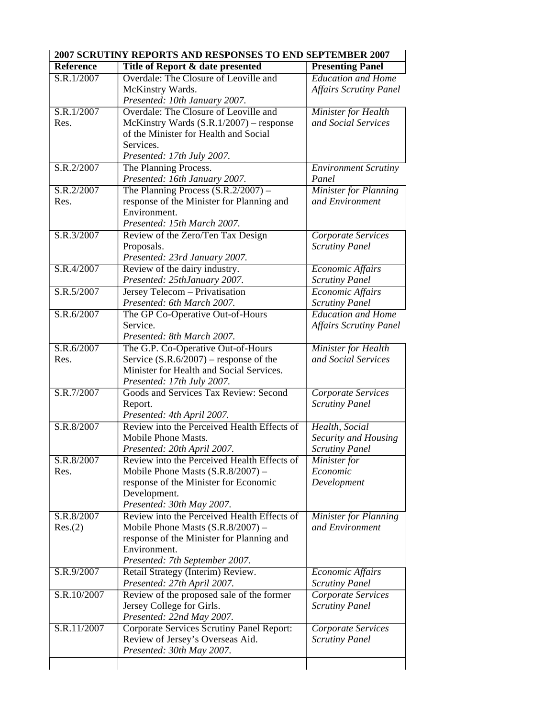| <b>Reference</b> | Title of Report & date presented                          | <b>Presenting Panel</b>                                    |
|------------------|-----------------------------------------------------------|------------------------------------------------------------|
| S.R.1/2007       | Overdale: The Closure of Leoville and<br>McKinstry Wards. | <b>Education and Home</b><br><b>Affairs Scrutiny Panel</b> |
|                  | Presented: 10th January 2007.                             |                                                            |
| S.R.1/2007       | Overdale: The Closure of Leoville and                     | <b>Minister for Health</b>                                 |
| Res.             | McKinstry Wards $(S.R.1/2007)$ – response                 | and Social Services                                        |
|                  | of the Minister for Health and Social                     |                                                            |
|                  | Services.                                                 |                                                            |
|                  | Presented: 17th July 2007.                                |                                                            |
| S.R.2/2007       | The Planning Process.                                     | <b>Environment Scrutiny</b>                                |
|                  | Presented: 16th January 2007.                             | Panel                                                      |
| S.R.2/2007       | The Planning Process $(S.R.2/2007)$ –                     | <b>Minister for Planning</b>                               |
| Res.             | response of the Minister for Planning and                 | and Environment                                            |
|                  | Environment.                                              |                                                            |
|                  | Presented: 15th March 2007.                               |                                                            |
| S.R.3/2007       | Review of the Zero/Ten Tax Design                         | Corporate Services                                         |
|                  | Proposals.                                                | <b>Scrutiny Panel</b>                                      |
|                  | Presented: 23rd January 2007.                             |                                                            |
| S.R.4/2007       | Review of the dairy industry.                             | Economic Affairs                                           |
|                  | Presented: 25thJanuary 2007.                              | <b>Scrutiny Panel</b>                                      |
| S.R.5/2007       | Jersey Telecom - Privatisation                            | <b>Economic Affairs</b>                                    |
|                  | Presented: 6th March 2007.                                | <b>Scrutiny Panel</b>                                      |
| S.R.6/2007       | The GP Co-Operative Out-of-Hours                          | <b>Education and Home</b>                                  |
|                  | Service.                                                  | <b>Affairs Scrutiny Panel</b>                              |
|                  | Presented: 8th March 2007.                                |                                                            |
| S.R.6/2007       | The G.P. Co-Operative Out-of-Hours                        | Minister for Health                                        |
| Res.             | Service $(S.R.6/2007)$ – response of the                  | and Social Services                                        |
|                  | Minister for Health and Social Services.                  |                                                            |
|                  | Presented: 17th July 2007.                                |                                                            |
| S.R.7/2007       | Goods and Services Tax Review: Second                     | Corporate Services                                         |
|                  | Report.                                                   | <b>Scrutiny Panel</b>                                      |
|                  | Presented: 4th April 2007.                                |                                                            |
| S.R.8/2007       | Review into the Perceived Health Effects of               | Health, Social                                             |
|                  | Mobile Phone Masts.                                       | Security and Housing                                       |
|                  | Presented: 20th April 2007.                               | <b>Scrutiny Panel</b>                                      |
| S.R.8/2007       | Review into the Perceived Health Effects of               | Minister for                                               |
| Res.             | Mobile Phone Masts $(S.R.8/2007)$ –                       | Economic                                                   |
|                  | response of the Minister for Economic                     | Development                                                |
|                  | Development.                                              |                                                            |
|                  | Presented: 30th May 2007.                                 |                                                            |
| S.R.8/2007       | Review into the Perceived Health Effects of               | <b>Minister for Planning</b>                               |
| Res.(2)          | Mobile Phone Masts (S.R.8/2007) -                         | and Environment                                            |
|                  | response of the Minister for Planning and                 |                                                            |
|                  | Environment.                                              |                                                            |
|                  | Presented: 7th September 2007.                            |                                                            |
| S.R.9/2007       | Retail Strategy (Interim) Review.                         | Economic Affairs                                           |
|                  | Presented: 27th April 2007.                               | <b>Scrutiny Panel</b>                                      |
| S.R.10/2007      | Review of the proposed sale of the former                 | Corporate Services                                         |
|                  | Jersey College for Girls.                                 | <b>Scrutiny Panel</b>                                      |
|                  | Presented: 22nd May 2007.                                 |                                                            |
| S.R.11/2007      | <b>Corporate Services Scrutiny Panel Report:</b>          | Corporate Services                                         |
|                  | Review of Jersey's Overseas Aid.                          | <b>Scrutiny Panel</b>                                      |
|                  | Presented: 30th May 2007.                                 |                                                            |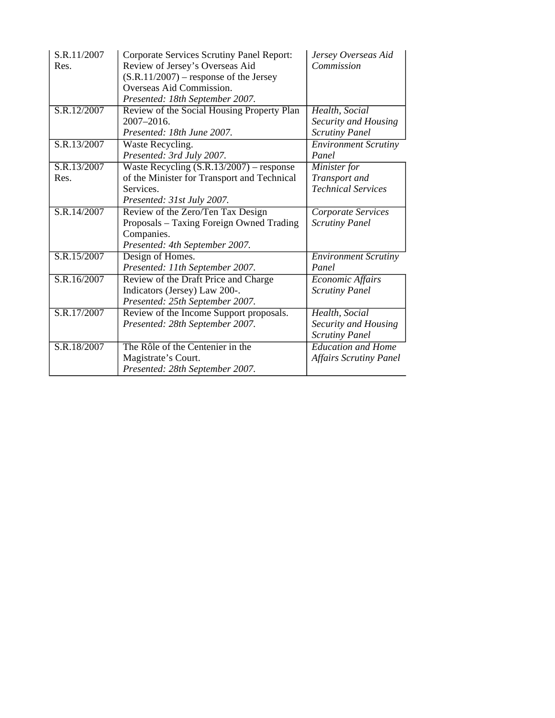| S.R.11/2007<br>Res. | Corporate Services Scrutiny Panel Report:<br>Review of Jersey's Overseas Aid<br>$(S.R.11/2007)$ – response of the Jersey<br>Overseas Aid Commission.<br>Presented: 18th September 2007. | Jersey Overseas Aid<br>Commission |
|---------------------|-----------------------------------------------------------------------------------------------------------------------------------------------------------------------------------------|-----------------------------------|
| S.R.12/2007         | Review of the Social Housing Property Plan                                                                                                                                              | Health, Social                    |
|                     | 2007-2016.                                                                                                                                                                              | Security and Housing              |
|                     | Presented: 18th June 2007.                                                                                                                                                              | <b>Scrutiny Panel</b>             |
| S.R.13/2007         | Waste Recycling.                                                                                                                                                                        | <b>Environment Scrutiny</b>       |
|                     | Presented: 3rd July 2007.                                                                                                                                                               | Panel                             |
| S.R.13/2007         | Waste Recycling $(S.R.13/2007)$ – response                                                                                                                                              | Minister for                      |
| Res.                | of the Minister for Transport and Technical                                                                                                                                             | Transport and                     |
|                     | Services.                                                                                                                                                                               | <b>Technical Services</b>         |
|                     | Presented: 31st July 2007.                                                                                                                                                              |                                   |
| S.R.14/2007         | Review of the Zero/Ten Tax Design                                                                                                                                                       | Corporate Services                |
|                     | Proposals - Taxing Foreign Owned Trading                                                                                                                                                | <b>Scrutiny Panel</b>             |
|                     | Companies.                                                                                                                                                                              |                                   |
|                     | Presented: 4th September 2007.                                                                                                                                                          |                                   |
| S.R.15/2007         | Design of Homes.                                                                                                                                                                        | <b>Environment Scrutiny</b>       |
|                     | Presented: 11th September 2007.                                                                                                                                                         | Panel                             |
| S.R.16/2007         | Review of the Draft Price and Charge                                                                                                                                                    | <b>Economic Affairs</b>           |
|                     | Indicators (Jersey) Law 200-.                                                                                                                                                           | <b>Scrutiny Panel</b>             |
|                     | Presented: 25th September 2007.                                                                                                                                                         |                                   |
| S.R.17/2007         | Review of the Income Support proposals.                                                                                                                                                 | Health, Social                    |
|                     | Presented: 28th September 2007.                                                                                                                                                         | Security and Housing              |
|                     |                                                                                                                                                                                         | <b>Scrutiny Panel</b>             |
| S.R.18/2007         | The Rôle of the Centenier in the                                                                                                                                                        | <b>Education and Home</b>         |
|                     | Magistrate's Court.                                                                                                                                                                     | <b>Affairs Scrutiny Panel</b>     |
|                     | Presented: 28th September 2007.                                                                                                                                                         |                                   |